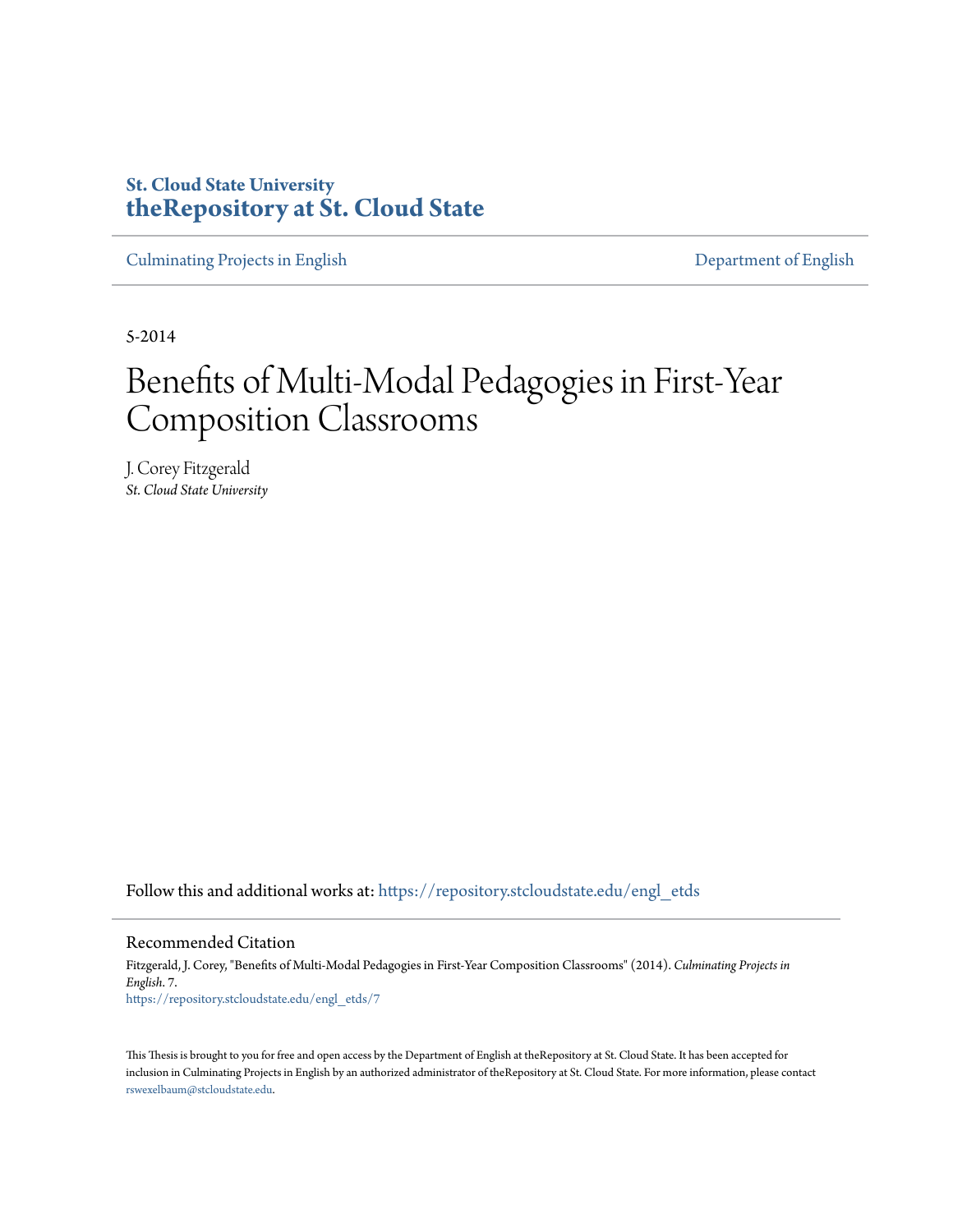# **St. Cloud State University [theRepository at St. Cloud State](https://repository.stcloudstate.edu?utm_source=repository.stcloudstate.edu%2Fengl_etds%2F7&utm_medium=PDF&utm_campaign=PDFCoverPages)**

[Culminating Projects in English](https://repository.stcloudstate.edu/engl_etds?utm_source=repository.stcloudstate.edu%2Fengl_etds%2F7&utm_medium=PDF&utm_campaign=PDFCoverPages) [Department of English](https://repository.stcloudstate.edu/engl?utm_source=repository.stcloudstate.edu%2Fengl_etds%2F7&utm_medium=PDF&utm_campaign=PDFCoverPages)

5-2014

# Benefits of Multi-Modal Pedagogies in First-Year Composition Classrooms

J. Corey Fitzgerald *St. Cloud State University*

Follow this and additional works at: [https://repository.stcloudstate.edu/engl\\_etds](https://repository.stcloudstate.edu/engl_etds?utm_source=repository.stcloudstate.edu%2Fengl_etds%2F7&utm_medium=PDF&utm_campaign=PDFCoverPages)

#### Recommended Citation

Fitzgerald, J. Corey, "Benefits of Multi-Modal Pedagogies in First-Year Composition Classrooms" (2014). *Culminating Projects in English*. 7. [https://repository.stcloudstate.edu/engl\\_etds/7](https://repository.stcloudstate.edu/engl_etds/7?utm_source=repository.stcloudstate.edu%2Fengl_etds%2F7&utm_medium=PDF&utm_campaign=PDFCoverPages)

This Thesis is brought to you for free and open access by the Department of English at theRepository at St. Cloud State. It has been accepted for inclusion in Culminating Projects in English by an authorized administrator of theRepository at St. Cloud State. For more information, please contact [rswexelbaum@stcloudstate.edu](mailto:rswexelbaum@stcloudstate.edu).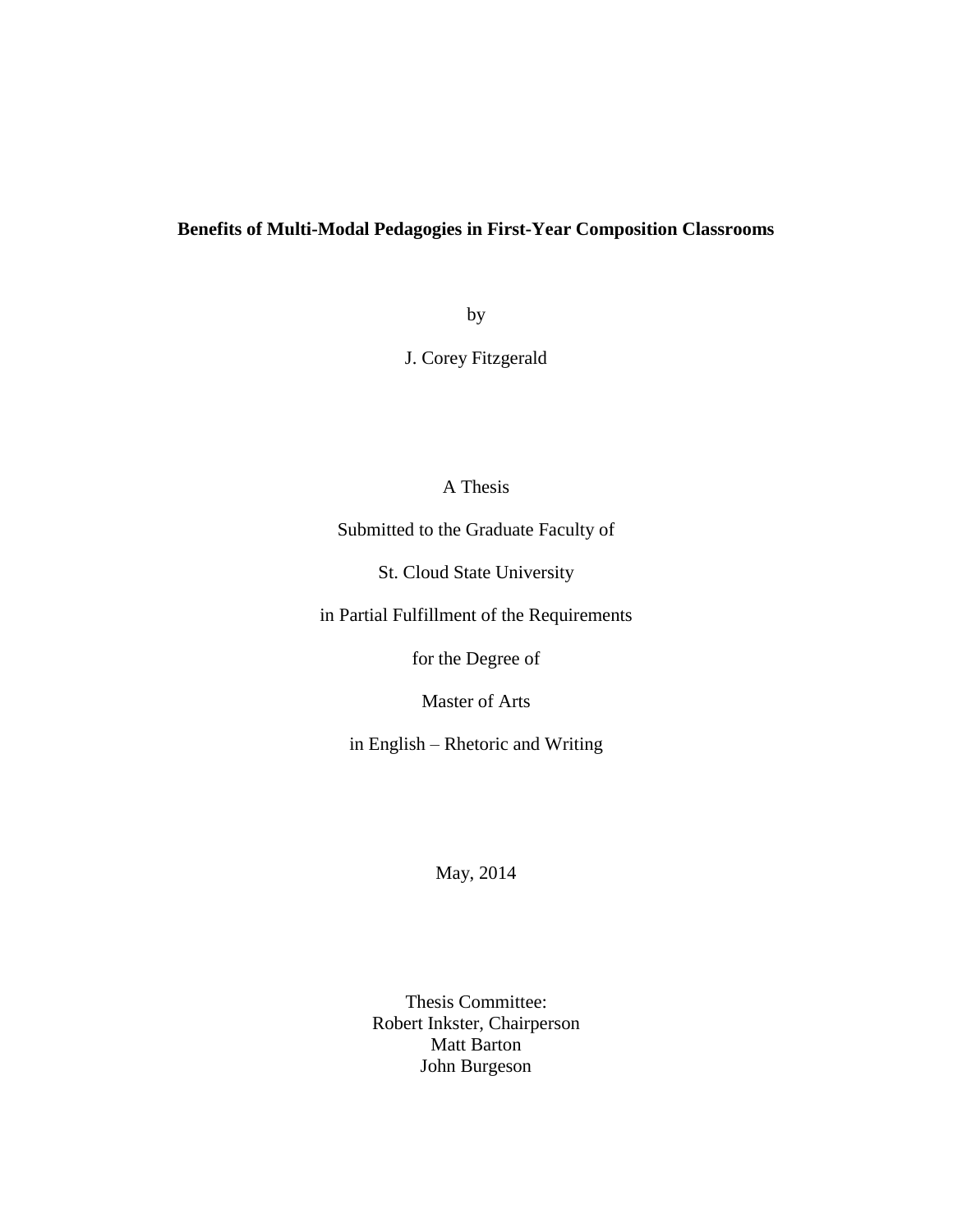# **Benefits of Multi-Modal Pedagogies in First-Year Composition Classrooms**

by

J. Corey Fitzgerald

# A Thesis

Submitted to the Graduate Faculty of

St. Cloud State University

in Partial Fulfillment of the Requirements

for the Degree of

Master of Arts

in English – Rhetoric and Writing

May, 2014

Thesis Committee: Robert Inkster, Chairperson Matt Barton John Burgeson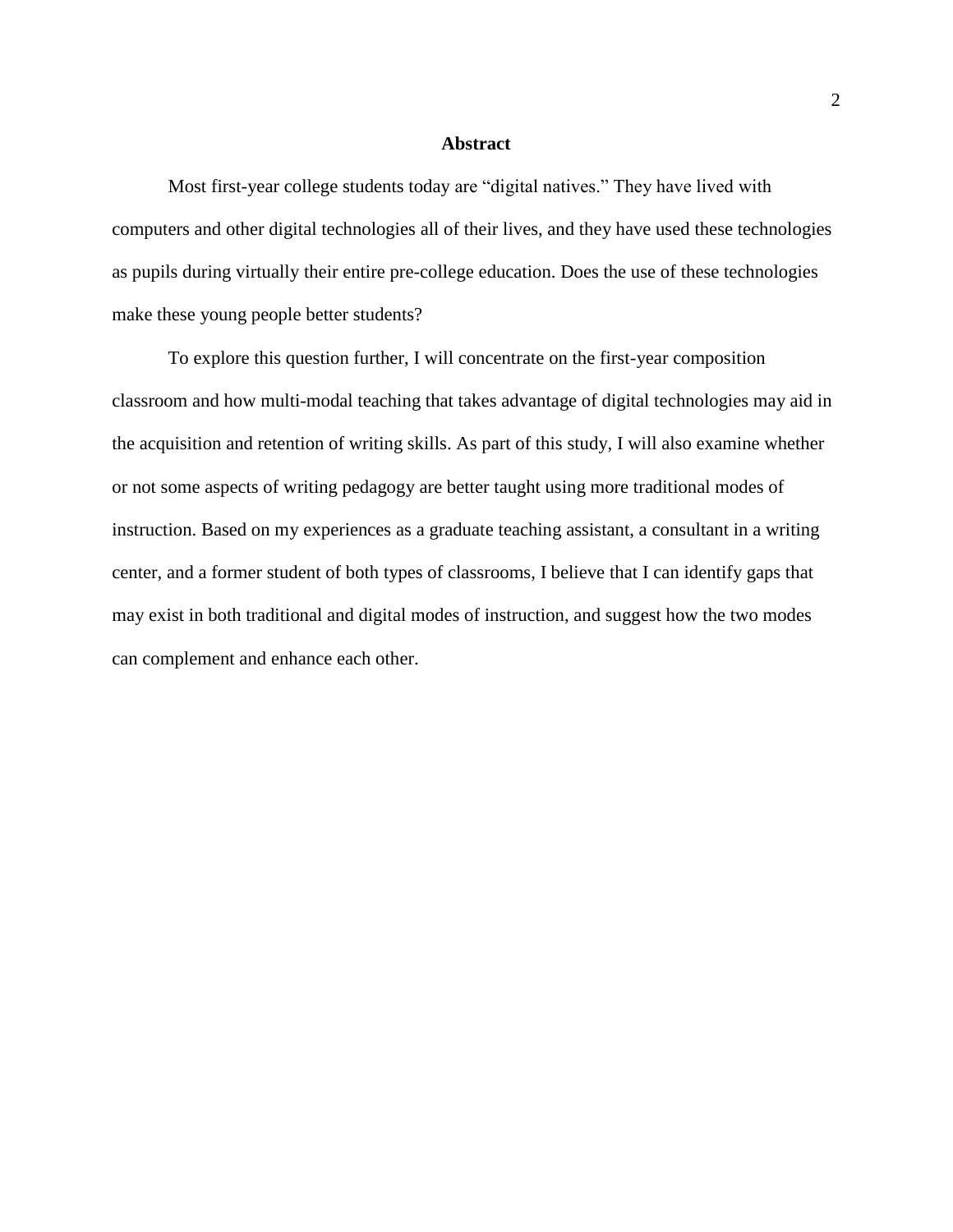#### **Abstract**

Most first-year college students today are "digital natives." They have lived with computers and other digital technologies all of their lives, and they have used these technologies as pupils during virtually their entire pre-college education. Does the use of these technologies make these young people better students?

To explore this question further, I will concentrate on the first-year composition classroom and how multi-modal teaching that takes advantage of digital technologies may aid in the acquisition and retention of writing skills. As part of this study, I will also examine whether or not some aspects of writing pedagogy are better taught using more traditional modes of instruction. Based on my experiences as a graduate teaching assistant, a consultant in a writing center, and a former student of both types of classrooms, I believe that I can identify gaps that may exist in both traditional and digital modes of instruction, and suggest how the two modes can complement and enhance each other.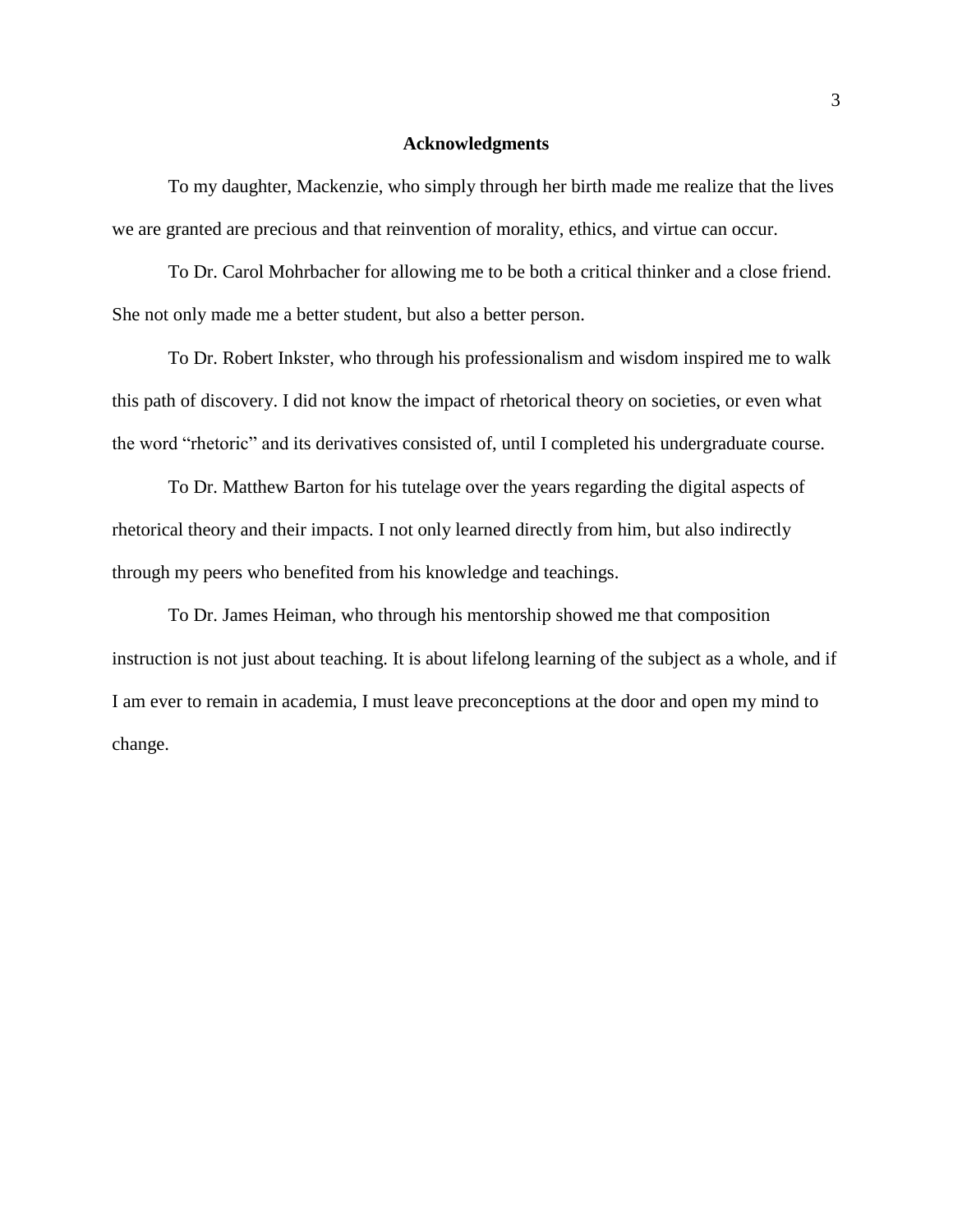#### **Acknowledgments**

To my daughter, Mackenzie, who simply through her birth made me realize that the lives we are granted are precious and that reinvention of morality, ethics, and virtue can occur.

To Dr. Carol Mohrbacher for allowing me to be both a critical thinker and a close friend. She not only made me a better student, but also a better person.

To Dr. Robert Inkster, who through his professionalism and wisdom inspired me to walk this path of discovery. I did not know the impact of rhetorical theory on societies, or even what the word "rhetoric" and its derivatives consisted of, until I completed his undergraduate course.

To Dr. Matthew Barton for his tutelage over the years regarding the digital aspects of rhetorical theory and their impacts. I not only learned directly from him, but also indirectly through my peers who benefited from his knowledge and teachings.

To Dr. James Heiman, who through his mentorship showed me that composition instruction is not just about teaching. It is about lifelong learning of the subject as a whole, and if I am ever to remain in academia, I must leave preconceptions at the door and open my mind to change.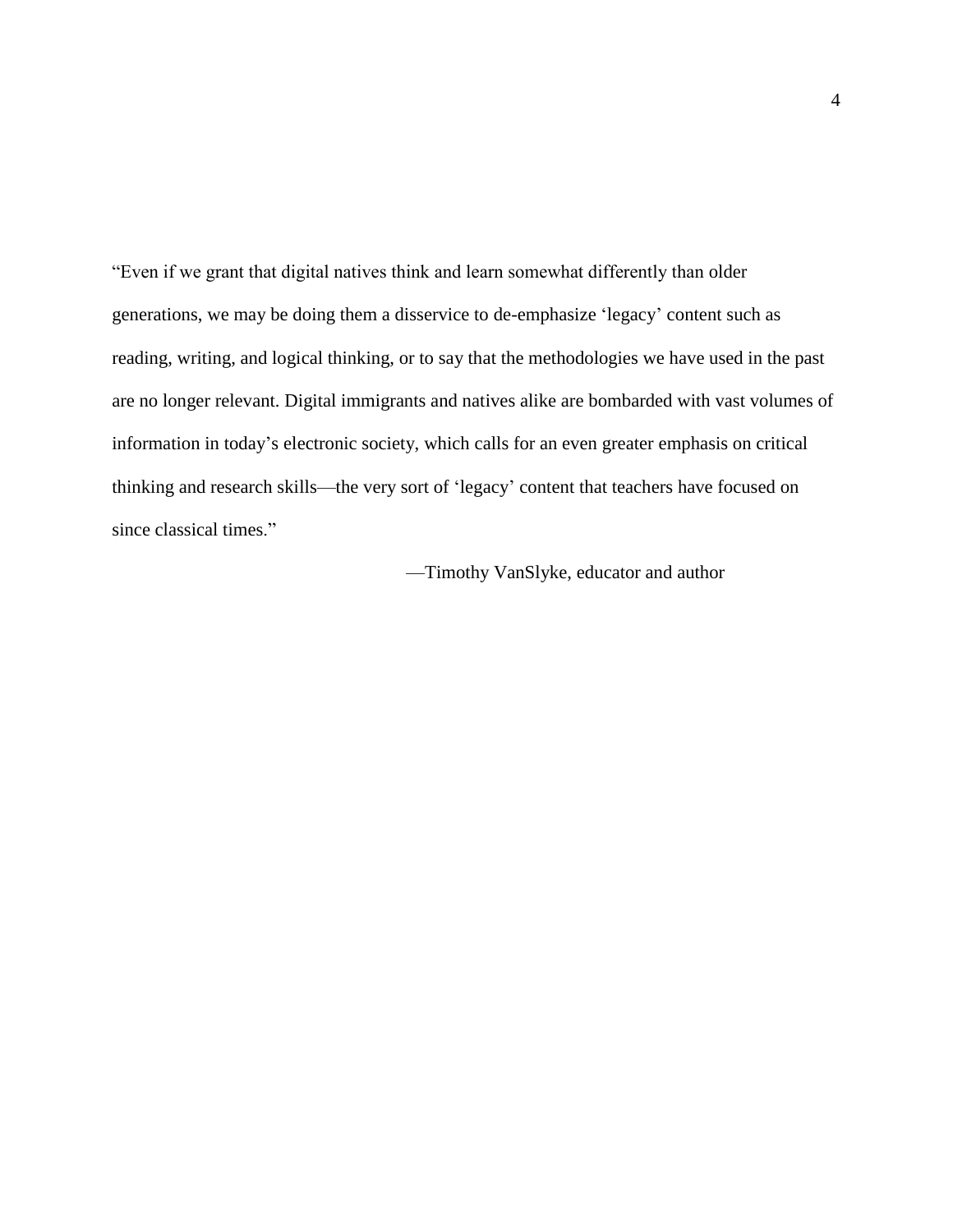"Even if we grant that digital natives think and learn somewhat differently than older generations, we may be doing them a disservice to de-emphasize 'legacy' content such as reading, writing, and logical thinking, or to say that the methodologies we have used in the past are no longer relevant. Digital immigrants and natives alike are bombarded with vast volumes of information in today's electronic society, which calls for an even greater emphasis on critical thinking and research skills—the very sort of 'legacy' content that teachers have focused on since classical times."

—Timothy VanSlyke, educator and author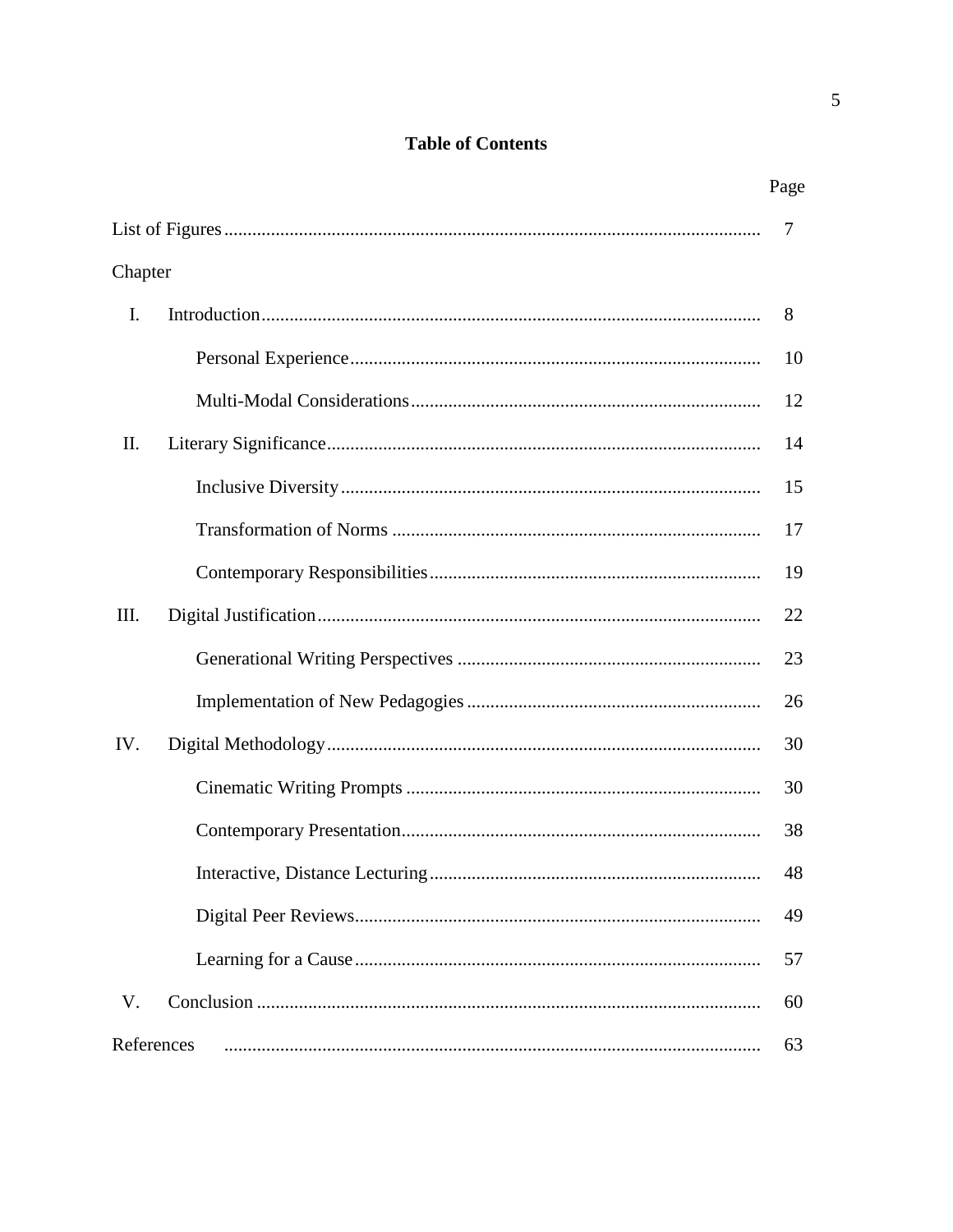# **Table of Contents**

|            | Page |
|------------|------|
|            | 7    |
| Chapter    |      |
| I.         | 8    |
|            | 10   |
|            | 12   |
| П.         | 14   |
|            | 15   |
|            | 17   |
|            | 19   |
| Ш.         | 22   |
|            | 23   |
|            | 26   |
| IV.        | 30   |
|            | 30   |
|            | 38   |
|            | 48   |
|            | 49   |
|            | 57   |
| V.         | 60   |
| References | 63   |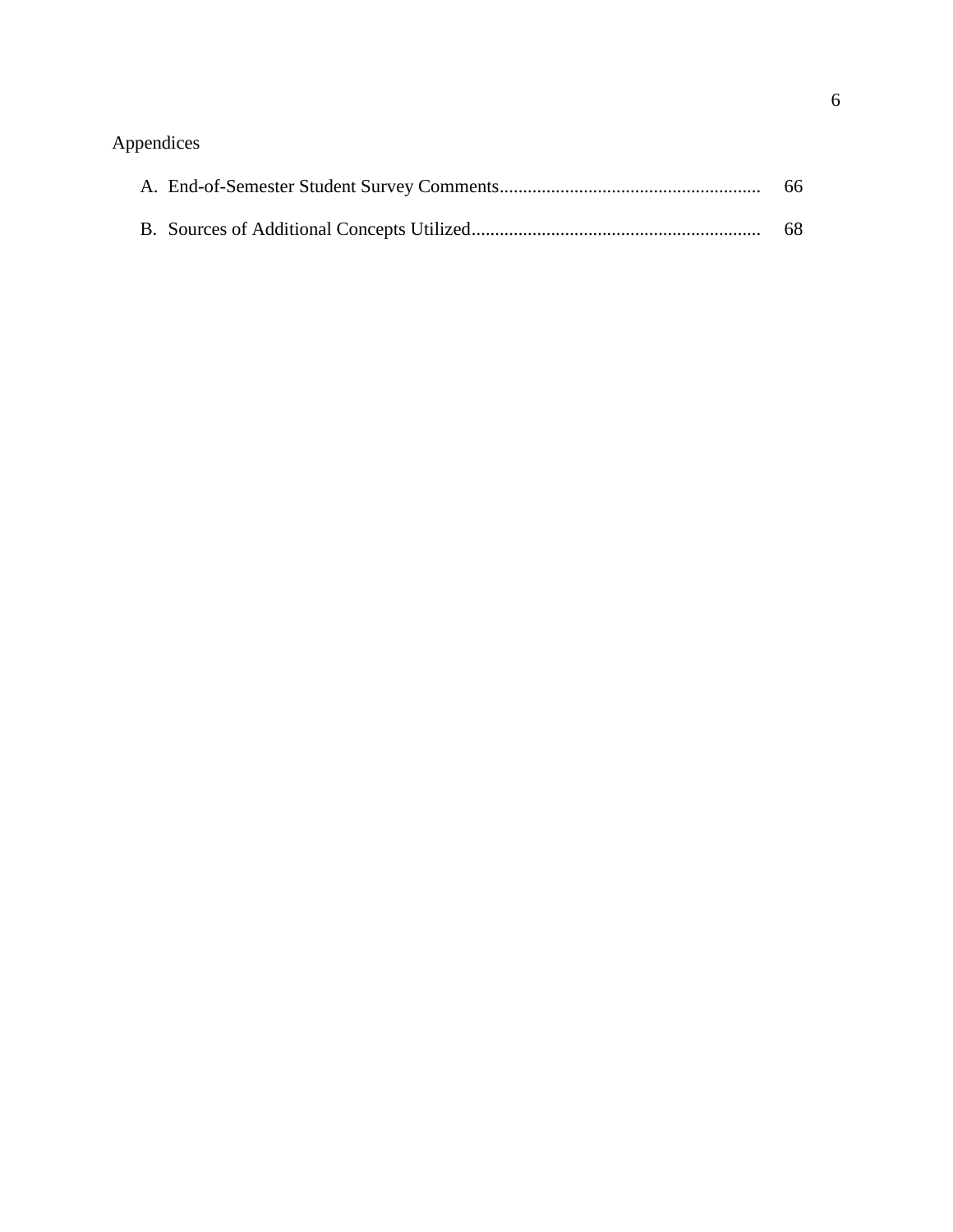# Appendices

|  | -68 |
|--|-----|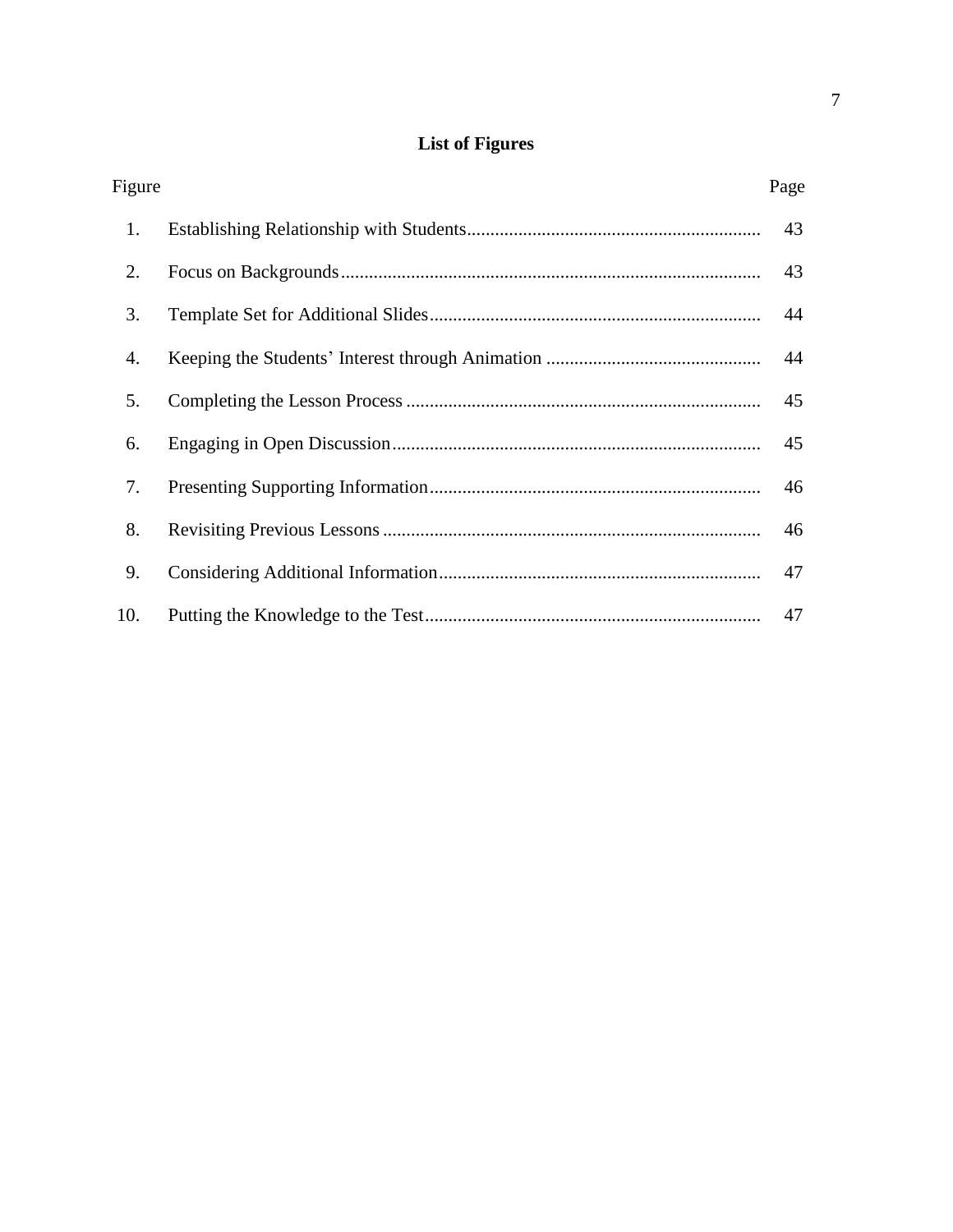# **List of Figures**

| Figure | Page |
|--------|------|
| 1.     | 43   |
| 2.     | 43   |
| 3.     | 44   |
| 4.     | 44   |
| 5.     | 45   |
| 6.     | 45   |
| 7.     | 46   |
| 8.     | 46   |
| 9.     | 47   |
| 10.    | 47   |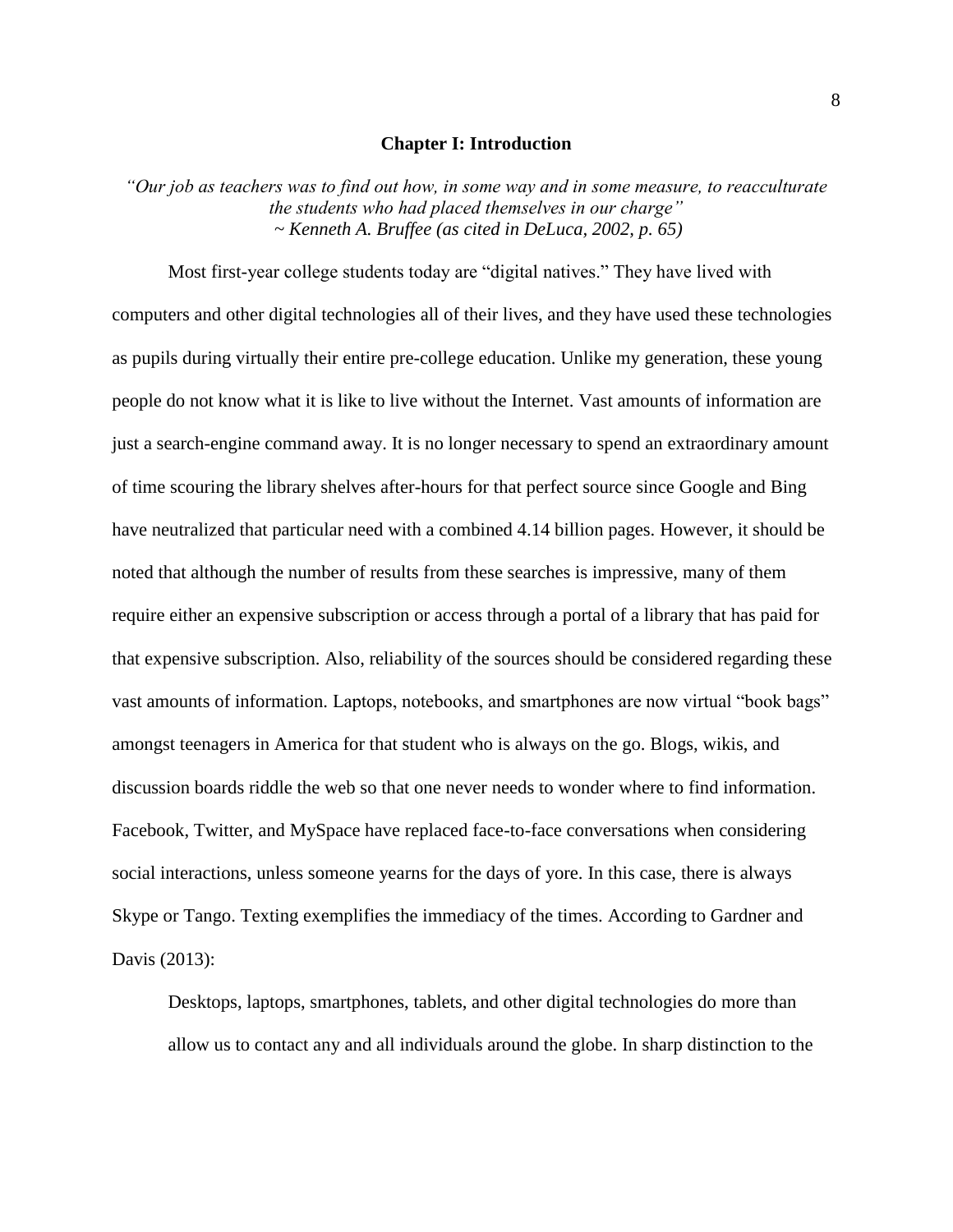#### **Chapter I: Introduction**

*"Our job as teachers was to find out how, in some way and in some measure, to reacculturate the students who had placed themselves in our charge" ~ Kenneth A. Bruffee (as cited in DeLuca, 2002, p. 65)*

Most first-year college students today are "digital natives." They have lived with computers and other digital technologies all of their lives, and they have used these technologies as pupils during virtually their entire pre-college education. Unlike my generation, these young people do not know what it is like to live without the Internet. Vast amounts of information are just a search-engine command away. It is no longer necessary to spend an extraordinary amount of time scouring the library shelves after-hours for that perfect source since Google and Bing have neutralized that particular need with a combined 4.14 billion pages. However, it should be noted that although the number of results from these searches is impressive, many of them require either an expensive subscription or access through a portal of a library that has paid for that expensive subscription. Also, reliability of the sources should be considered regarding these vast amounts of information. Laptops, notebooks, and smartphones are now virtual "book bags" amongst teenagers in America for that student who is always on the go. Blogs, wikis, and discussion boards riddle the web so that one never needs to wonder where to find information. Facebook, Twitter, and MySpace have replaced face-to-face conversations when considering social interactions, unless someone yearns for the days of yore. In this case, there is always Skype or Tango. Texting exemplifies the immediacy of the times. According to Gardner and Davis (2013):

Desktops, laptops, smartphones, tablets, and other digital technologies do more than allow us to contact any and all individuals around the globe. In sharp distinction to the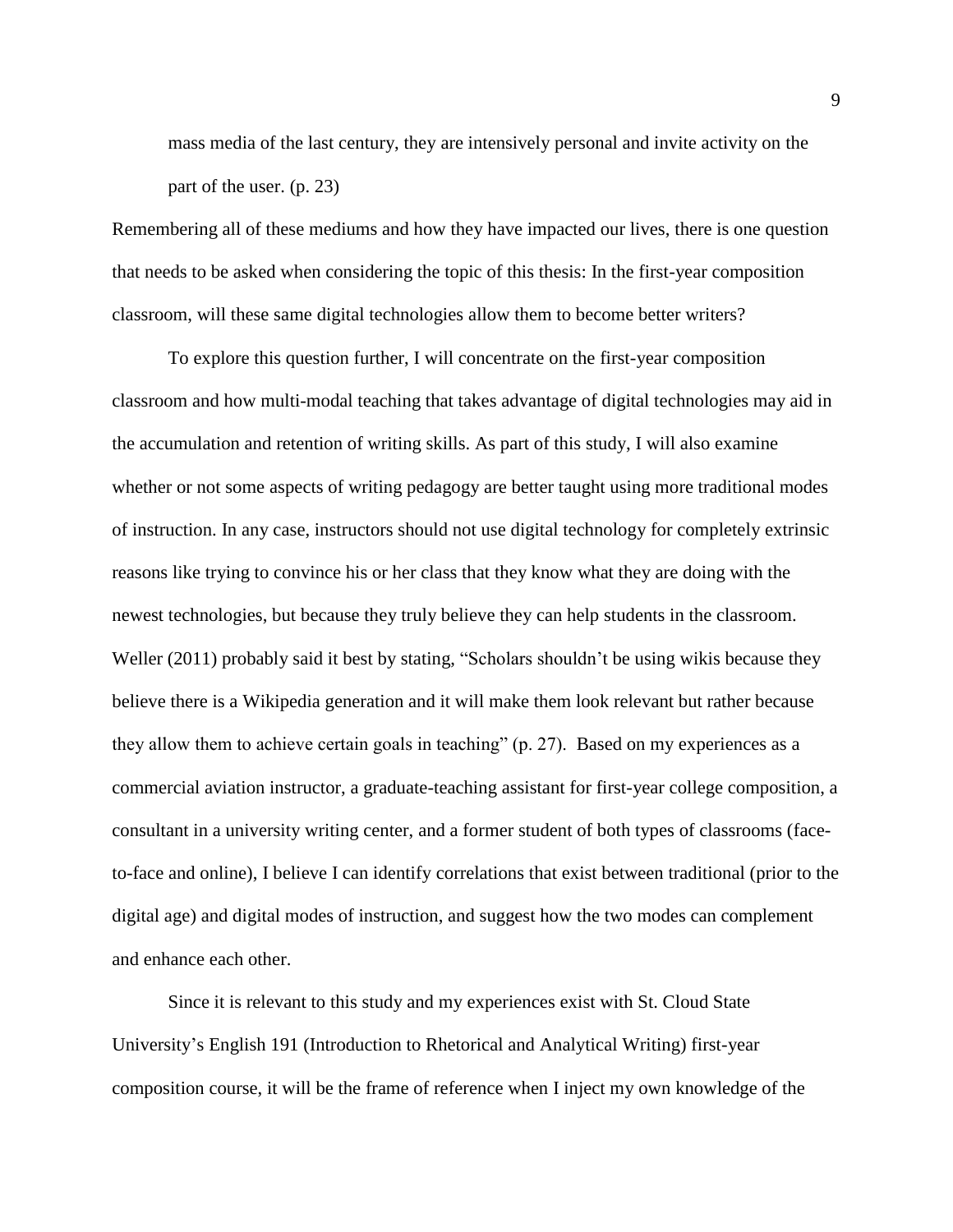mass media of the last century, they are intensively personal and invite activity on the part of the user. (p. 23)

Remembering all of these mediums and how they have impacted our lives, there is one question that needs to be asked when considering the topic of this thesis: In the first-year composition classroom, will these same digital technologies allow them to become better writers?

To explore this question further, I will concentrate on the first-year composition classroom and how multi-modal teaching that takes advantage of digital technologies may aid in the accumulation and retention of writing skills. As part of this study, I will also examine whether or not some aspects of writing pedagogy are better taught using more traditional modes of instruction. In any case, instructors should not use digital technology for completely extrinsic reasons like trying to convince his or her class that they know what they are doing with the newest technologies, but because they truly believe they can help students in the classroom. Weller (2011) probably said it best by stating, "Scholars shouldn't be using wikis because they believe there is a Wikipedia generation and it will make them look relevant but rather because they allow them to achieve certain goals in teaching" (p. 27). Based on my experiences as a commercial aviation instructor, a graduate-teaching assistant for first-year college composition, a consultant in a university writing center, and a former student of both types of classrooms (faceto-face and online), I believe I can identify correlations that exist between traditional (prior to the digital age) and digital modes of instruction, and suggest how the two modes can complement and enhance each other.

Since it is relevant to this study and my experiences exist with St. Cloud State University's English 191 (Introduction to Rhetorical and Analytical Writing) first-year composition course, it will be the frame of reference when I inject my own knowledge of the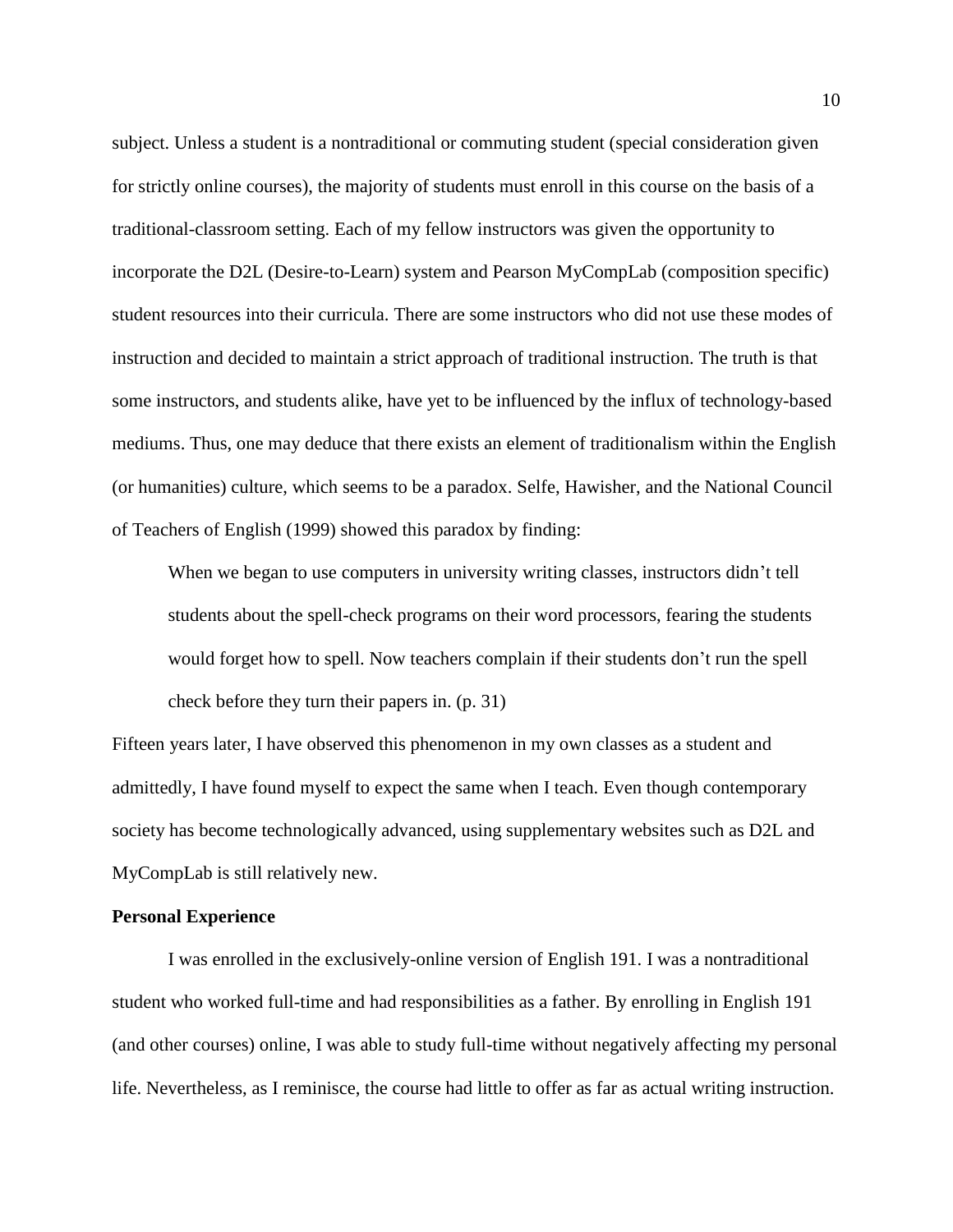subject. Unless a student is a nontraditional or commuting student (special consideration given for strictly online courses), the majority of students must enroll in this course on the basis of a traditional-classroom setting. Each of my fellow instructors was given the opportunity to incorporate the D2L (Desire-to-Learn) system and Pearson MyCompLab (composition specific) student resources into their curricula. There are some instructors who did not use these modes of instruction and decided to maintain a strict approach of traditional instruction. The truth is that some instructors, and students alike, have yet to be influenced by the influx of technology-based mediums. Thus, one may deduce that there exists an element of traditionalism within the English (or humanities) culture, which seems to be a paradox. Selfe, Hawisher, and the National Council of Teachers of English (1999) showed this paradox by finding:

When we began to use computers in university writing classes, instructors didn't tell students about the spell-check programs on their word processors, fearing the students would forget how to spell. Now teachers complain if their students don't run the spell check before they turn their papers in. (p. 31)

Fifteen years later, I have observed this phenomenon in my own classes as a student and admittedly, I have found myself to expect the same when I teach. Even though contemporary society has become technologically advanced, using supplementary websites such as D2L and MyCompLab is still relatively new.

#### **Personal Experience**

I was enrolled in the exclusively-online version of English 191. I was a nontraditional student who worked full-time and had responsibilities as a father. By enrolling in English 191 (and other courses) online, I was able to study full-time without negatively affecting my personal life. Nevertheless, as I reminisce, the course had little to offer as far as actual writing instruction.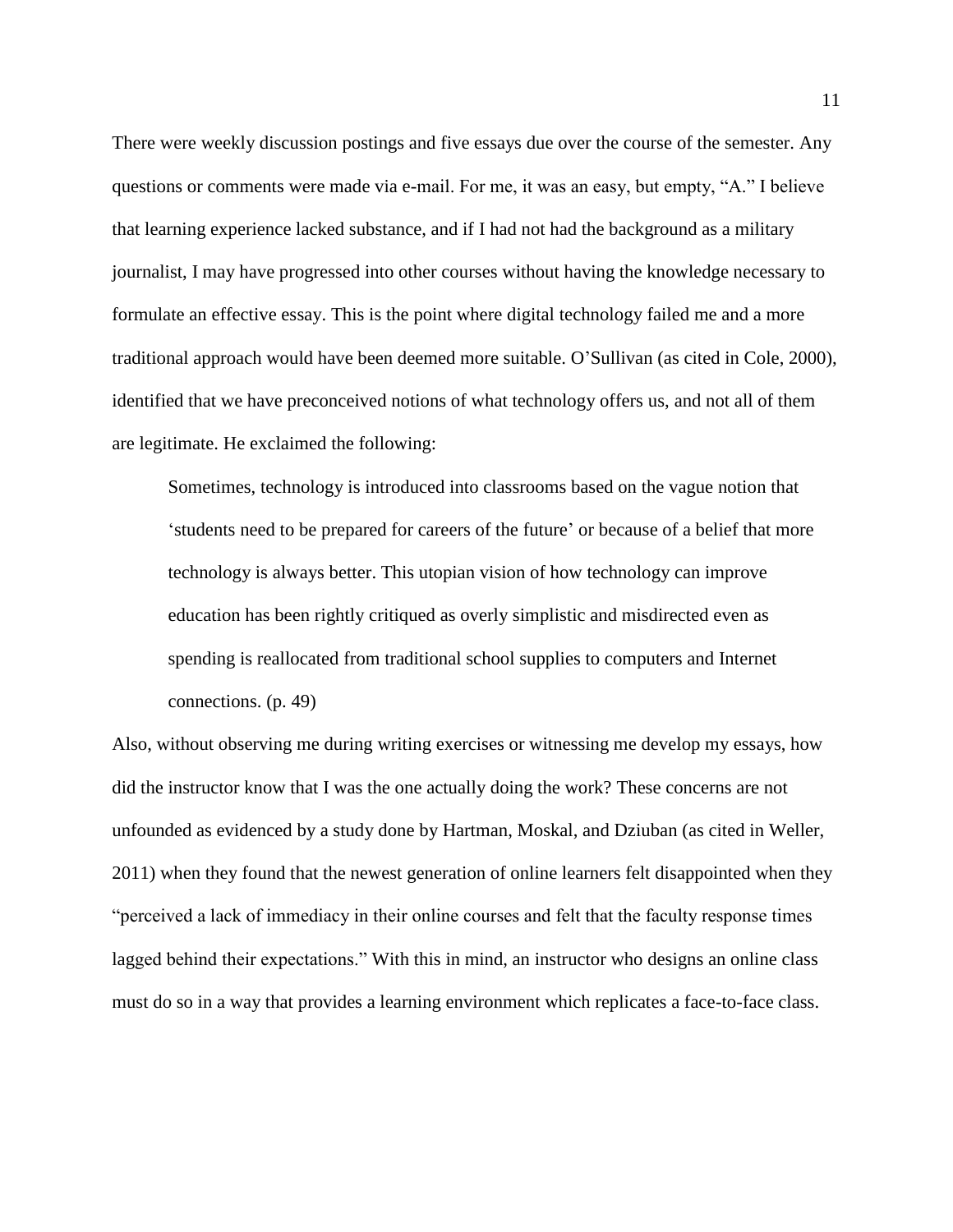There were weekly discussion postings and five essays due over the course of the semester. Any questions or comments were made via e-mail. For me, it was an easy, but empty, "A." I believe that learning experience lacked substance, and if I had not had the background as a military journalist, I may have progressed into other courses without having the knowledge necessary to formulate an effective essay. This is the point where digital technology failed me and a more traditional approach would have been deemed more suitable. O'Sullivan (as cited in Cole, 2000), identified that we have preconceived notions of what technology offers us, and not all of them are legitimate. He exclaimed the following:

Sometimes, technology is introduced into classrooms based on the vague notion that 'students need to be prepared for careers of the future' or because of a belief that more technology is always better. This utopian vision of how technology can improve education has been rightly critiqued as overly simplistic and misdirected even as spending is reallocated from traditional school supplies to computers and Internet connections. (p. 49)

Also, without observing me during writing exercises or witnessing me develop my essays, how did the instructor know that I was the one actually doing the work? These concerns are not unfounded as evidenced by a study done by Hartman, Moskal, and Dziuban (as cited in Weller, 2011) when they found that the newest generation of online learners felt disappointed when they "perceived a lack of immediacy in their online courses and felt that the faculty response times lagged behind their expectations." With this in mind, an instructor who designs an online class must do so in a way that provides a learning environment which replicates a face-to-face class.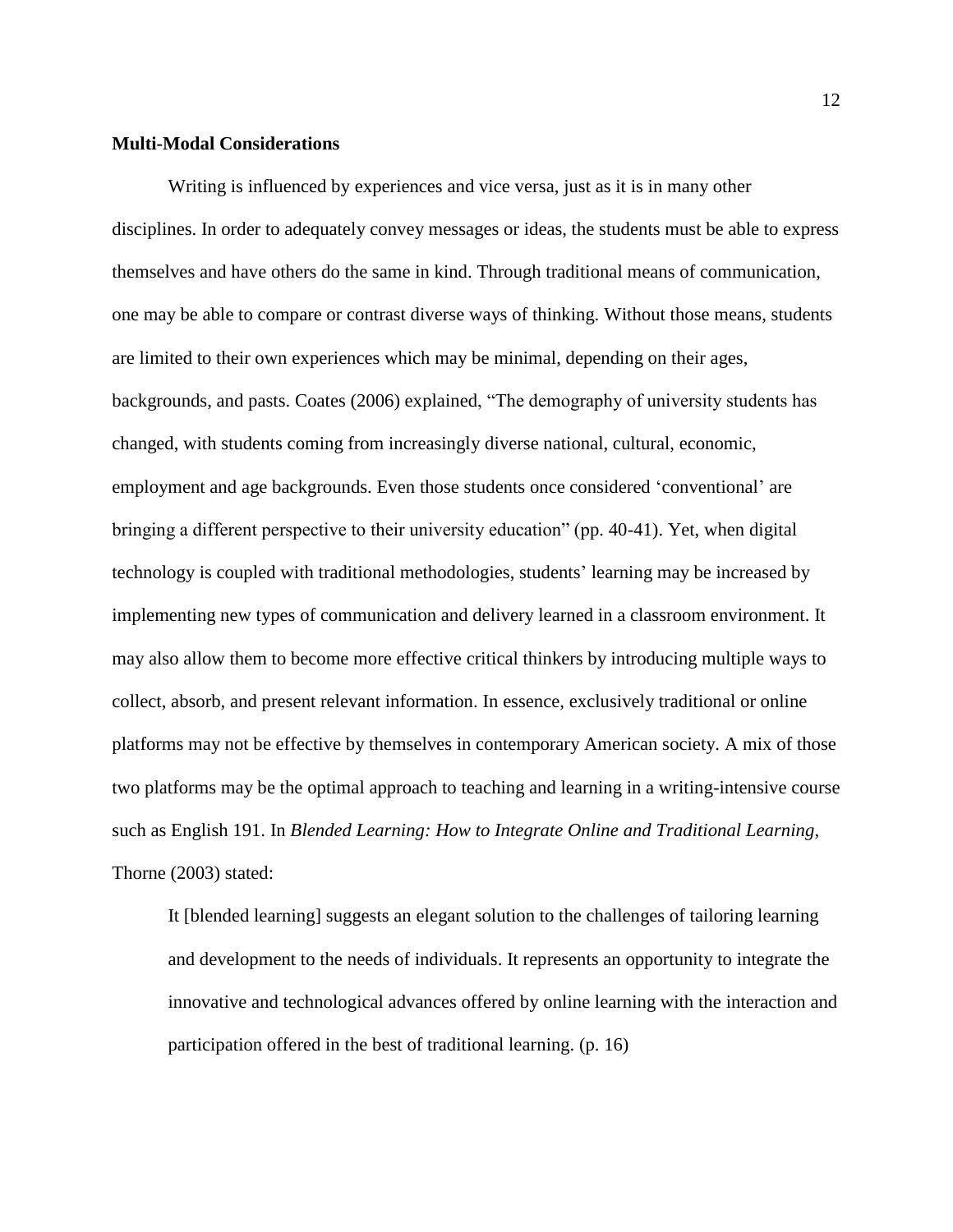#### **Multi-Modal Considerations**

Writing is influenced by experiences and vice versa, just as it is in many other disciplines. In order to adequately convey messages or ideas, the students must be able to express themselves and have others do the same in kind. Through traditional means of communication, one may be able to compare or contrast diverse ways of thinking. Without those means, students are limited to their own experiences which may be minimal, depending on their ages, backgrounds, and pasts. Coates (2006) explained, "The demography of university students has changed, with students coming from increasingly diverse national, cultural, economic, employment and age backgrounds. Even those students once considered 'conventional' are bringing a different perspective to their university education" (pp. 40-41). Yet, when digital technology is coupled with traditional methodologies, students' learning may be increased by implementing new types of communication and delivery learned in a classroom environment. It may also allow them to become more effective critical thinkers by introducing multiple ways to collect, absorb, and present relevant information. In essence, exclusively traditional or online platforms may not be effective by themselves in contemporary American society. A mix of those two platforms may be the optimal approach to teaching and learning in a writing-intensive course such as English 191. In *Blended Learning: How to Integrate Online and Traditional Learning*, Thorne (2003) stated:

It [blended learning] suggests an elegant solution to the challenges of tailoring learning and development to the needs of individuals. It represents an opportunity to integrate the innovative and technological advances offered by online learning with the interaction and participation offered in the best of traditional learning. (p. 16)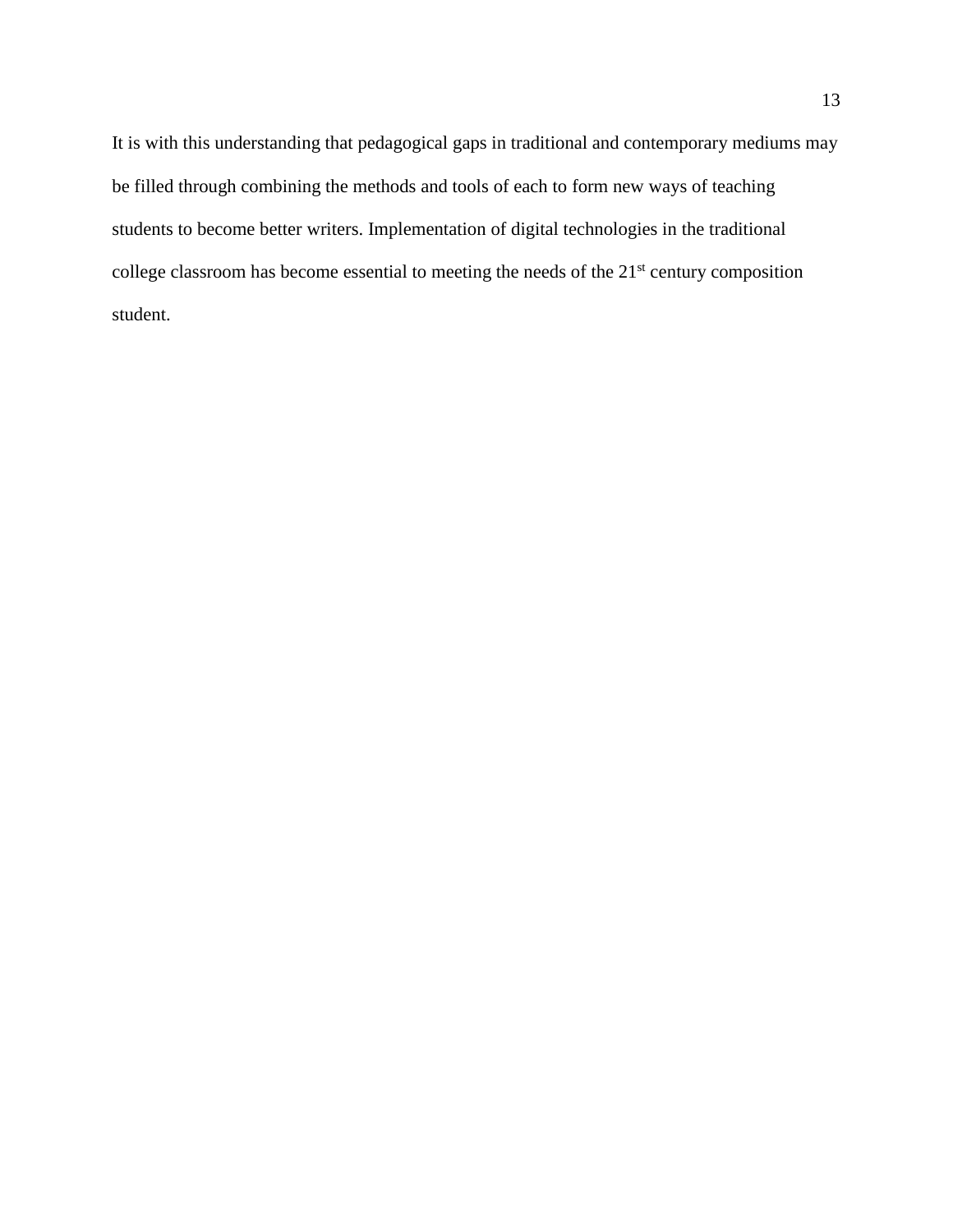It is with this understanding that pedagogical gaps in traditional and contemporary mediums may be filled through combining the methods and tools of each to form new ways of teaching students to become better writers. Implementation of digital technologies in the traditional college classroom has become essential to meeting the needs of the 21<sup>st</sup> century composition student.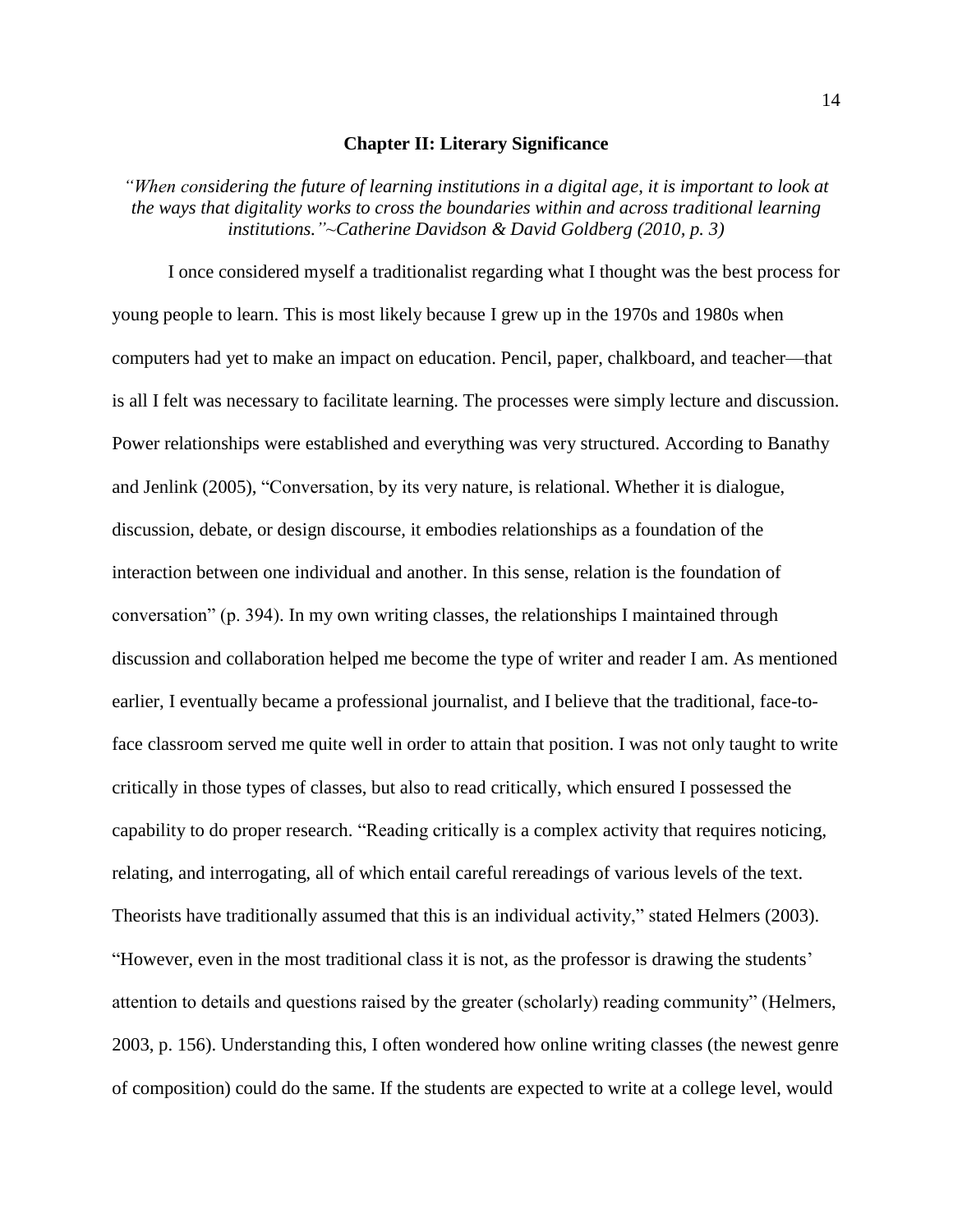#### **Chapter II: Literary Significance**

*"When considering the future of learning institutions in a digital age, it is important to look at the ways that digitality works to cross the boundaries within and across traditional learning institutions."~Catherine Davidson & David Goldberg (2010, p. 3)*

I once considered myself a traditionalist regarding what I thought was the best process for young people to learn. This is most likely because I grew up in the 1970s and 1980s when computers had yet to make an impact on education. Pencil, paper, chalkboard, and teacher—that is all I felt was necessary to facilitate learning. The processes were simply lecture and discussion. Power relationships were established and everything was very structured. According to Banathy and Jenlink (2005), "Conversation, by its very nature, is relational. Whether it is dialogue, discussion, debate, or design discourse, it embodies relationships as a foundation of the interaction between one individual and another. In this sense, relation is the foundation of conversation" (p. 394). In my own writing classes, the relationships I maintained through discussion and collaboration helped me become the type of writer and reader I am. As mentioned earlier, I eventually became a professional journalist, and I believe that the traditional, face-toface classroom served me quite well in order to attain that position. I was not only taught to write critically in those types of classes, but also to read critically, which ensured I possessed the capability to do proper research. "Reading critically is a complex activity that requires noticing, relating, and interrogating, all of which entail careful rereadings of various levels of the text. Theorists have traditionally assumed that this is an individual activity," stated Helmers (2003). "However, even in the most traditional class it is not, as the professor is drawing the students' attention to details and questions raised by the greater (scholarly) reading community" (Helmers, 2003, p. 156). Understanding this, I often wondered how online writing classes (the newest genre of composition) could do the same. If the students are expected to write at a college level, would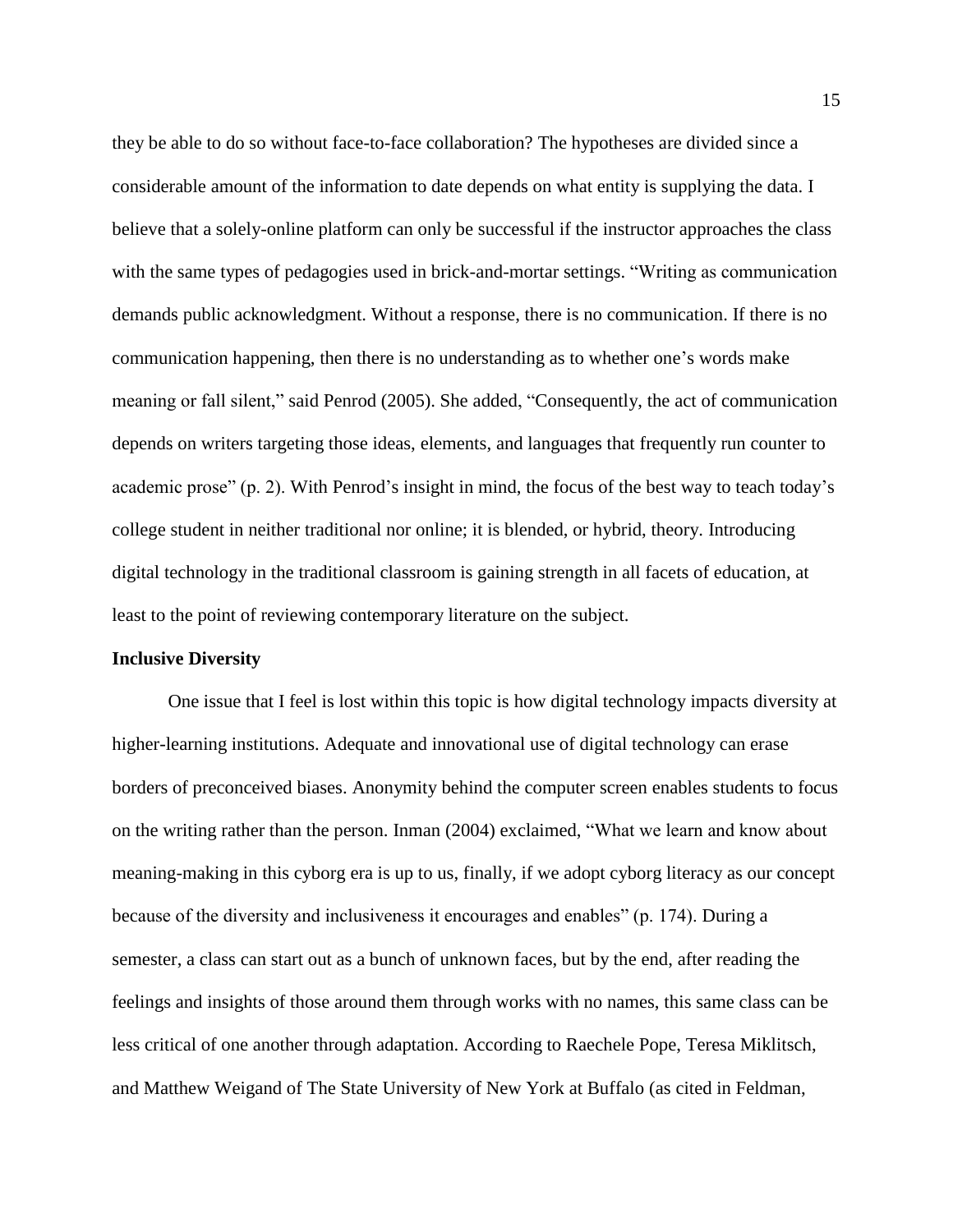they be able to do so without face-to-face collaboration? The hypotheses are divided since a considerable amount of the information to date depends on what entity is supplying the data. I believe that a solely-online platform can only be successful if the instructor approaches the class with the same types of pedagogies used in brick-and-mortar settings. "Writing as communication demands public acknowledgment. Without a response, there is no communication. If there is no communication happening, then there is no understanding as to whether one's words make meaning or fall silent," said Penrod (2005). She added, "Consequently, the act of communication depends on writers targeting those ideas, elements, and languages that frequently run counter to academic prose" (p. 2). With Penrod's insight in mind, the focus of the best way to teach today's college student in neither traditional nor online; it is blended, or hybrid, theory. Introducing digital technology in the traditional classroom is gaining strength in all facets of education, at least to the point of reviewing contemporary literature on the subject.

#### **Inclusive Diversity**

One issue that I feel is lost within this topic is how digital technology impacts diversity at higher-learning institutions. Adequate and innovational use of digital technology can erase borders of preconceived biases. Anonymity behind the computer screen enables students to focus on the writing rather than the person. Inman (2004) exclaimed, "What we learn and know about meaning-making in this cyborg era is up to us, finally, if we adopt cyborg literacy as our concept because of the diversity and inclusiveness it encourages and enables" (p. 174). During a semester, a class can start out as a bunch of unknown faces, but by the end, after reading the feelings and insights of those around them through works with no names, this same class can be less critical of one another through adaptation. According to Raechele Pope, Teresa Miklitsch, and Matthew Weigand of The State University of New York at Buffalo (as cited in Feldman,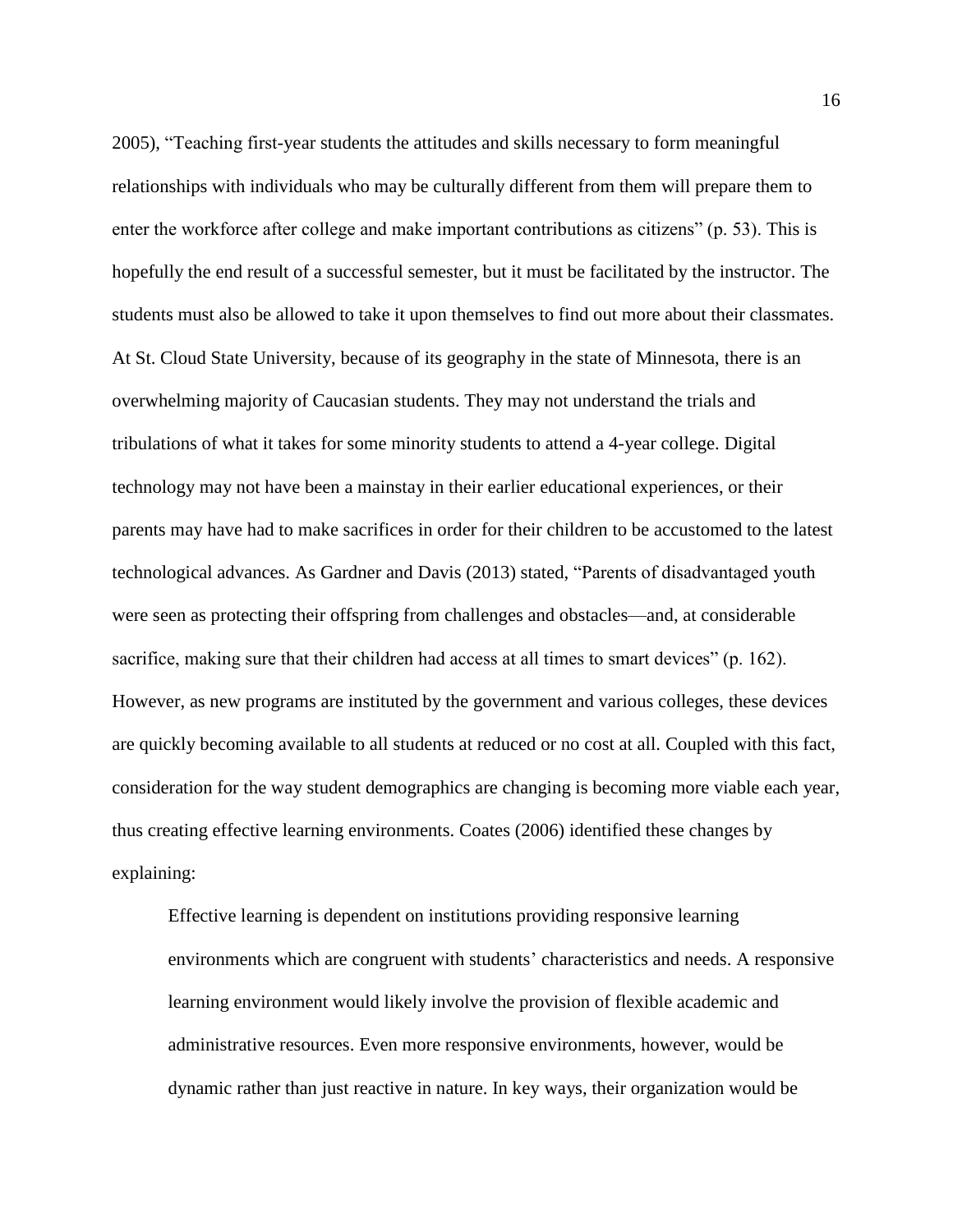2005), "Teaching first-year students the attitudes and skills necessary to form meaningful relationships with individuals who may be culturally different from them will prepare them to enter the workforce after college and make important contributions as citizens" (p. 53). This is hopefully the end result of a successful semester, but it must be facilitated by the instructor. The students must also be allowed to take it upon themselves to find out more about their classmates. At St. Cloud State University, because of its geography in the state of Minnesota, there is an overwhelming majority of Caucasian students. They may not understand the trials and tribulations of what it takes for some minority students to attend a 4-year college. Digital technology may not have been a mainstay in their earlier educational experiences, or their parents may have had to make sacrifices in order for their children to be accustomed to the latest technological advances. As Gardner and Davis (2013) stated, "Parents of disadvantaged youth were seen as protecting their offspring from challenges and obstacles—and, at considerable sacrifice, making sure that their children had access at all times to smart devices" (p. 162). However, as new programs are instituted by the government and various colleges, these devices are quickly becoming available to all students at reduced or no cost at all. Coupled with this fact, consideration for the way student demographics are changing is becoming more viable each year, thus creating effective learning environments. Coates (2006) identified these changes by explaining:

Effective learning is dependent on institutions providing responsive learning environments which are congruent with students' characteristics and needs. A responsive learning environment would likely involve the provision of flexible academic and administrative resources. Even more responsive environments, however, would be dynamic rather than just reactive in nature. In key ways, their organization would be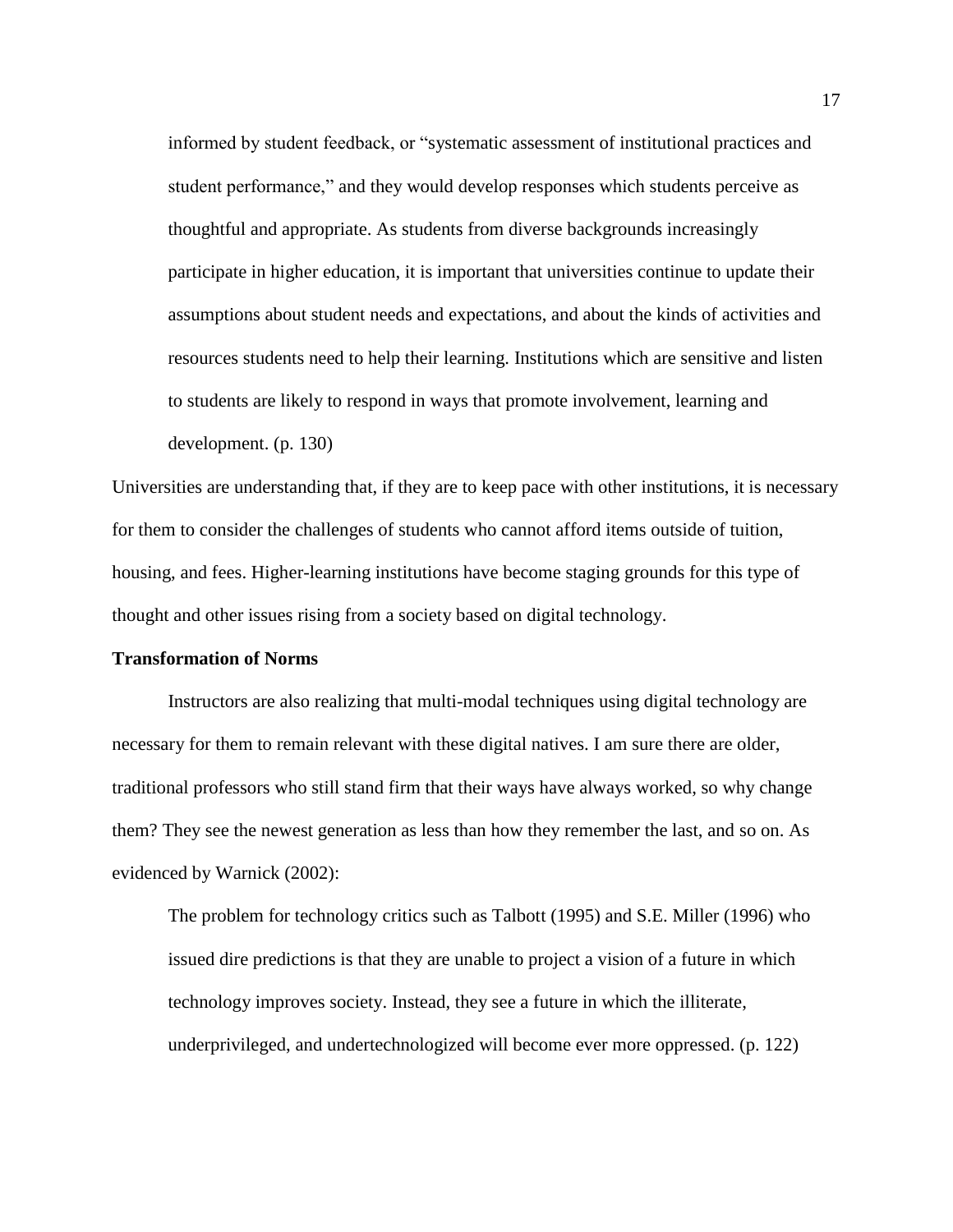informed by student feedback, or "systematic assessment of institutional practices and student performance," and they would develop responses which students perceive as thoughtful and appropriate. As students from diverse backgrounds increasingly participate in higher education, it is important that universities continue to update their assumptions about student needs and expectations, and about the kinds of activities and resources students need to help their learning. Institutions which are sensitive and listen to students are likely to respond in ways that promote involvement, learning and development. (p. 130)

Universities are understanding that, if they are to keep pace with other institutions, it is necessary for them to consider the challenges of students who cannot afford items outside of tuition, housing, and fees. Higher-learning institutions have become staging grounds for this type of thought and other issues rising from a society based on digital technology.

#### **Transformation of Norms**

Instructors are also realizing that multi-modal techniques using digital technology are necessary for them to remain relevant with these digital natives. I am sure there are older, traditional professors who still stand firm that their ways have always worked, so why change them? They see the newest generation as less than how they remember the last, and so on. As evidenced by Warnick (2002):

The problem for technology critics such as Talbott (1995) and S.E. Miller (1996) who issued dire predictions is that they are unable to project a vision of a future in which technology improves society. Instead, they see a future in which the illiterate, underprivileged, and undertechnologized will become ever more oppressed. (p. 122)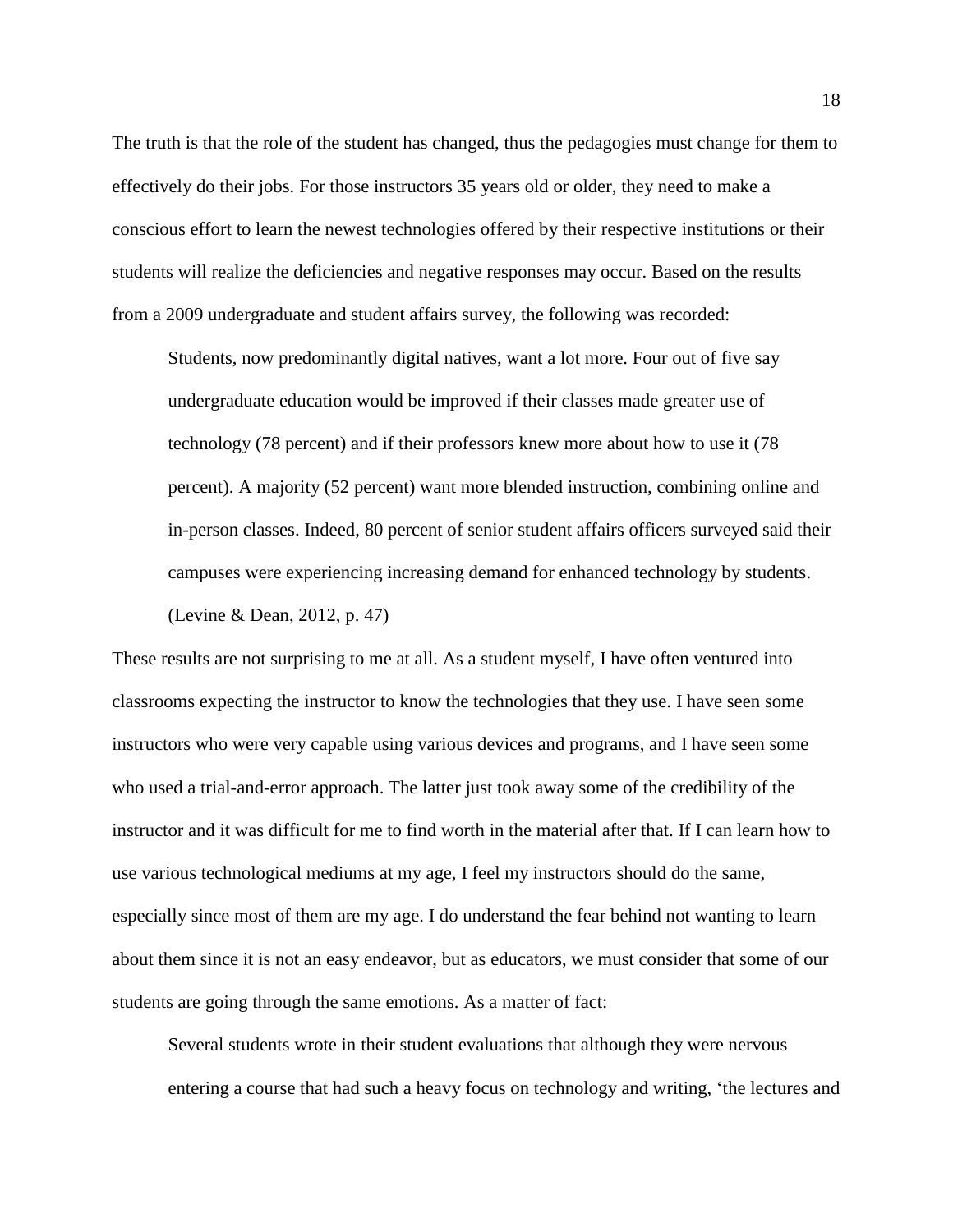The truth is that the role of the student has changed, thus the pedagogies must change for them to effectively do their jobs. For those instructors 35 years old or older, they need to make a conscious effort to learn the newest technologies offered by their respective institutions or their students will realize the deficiencies and negative responses may occur. Based on the results from a 2009 undergraduate and student affairs survey, the following was recorded:

Students, now predominantly digital natives, want a lot more. Four out of five say undergraduate education would be improved if their classes made greater use of technology (78 percent) and if their professors knew more about how to use it (78 percent). A majority (52 percent) want more blended instruction, combining online and in-person classes. Indeed, 80 percent of senior student affairs officers surveyed said their campuses were experiencing increasing demand for enhanced technology by students.

(Levine & Dean, 2012, p. 47)

These results are not surprising to me at all. As a student myself, I have often ventured into classrooms expecting the instructor to know the technologies that they use. I have seen some instructors who were very capable using various devices and programs, and I have seen some who used a trial-and-error approach. The latter just took away some of the credibility of the instructor and it was difficult for me to find worth in the material after that. If I can learn how to use various technological mediums at my age, I feel my instructors should do the same, especially since most of them are my age. I do understand the fear behind not wanting to learn about them since it is not an easy endeavor, but as educators, we must consider that some of our students are going through the same emotions. As a matter of fact:

Several students wrote in their student evaluations that although they were nervous entering a course that had such a heavy focus on technology and writing, 'the lectures and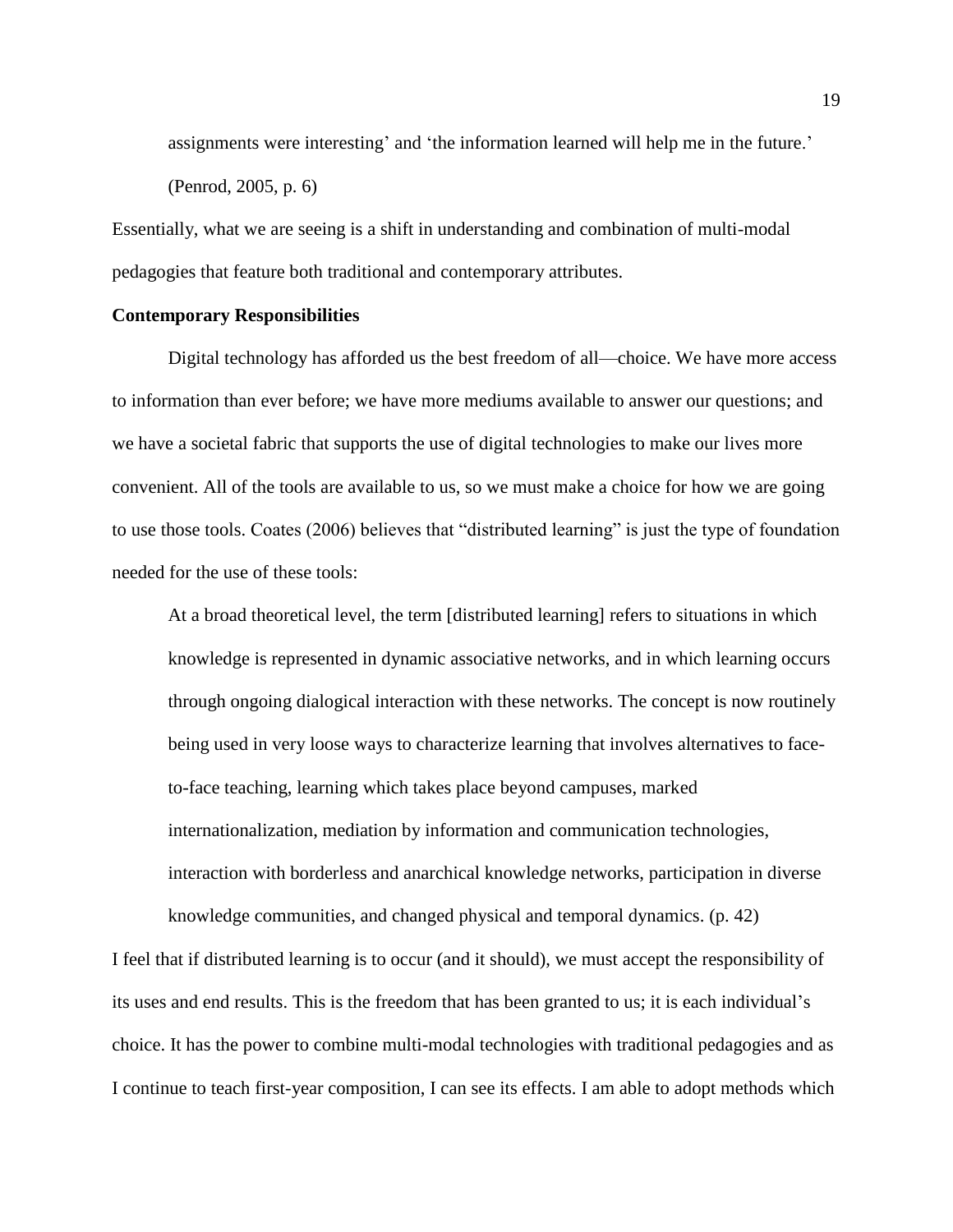assignments were interesting' and 'the information learned will help me in the future.' (Penrod, 2005, p. 6)

Essentially, what we are seeing is a shift in understanding and combination of multi-modal pedagogies that feature both traditional and contemporary attributes.

#### **Contemporary Responsibilities**

Digital technology has afforded us the best freedom of all—choice. We have more access to information than ever before; we have more mediums available to answer our questions; and we have a societal fabric that supports the use of digital technologies to make our lives more convenient. All of the tools are available to us, so we must make a choice for how we are going to use those tools. Coates (2006) believes that "distributed learning" is just the type of foundation needed for the use of these tools:

At a broad theoretical level, the term [distributed learning] refers to situations in which knowledge is represented in dynamic associative networks, and in which learning occurs through ongoing dialogical interaction with these networks. The concept is now routinely being used in very loose ways to characterize learning that involves alternatives to faceto-face teaching, learning which takes place beyond campuses, marked internationalization, mediation by information and communication technologies, interaction with borderless and anarchical knowledge networks, participation in diverse knowledge communities, and changed physical and temporal dynamics. (p. 42)

I feel that if distributed learning is to occur (and it should), we must accept the responsibility of its uses and end results. This is the freedom that has been granted to us; it is each individual's choice. It has the power to combine multi-modal technologies with traditional pedagogies and as I continue to teach first-year composition, I can see its effects. I am able to adopt methods which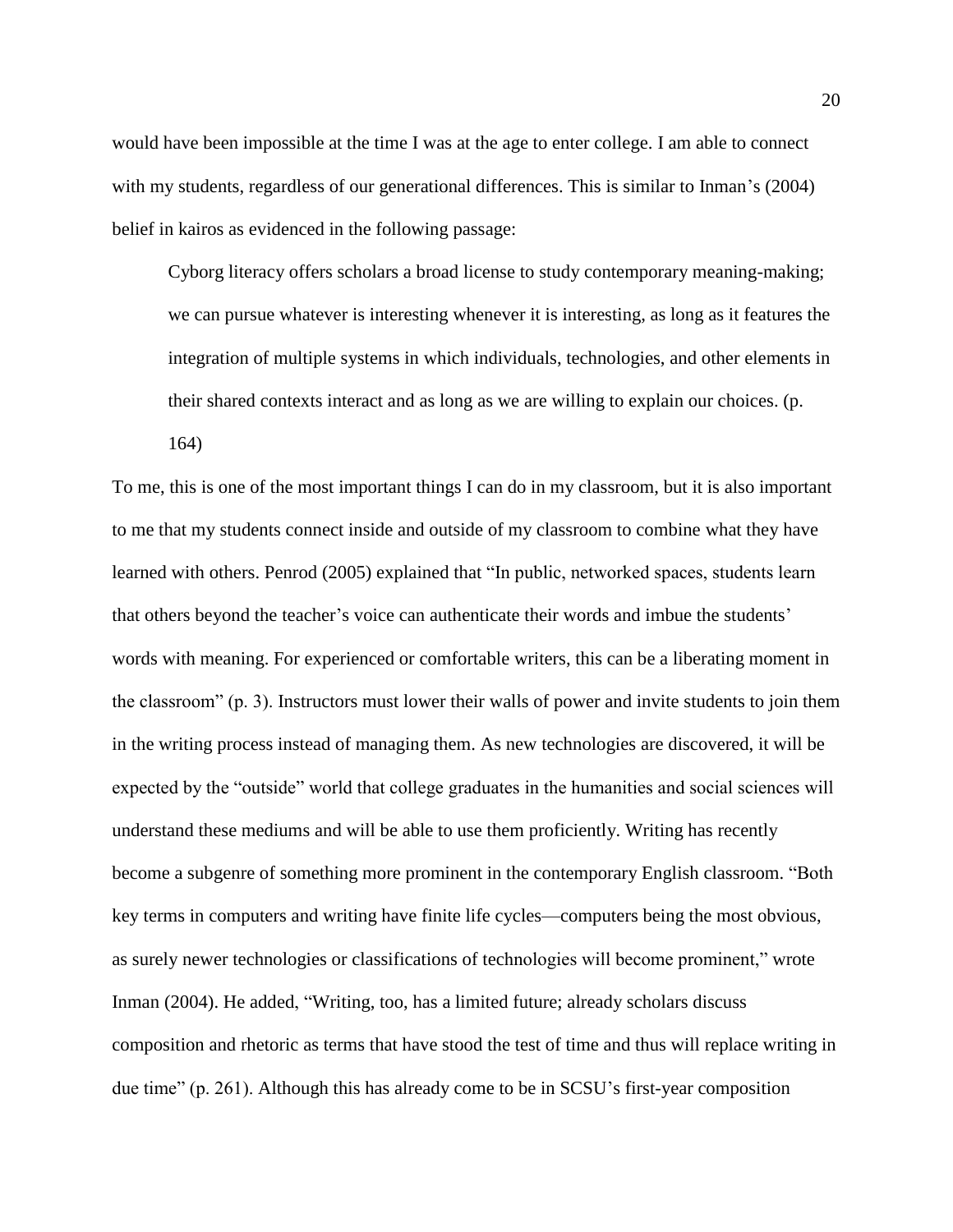would have been impossible at the time I was at the age to enter college. I am able to connect with my students, regardless of our generational differences. This is similar to Inman's (2004) belief in kairos as evidenced in the following passage:

Cyborg literacy offers scholars a broad license to study contemporary meaning-making; we can pursue whatever is interesting whenever it is interesting, as long as it features the integration of multiple systems in which individuals, technologies, and other elements in their shared contexts interact and as long as we are willing to explain our choices. (p.

164)

To me, this is one of the most important things I can do in my classroom, but it is also important to me that my students connect inside and outside of my classroom to combine what they have learned with others. Penrod (2005) explained that "In public, networked spaces, students learn that others beyond the teacher's voice can authenticate their words and imbue the students' words with meaning. For experienced or comfortable writers, this can be a liberating moment in the classroom" (p. 3). Instructors must lower their walls of power and invite students to join them in the writing process instead of managing them. As new technologies are discovered, it will be expected by the "outside" world that college graduates in the humanities and social sciences will understand these mediums and will be able to use them proficiently. Writing has recently become a subgenre of something more prominent in the contemporary English classroom. "Both key terms in computers and writing have finite life cycles—computers being the most obvious, as surely newer technologies or classifications of technologies will become prominent," wrote Inman (2004). He added, "Writing, too, has a limited future; already scholars discuss composition and rhetoric as terms that have stood the test of time and thus will replace writing in due time" (p. 261). Although this has already come to be in SCSU's first-year composition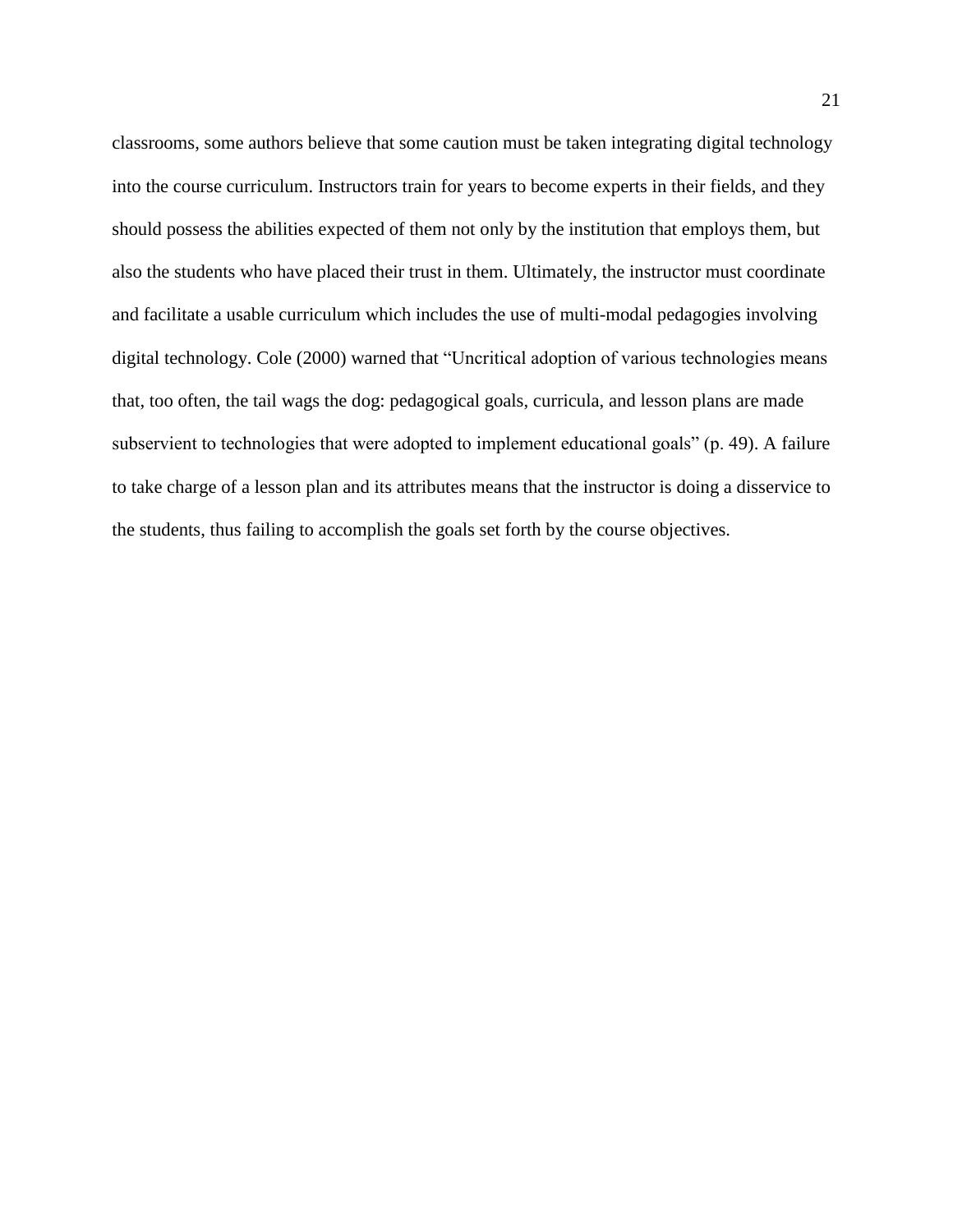classrooms, some authors believe that some caution must be taken integrating digital technology into the course curriculum. Instructors train for years to become experts in their fields, and they should possess the abilities expected of them not only by the institution that employs them, but also the students who have placed their trust in them. Ultimately, the instructor must coordinate and facilitate a usable curriculum which includes the use of multi-modal pedagogies involving digital technology. Cole (2000) warned that "Uncritical adoption of various technologies means that, too often, the tail wags the dog: pedagogical goals, curricula, and lesson plans are made subservient to technologies that were adopted to implement educational goals" (p. 49). A failure to take charge of a lesson plan and its attributes means that the instructor is doing a disservice to the students, thus failing to accomplish the goals set forth by the course objectives.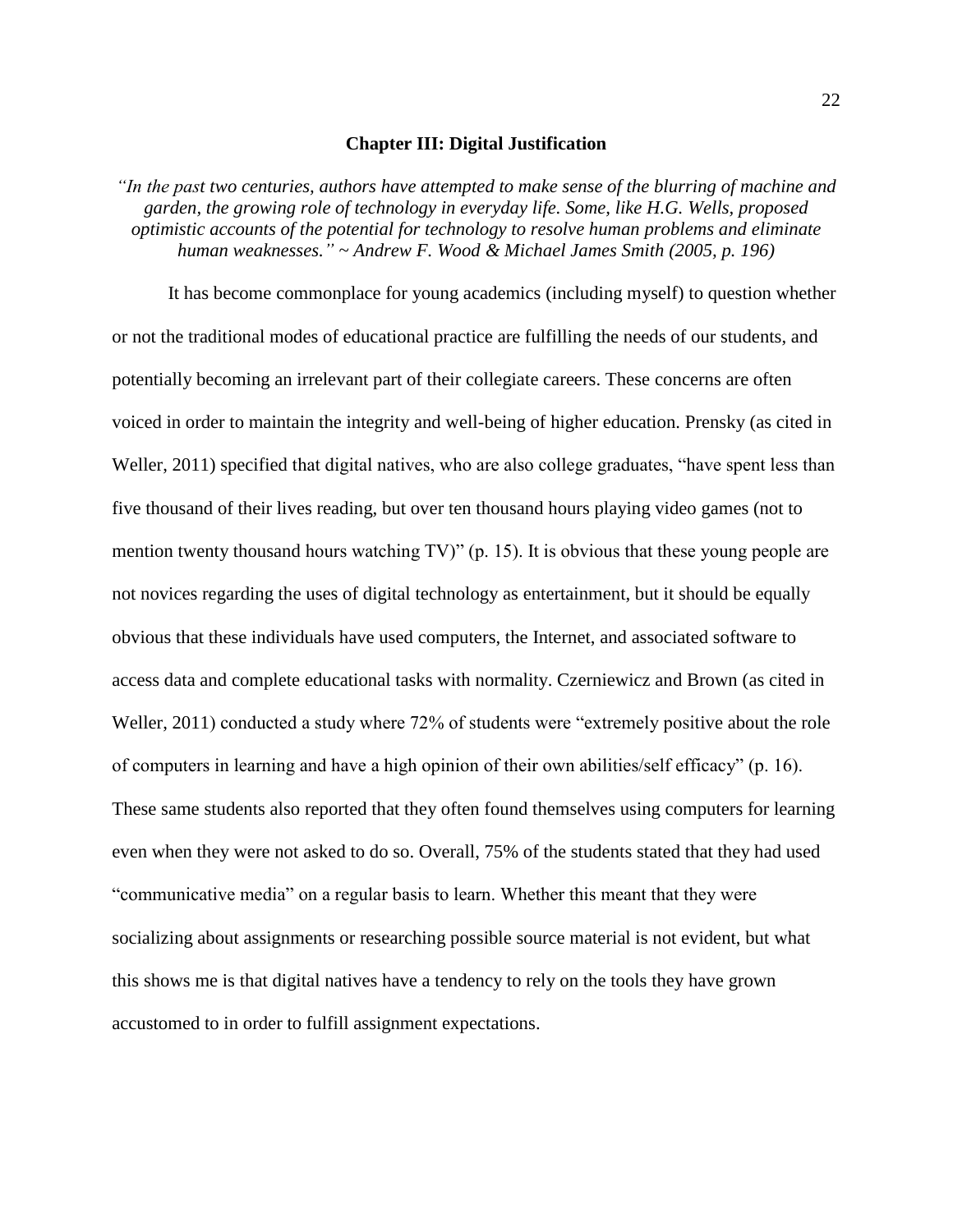#### **Chapter III: Digital Justification**

*"In the past two centuries, authors have attempted to make sense of the blurring of machine and garden, the growing role of technology in everyday life. Some, like H.G. Wells, proposed optimistic accounts of the potential for technology to resolve human problems and eliminate human weaknesses." ~ Andrew F. Wood & Michael James Smith (2005, p. 196)*

It has become commonplace for young academics (including myself) to question whether or not the traditional modes of educational practice are fulfilling the needs of our students, and potentially becoming an irrelevant part of their collegiate careers. These concerns are often voiced in order to maintain the integrity and well-being of higher education. Prensky (as cited in Weller, 2011) specified that digital natives, who are also college graduates, "have spent less than five thousand of their lives reading, but over ten thousand hours playing video games (not to mention twenty thousand hours watching TV)" (p. 15). It is obvious that these young people are not novices regarding the uses of digital technology as entertainment, but it should be equally obvious that these individuals have used computers, the Internet, and associated software to access data and complete educational tasks with normality. Czerniewicz and Brown (as cited in Weller, 2011) conducted a study where 72% of students were "extremely positive about the role of computers in learning and have a high opinion of their own abilities/self efficacy" (p. 16). These same students also reported that they often found themselves using computers for learning even when they were not asked to do so. Overall, 75% of the students stated that they had used "communicative media" on a regular basis to learn. Whether this meant that they were socializing about assignments or researching possible source material is not evident, but what this shows me is that digital natives have a tendency to rely on the tools they have grown accustomed to in order to fulfill assignment expectations.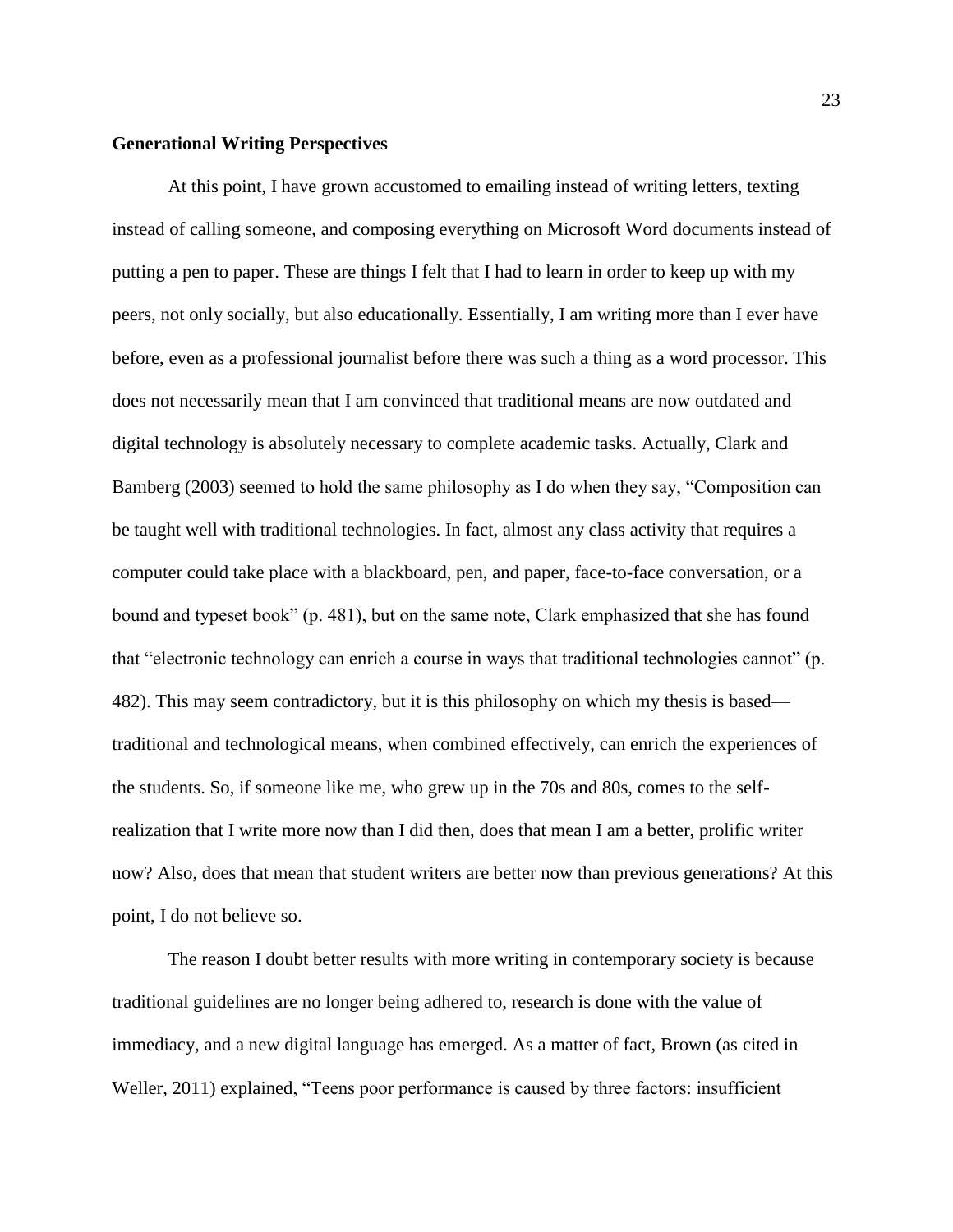#### **Generational Writing Perspectives**

At this point, I have grown accustomed to emailing instead of writing letters, texting instead of calling someone, and composing everything on Microsoft Word documents instead of putting a pen to paper. These are things I felt that I had to learn in order to keep up with my peers, not only socially, but also educationally. Essentially, I am writing more than I ever have before, even as a professional journalist before there was such a thing as a word processor. This does not necessarily mean that I am convinced that traditional means are now outdated and digital technology is absolutely necessary to complete academic tasks. Actually, Clark and Bamberg (2003) seemed to hold the same philosophy as I do when they say, "Composition can be taught well with traditional technologies. In fact, almost any class activity that requires a computer could take place with a blackboard, pen, and paper, face-to-face conversation, or a bound and typeset book" (p. 481), but on the same note, Clark emphasized that she has found that "electronic technology can enrich a course in ways that traditional technologies cannot" (p. 482). This may seem contradictory, but it is this philosophy on which my thesis is based traditional and technological means, when combined effectively, can enrich the experiences of the students. So, if someone like me, who grew up in the 70s and 80s, comes to the selfrealization that I write more now than I did then, does that mean I am a better, prolific writer now? Also, does that mean that student writers are better now than previous generations? At this point, I do not believe so.

The reason I doubt better results with more writing in contemporary society is because traditional guidelines are no longer being adhered to, research is done with the value of immediacy, and a new digital language has emerged. As a matter of fact, Brown (as cited in Weller, 2011) explained, "Teens poor performance is caused by three factors: insufficient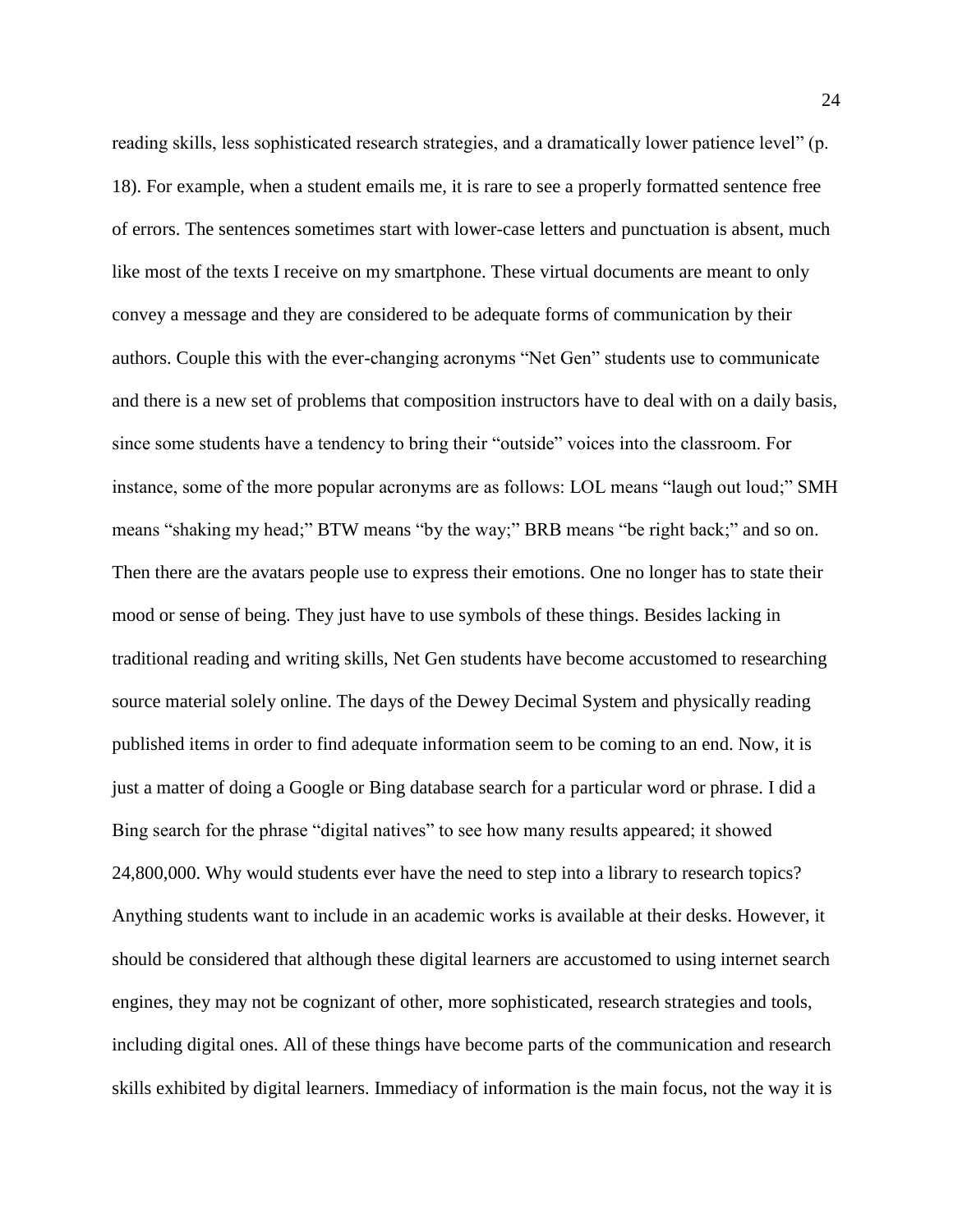reading skills, less sophisticated research strategies, and a dramatically lower patience level" (p. 18). For example, when a student emails me, it is rare to see a properly formatted sentence free of errors. The sentences sometimes start with lower-case letters and punctuation is absent, much like most of the texts I receive on my smartphone. These virtual documents are meant to only convey a message and they are considered to be adequate forms of communication by their authors. Couple this with the ever-changing acronyms "Net Gen" students use to communicate and there is a new set of problems that composition instructors have to deal with on a daily basis, since some students have a tendency to bring their "outside" voices into the classroom. For instance, some of the more popular acronyms are as follows: LOL means "laugh out loud;" SMH means "shaking my head;" BTW means "by the way;" BRB means "be right back;" and so on. Then there are the avatars people use to express their emotions. One no longer has to state their mood or sense of being. They just have to use symbols of these things. Besides lacking in traditional reading and writing skills, Net Gen students have become accustomed to researching source material solely online. The days of the Dewey Decimal System and physically reading published items in order to find adequate information seem to be coming to an end. Now, it is just a matter of doing a Google or Bing database search for a particular word or phrase. I did a Bing search for the phrase "digital natives" to see how many results appeared; it showed 24,800,000. Why would students ever have the need to step into a library to research topics? Anything students want to include in an academic works is available at their desks. However, it should be considered that although these digital learners are accustomed to using internet search engines, they may not be cognizant of other, more sophisticated, research strategies and tools, including digital ones. All of these things have become parts of the communication and research skills exhibited by digital learners. Immediacy of information is the main focus, not the way it is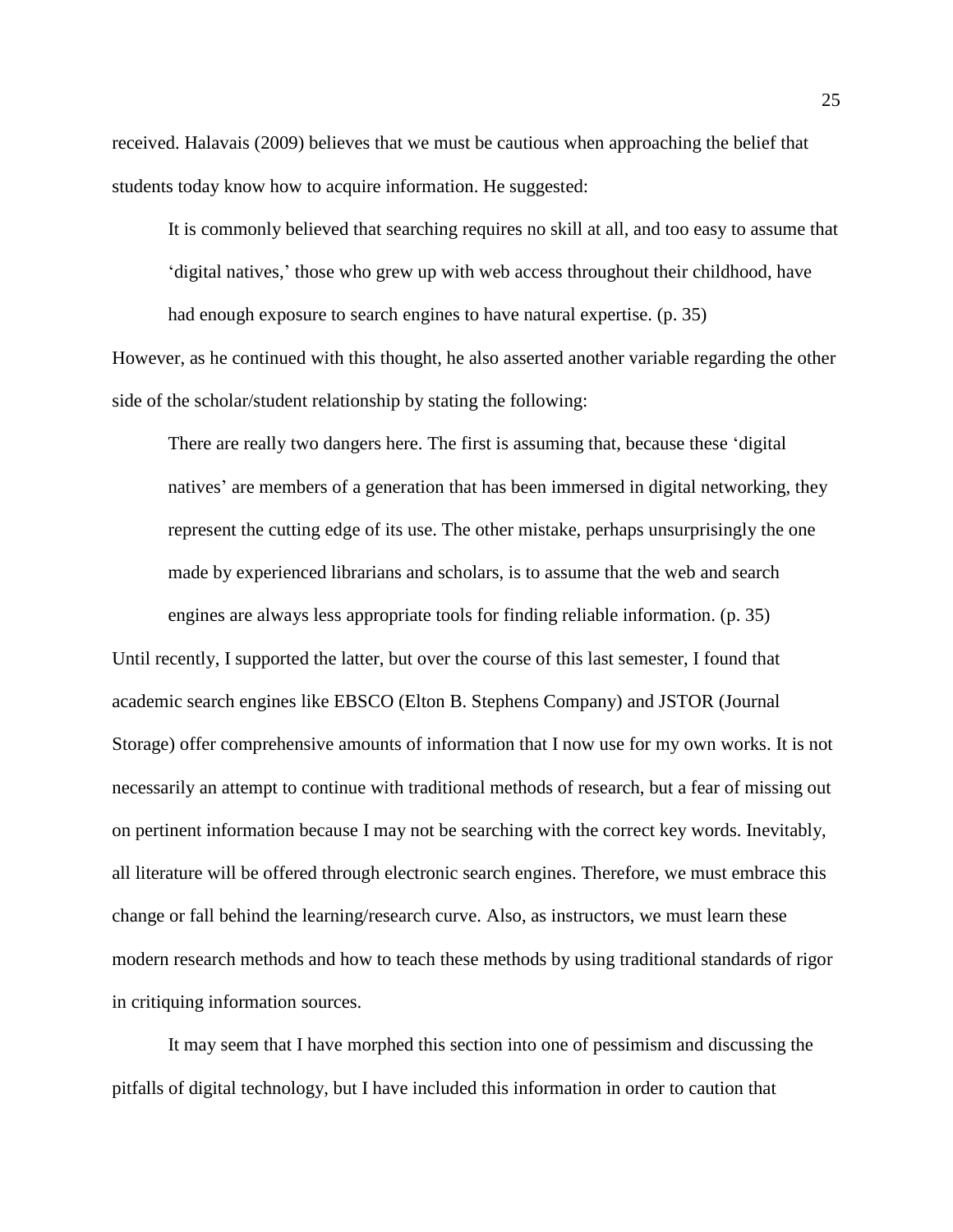received. Halavais (2009) believes that we must be cautious when approaching the belief that students today know how to acquire information. He suggested:

It is commonly believed that searching requires no skill at all, and too easy to assume that 'digital natives,' those who grew up with web access throughout their childhood, have

had enough exposure to search engines to have natural expertise. (p. 35) However, as he continued with this thought, he also asserted another variable regarding the other side of the scholar/student relationship by stating the following:

There are really two dangers here. The first is assuming that, because these 'digital natives' are members of a generation that has been immersed in digital networking, they represent the cutting edge of its use. The other mistake, perhaps unsurprisingly the one made by experienced librarians and scholars, is to assume that the web and search engines are always less appropriate tools for finding reliable information. (p. 35)

Until recently, I supported the latter, but over the course of this last semester, I found that academic search engines like EBSCO (Elton B. Stephens Company) and JSTOR (Journal Storage) offer comprehensive amounts of information that I now use for my own works. It is not necessarily an attempt to continue with traditional methods of research, but a fear of missing out on pertinent information because I may not be searching with the correct key words. Inevitably, all literature will be offered through electronic search engines. Therefore, we must embrace this change or fall behind the learning/research curve. Also, as instructors, we must learn these modern research methods and how to teach these methods by using traditional standards of rigor in critiquing information sources.

It may seem that I have morphed this section into one of pessimism and discussing the pitfalls of digital technology, but I have included this information in order to caution that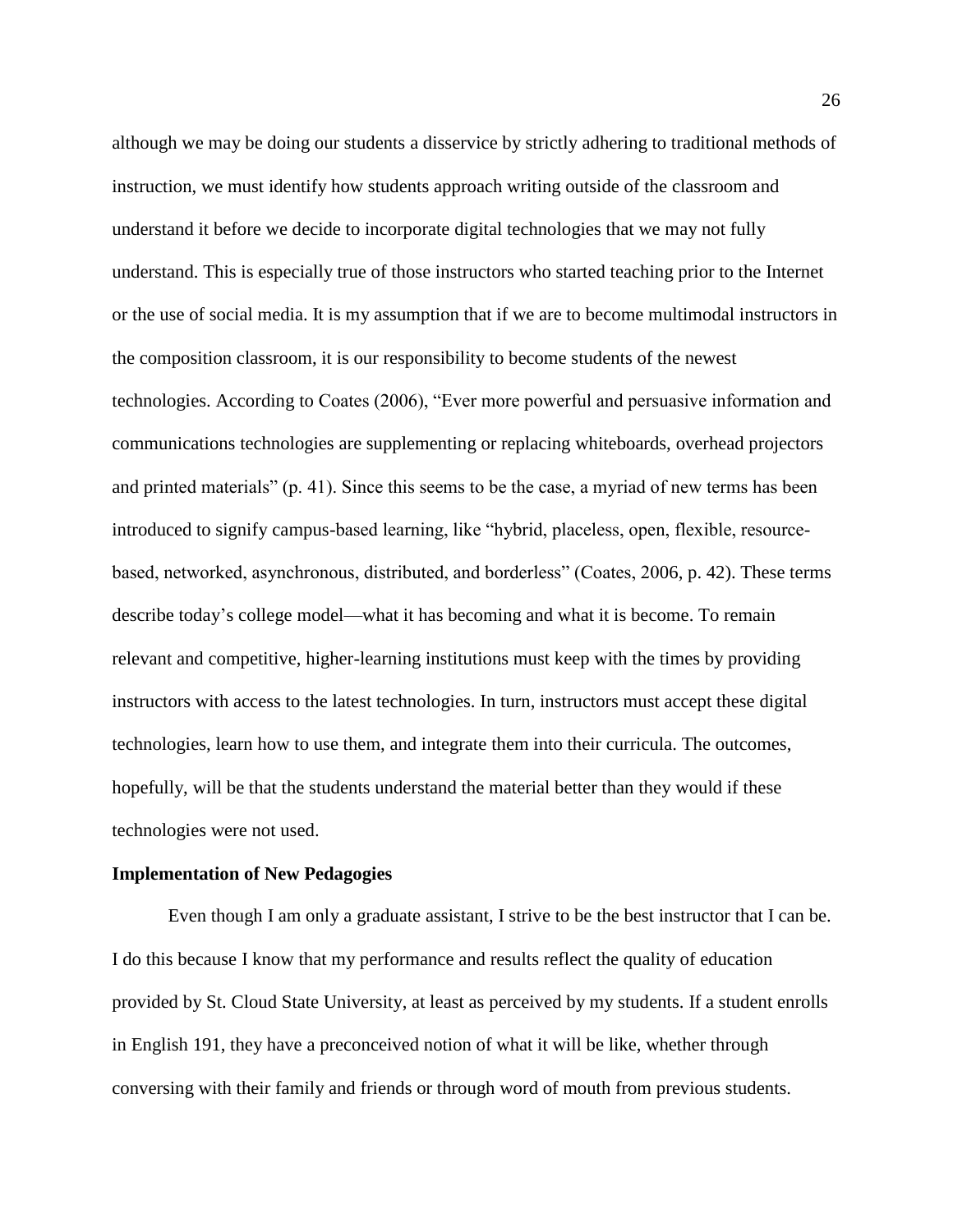although we may be doing our students a disservice by strictly adhering to traditional methods of instruction, we must identify how students approach writing outside of the classroom and understand it before we decide to incorporate digital technologies that we may not fully understand. This is especially true of those instructors who started teaching prior to the Internet or the use of social media. It is my assumption that if we are to become multimodal instructors in the composition classroom, it is our responsibility to become students of the newest technologies. According to Coates (2006), "Ever more powerful and persuasive information and communications technologies are supplementing or replacing whiteboards, overhead projectors and printed materials" (p. 41). Since this seems to be the case, a myriad of new terms has been introduced to signify campus-based learning, like "hybrid, placeless, open, flexible, resourcebased, networked, asynchronous, distributed, and borderless" (Coates, 2006, p. 42). These terms describe today's college model—what it has becoming and what it is become. To remain relevant and competitive, higher-learning institutions must keep with the times by providing instructors with access to the latest technologies. In turn, instructors must accept these digital technologies, learn how to use them, and integrate them into their curricula. The outcomes, hopefully, will be that the students understand the material better than they would if these technologies were not used.

#### **Implementation of New Pedagogies**

Even though I am only a graduate assistant, I strive to be the best instructor that I can be. I do this because I know that my performance and results reflect the quality of education provided by St. Cloud State University, at least as perceived by my students. If a student enrolls in English 191, they have a preconceived notion of what it will be like, whether through conversing with their family and friends or through word of mouth from previous students.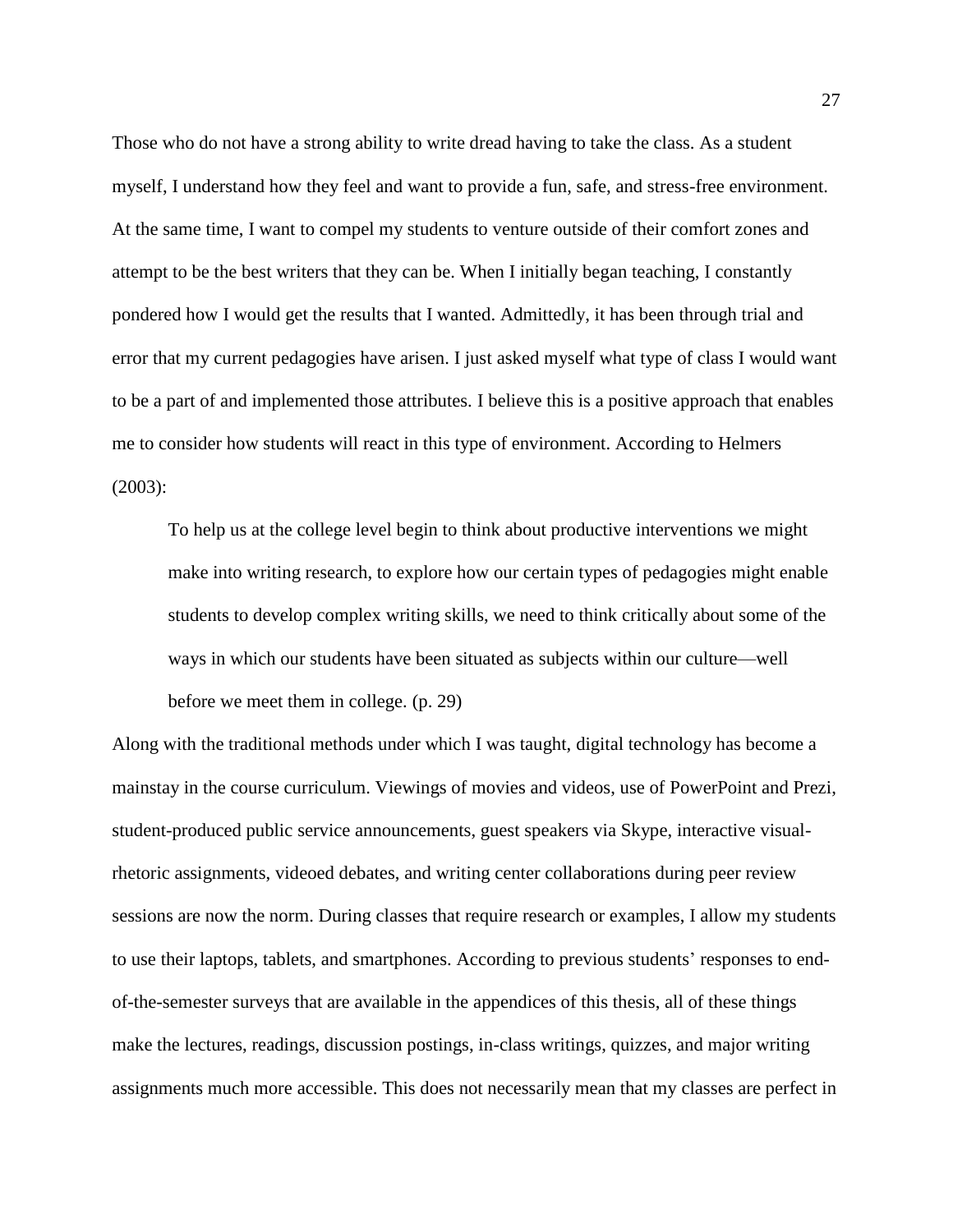Those who do not have a strong ability to write dread having to take the class. As a student myself, I understand how they feel and want to provide a fun, safe, and stress-free environment. At the same time, I want to compel my students to venture outside of their comfort zones and attempt to be the best writers that they can be. When I initially began teaching, I constantly pondered how I would get the results that I wanted. Admittedly, it has been through trial and error that my current pedagogies have arisen. I just asked myself what type of class I would want to be a part of and implemented those attributes. I believe this is a positive approach that enables me to consider how students will react in this type of environment. According to Helmers (2003):

To help us at the college level begin to think about productive interventions we might make into writing research, to explore how our certain types of pedagogies might enable students to develop complex writing skills, we need to think critically about some of the ways in which our students have been situated as subjects within our culture—well before we meet them in college. (p. 29)

Along with the traditional methods under which I was taught, digital technology has become a mainstay in the course curriculum. Viewings of movies and videos, use of PowerPoint and Prezi, student-produced public service announcements, guest speakers via Skype, interactive visualrhetoric assignments, videoed debates, and writing center collaborations during peer review sessions are now the norm. During classes that require research or examples, I allow my students to use their laptops, tablets, and smartphones. According to previous students' responses to endof-the-semester surveys that are available in the appendices of this thesis, all of these things make the lectures, readings, discussion postings, in-class writings, quizzes, and major writing assignments much more accessible. This does not necessarily mean that my classes are perfect in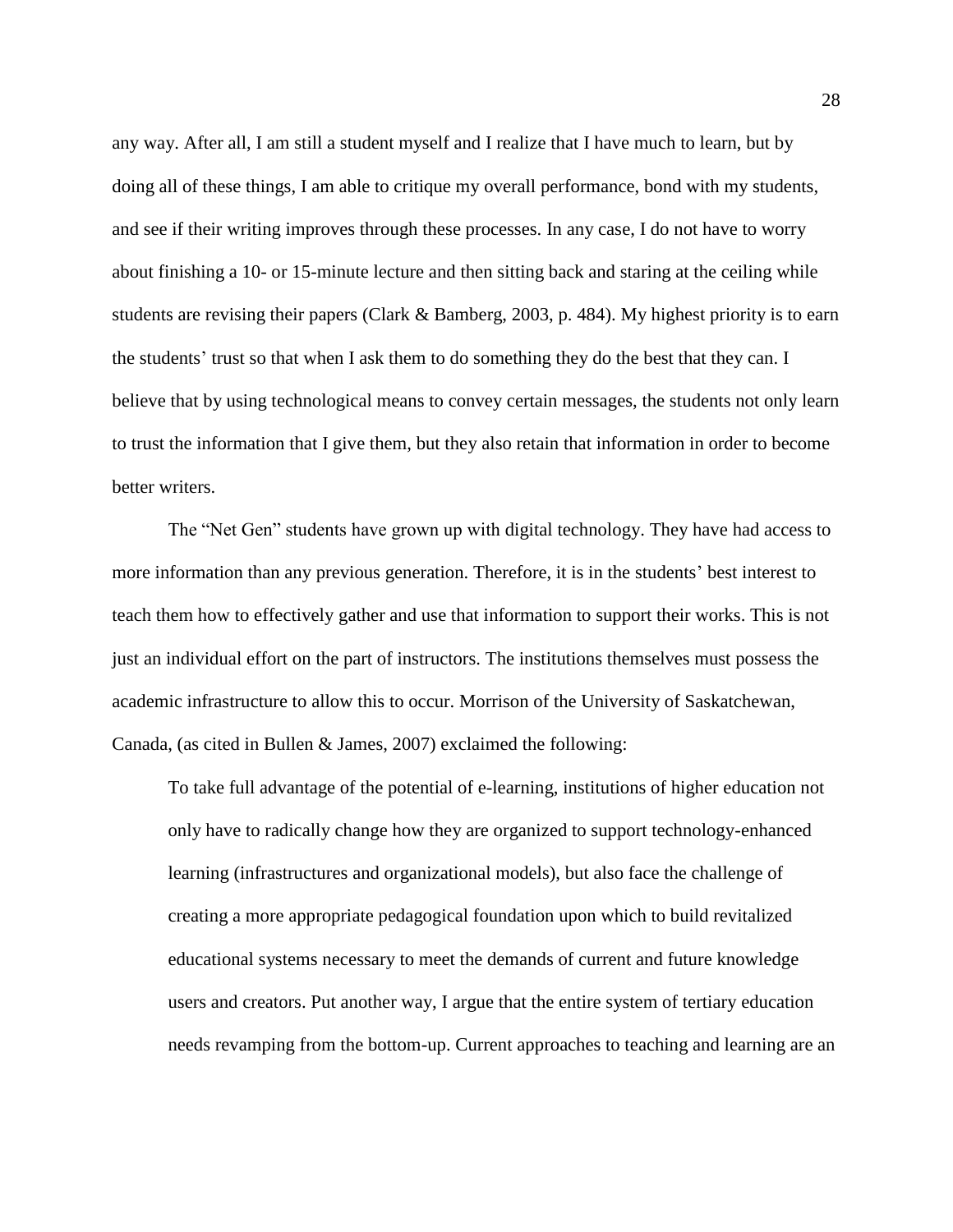any way. After all, I am still a student myself and I realize that I have much to learn, but by doing all of these things, I am able to critique my overall performance, bond with my students, and see if their writing improves through these processes. In any case, I do not have to worry about finishing a 10- or 15-minute lecture and then sitting back and staring at the ceiling while students are revising their papers (Clark & Bamberg, 2003, p. 484). My highest priority is to earn the students' trust so that when I ask them to do something they do the best that they can. I believe that by using technological means to convey certain messages, the students not only learn to trust the information that I give them, but they also retain that information in order to become better writers.

The "Net Gen" students have grown up with digital technology. They have had access to more information than any previous generation. Therefore, it is in the students' best interest to teach them how to effectively gather and use that information to support their works. This is not just an individual effort on the part of instructors. The institutions themselves must possess the academic infrastructure to allow this to occur. Morrison of the University of Saskatchewan, Canada, (as cited in Bullen & James, 2007) exclaimed the following:

To take full advantage of the potential of e-learning, institutions of higher education not only have to radically change how they are organized to support technology-enhanced learning (infrastructures and organizational models), but also face the challenge of creating a more appropriate pedagogical foundation upon which to build revitalized educational systems necessary to meet the demands of current and future knowledge users and creators. Put another way, I argue that the entire system of tertiary education needs revamping from the bottom-up. Current approaches to teaching and learning are an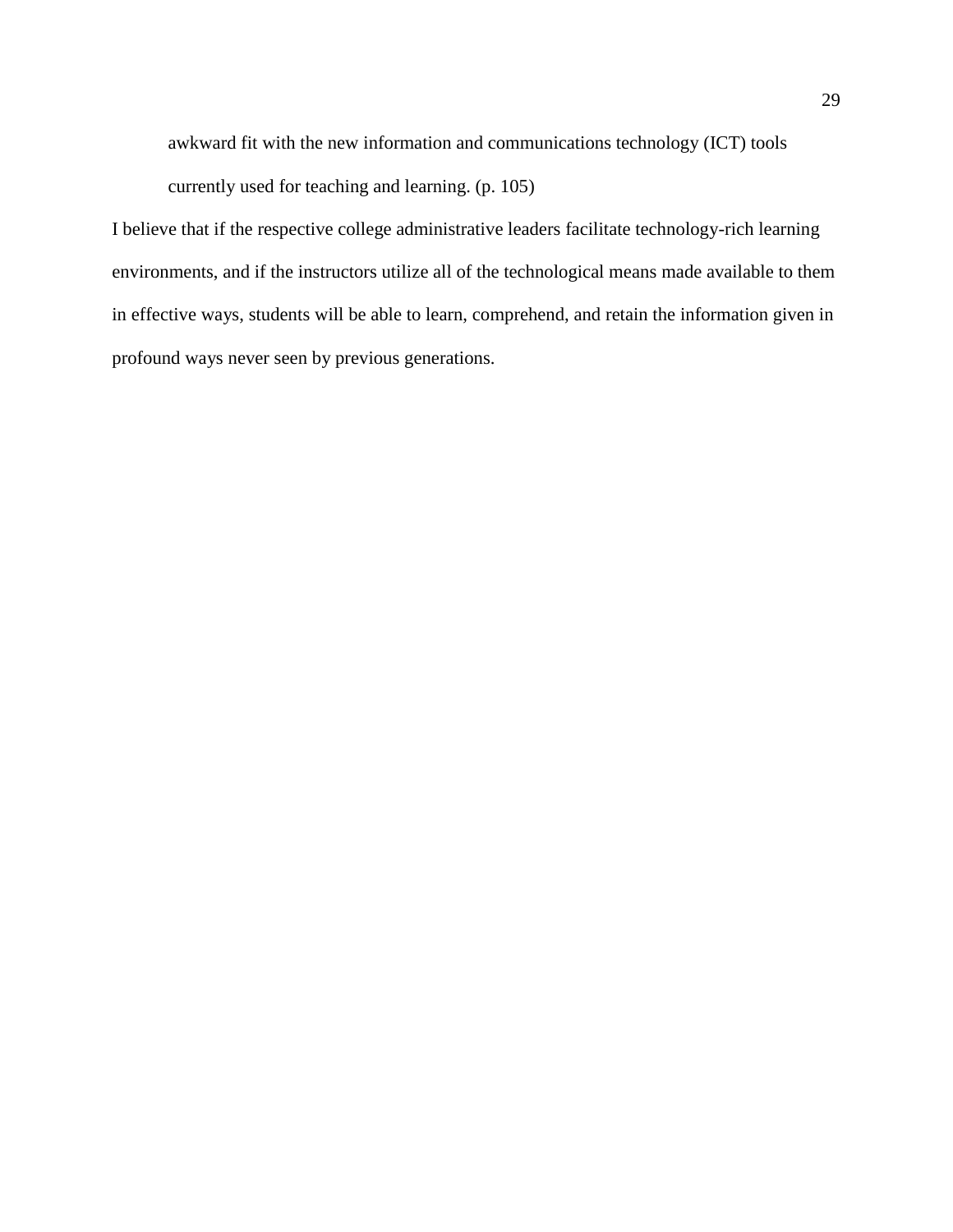awkward fit with the new information and communications technology (ICT) tools currently used for teaching and learning. (p. 105)

I believe that if the respective college administrative leaders facilitate technology-rich learning environments, and if the instructors utilize all of the technological means made available to them in effective ways, students will be able to learn, comprehend, and retain the information given in profound ways never seen by previous generations.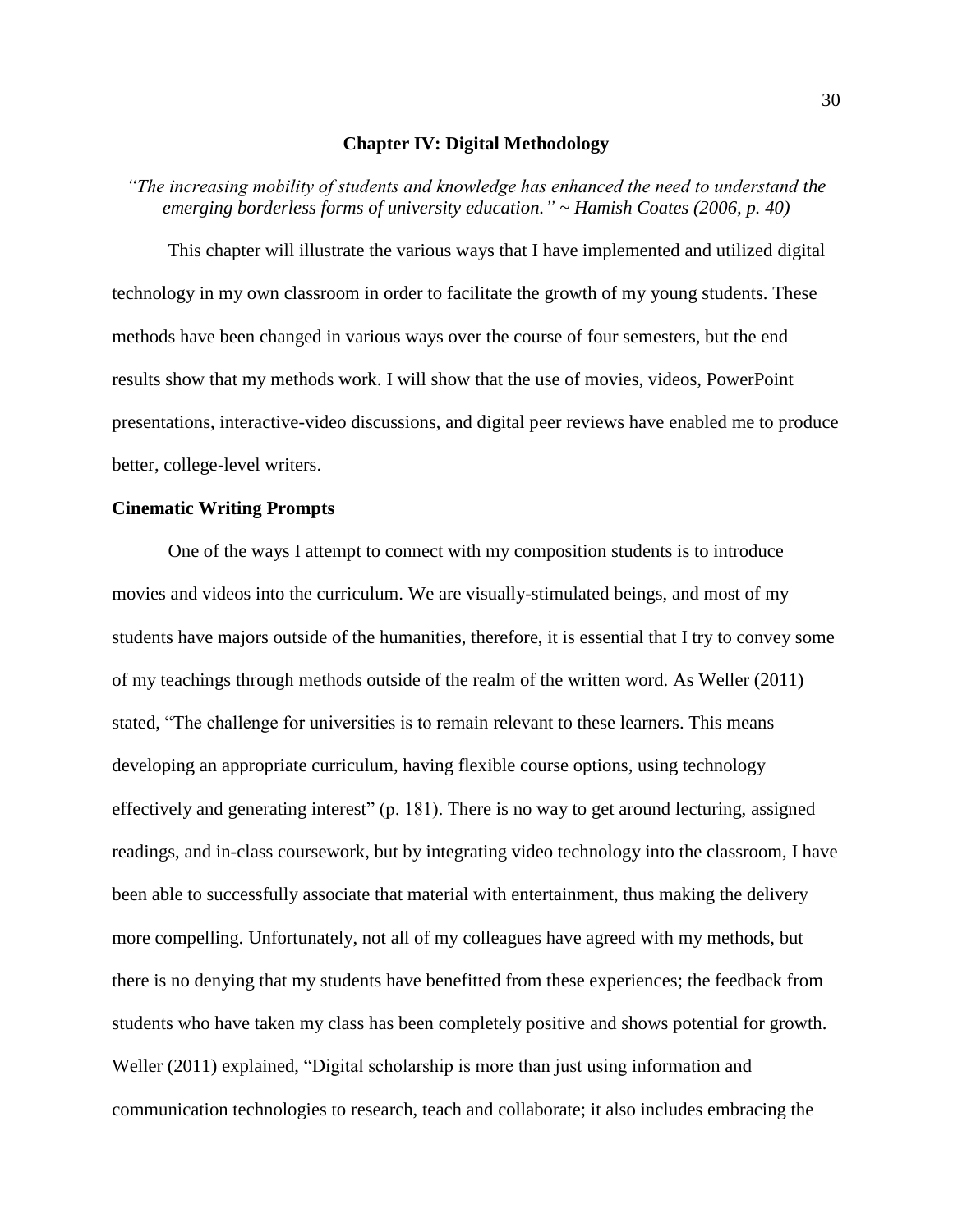#### **Chapter IV: Digital Methodology**

*"The increasing mobility of students and knowledge has enhanced the need to understand the emerging borderless forms of university education." ~ Hamish Coates (2006, p. 40)*

This chapter will illustrate the various ways that I have implemented and utilized digital technology in my own classroom in order to facilitate the growth of my young students. These methods have been changed in various ways over the course of four semesters, but the end results show that my methods work. I will show that the use of movies, videos, PowerPoint presentations, interactive-video discussions, and digital peer reviews have enabled me to produce better, college-level writers.

#### **Cinematic Writing Prompts**

One of the ways I attempt to connect with my composition students is to introduce movies and videos into the curriculum. We are visually-stimulated beings, and most of my students have majors outside of the humanities, therefore, it is essential that I try to convey some of my teachings through methods outside of the realm of the written word. As Weller (2011) stated, "The challenge for universities is to remain relevant to these learners. This means developing an appropriate curriculum, having flexible course options, using technology effectively and generating interest" (p. 181). There is no way to get around lecturing, assigned readings, and in-class coursework, but by integrating video technology into the classroom, I have been able to successfully associate that material with entertainment, thus making the delivery more compelling. Unfortunately, not all of my colleagues have agreed with my methods, but there is no denying that my students have benefitted from these experiences; the feedback from students who have taken my class has been completely positive and shows potential for growth. Weller (2011) explained, "Digital scholarship is more than just using information and communication technologies to research, teach and collaborate; it also includes embracing the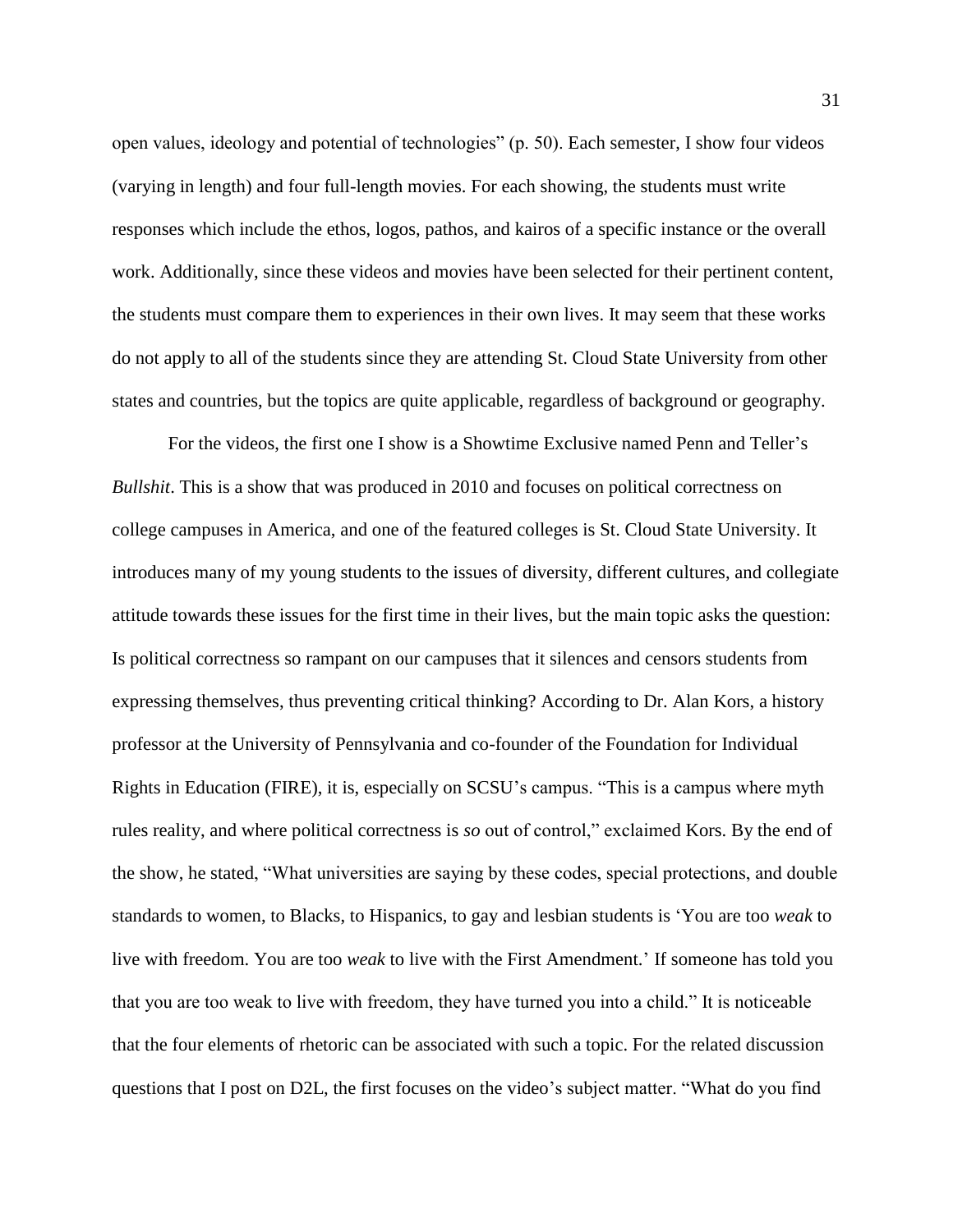open values, ideology and potential of technologies" (p. 50). Each semester, I show four videos (varying in length) and four full-length movies. For each showing, the students must write responses which include the ethos, logos, pathos, and kairos of a specific instance or the overall work. Additionally, since these videos and movies have been selected for their pertinent content, the students must compare them to experiences in their own lives. It may seem that these works do not apply to all of the students since they are attending St. Cloud State University from other states and countries, but the topics are quite applicable, regardless of background or geography.

For the videos, the first one I show is a Showtime Exclusive named Penn and Teller's *Bullshit*. This is a show that was produced in 2010 and focuses on political correctness on college campuses in America, and one of the featured colleges is St. Cloud State University. It introduces many of my young students to the issues of diversity, different cultures, and collegiate attitude towards these issues for the first time in their lives, but the main topic asks the question: Is political correctness so rampant on our campuses that it silences and censors students from expressing themselves, thus preventing critical thinking? According to Dr. Alan Kors, a history professor at the University of Pennsylvania and co-founder of the Foundation for Individual Rights in Education (FIRE), it is, especially on SCSU's campus. "This is a campus where myth rules reality, and where political correctness is *so* out of control," exclaimed Kors. By the end of the show, he stated, "What universities are saying by these codes, special protections, and double standards to women, to Blacks, to Hispanics, to gay and lesbian students is 'You are too *weak* to live with freedom. You are too *weak* to live with the First Amendment.' If someone has told you that you are too weak to live with freedom, they have turned you into a child." It is noticeable that the four elements of rhetoric can be associated with such a topic. For the related discussion questions that I post on D2L, the first focuses on the video's subject matter. "What do you find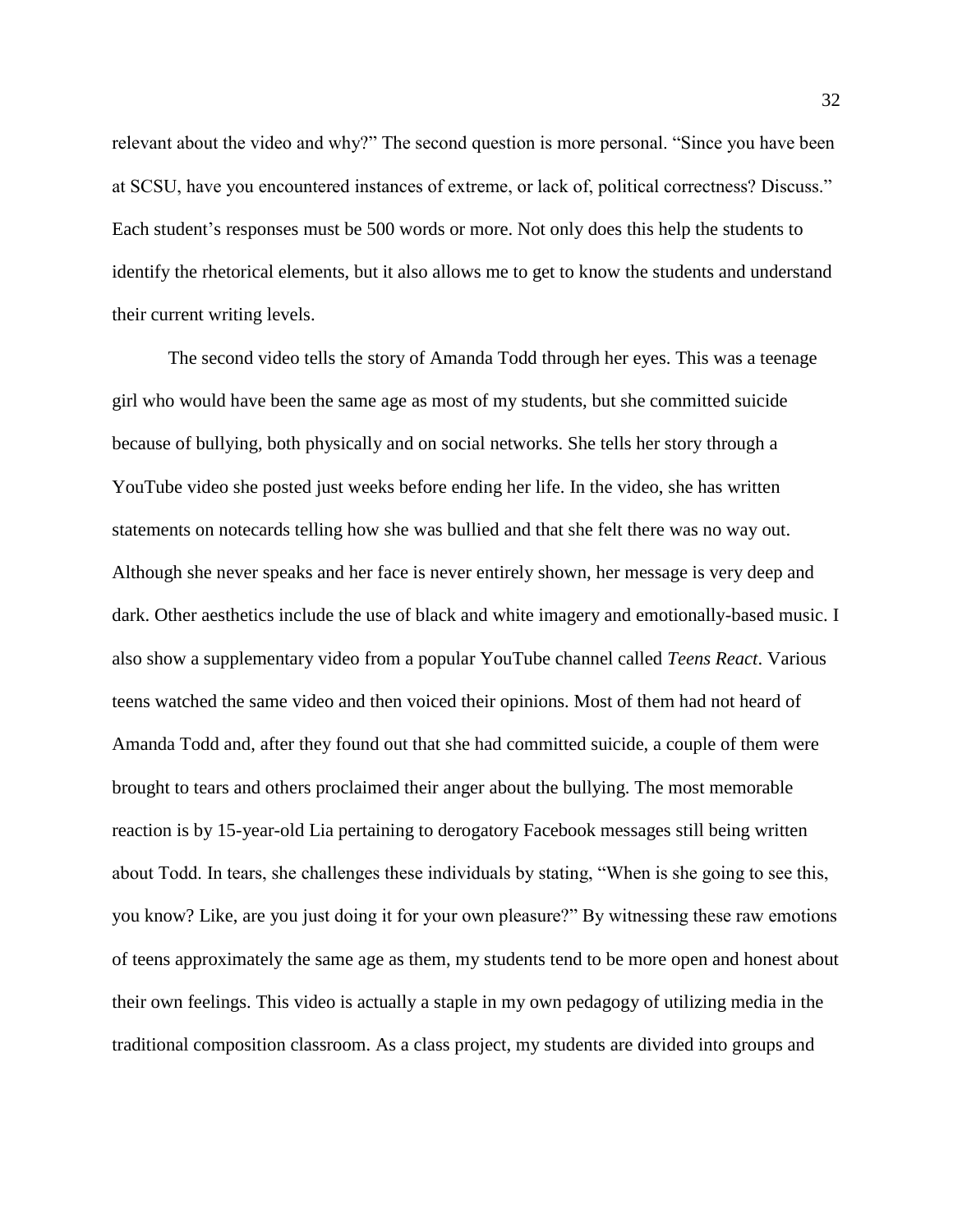relevant about the video and why?" The second question is more personal. "Since you have been at SCSU, have you encountered instances of extreme, or lack of, political correctness? Discuss." Each student's responses must be 500 words or more. Not only does this help the students to identify the rhetorical elements, but it also allows me to get to know the students and understand their current writing levels.

The second video tells the story of Amanda Todd through her eyes. This was a teenage girl who would have been the same age as most of my students, but she committed suicide because of bullying, both physically and on social networks. She tells her story through a YouTube video she posted just weeks before ending her life. In the video, she has written statements on notecards telling how she was bullied and that she felt there was no way out. Although she never speaks and her face is never entirely shown, her message is very deep and dark. Other aesthetics include the use of black and white imagery and emotionally-based music. I also show a supplementary video from a popular YouTube channel called *Teens React*. Various teens watched the same video and then voiced their opinions. Most of them had not heard of Amanda Todd and, after they found out that she had committed suicide, a couple of them were brought to tears and others proclaimed their anger about the bullying. The most memorable reaction is by 15-year-old Lia pertaining to derogatory Facebook messages still being written about Todd. In tears, she challenges these individuals by stating, "When is she going to see this, you know? Like, are you just doing it for your own pleasure?" By witnessing these raw emotions of teens approximately the same age as them, my students tend to be more open and honest about their own feelings. This video is actually a staple in my own pedagogy of utilizing media in the traditional composition classroom. As a class project, my students are divided into groups and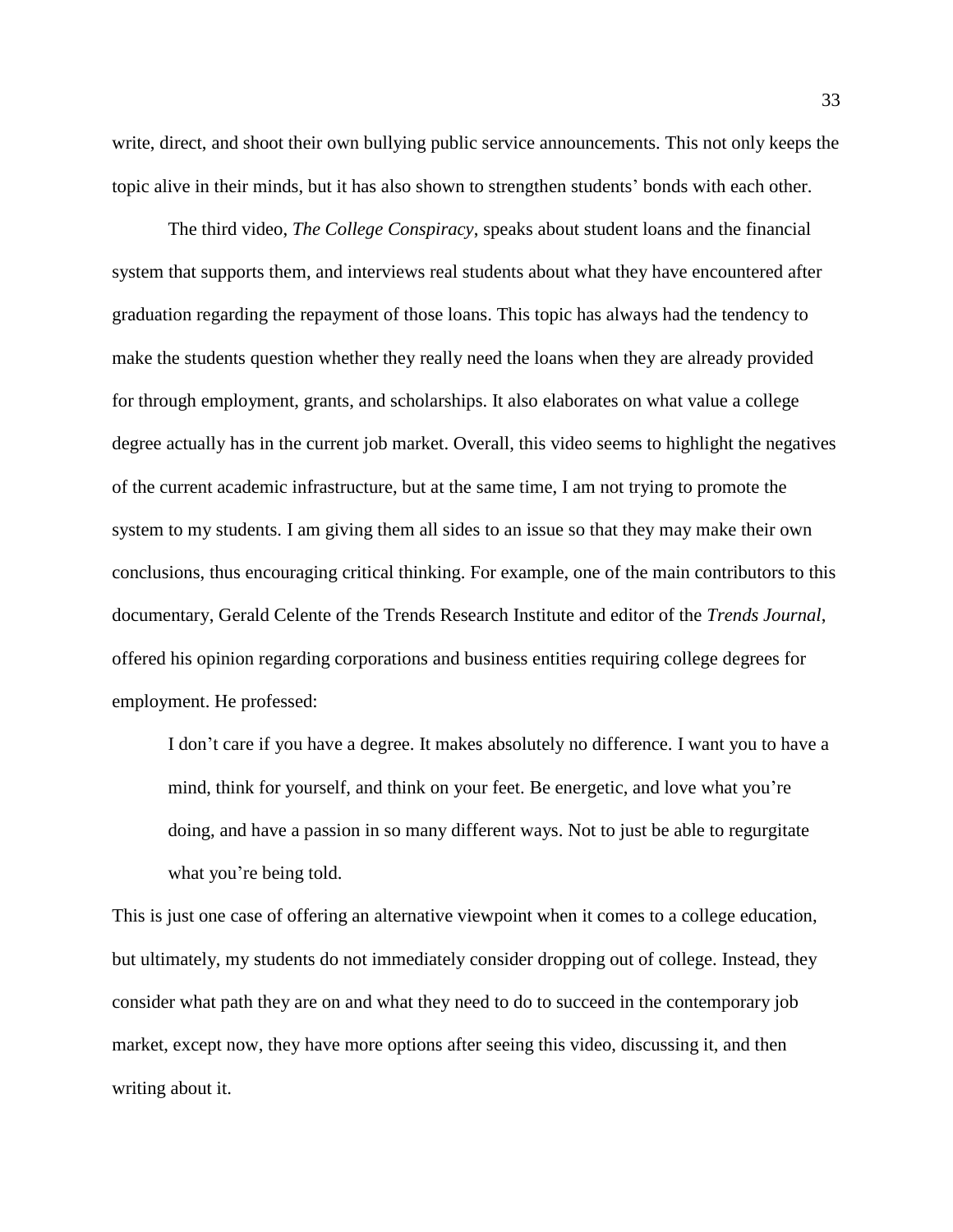write, direct, and shoot their own bullying public service announcements. This not only keeps the topic alive in their minds, but it has also shown to strengthen students' bonds with each other.

The third video, *The College Conspiracy*, speaks about student loans and the financial system that supports them, and interviews real students about what they have encountered after graduation regarding the repayment of those loans. This topic has always had the tendency to make the students question whether they really need the loans when they are already provided for through employment, grants, and scholarships. It also elaborates on what value a college degree actually has in the current job market. Overall, this video seems to highlight the negatives of the current academic infrastructure, but at the same time, I am not trying to promote the system to my students. I am giving them all sides to an issue so that they may make their own conclusions, thus encouraging critical thinking. For example, one of the main contributors to this documentary, Gerald Celente of the Trends Research Institute and editor of the *Trends Journal*, offered his opinion regarding corporations and business entities requiring college degrees for employment. He professed:

I don't care if you have a degree. It makes absolutely no difference. I want you to have a mind, think for yourself, and think on your feet. Be energetic, and love what you're doing, and have a passion in so many different ways. Not to just be able to regurgitate what you're being told.

This is just one case of offering an alternative viewpoint when it comes to a college education, but ultimately, my students do not immediately consider dropping out of college. Instead, they consider what path they are on and what they need to do to succeed in the contemporary job market, except now, they have more options after seeing this video, discussing it, and then writing about it.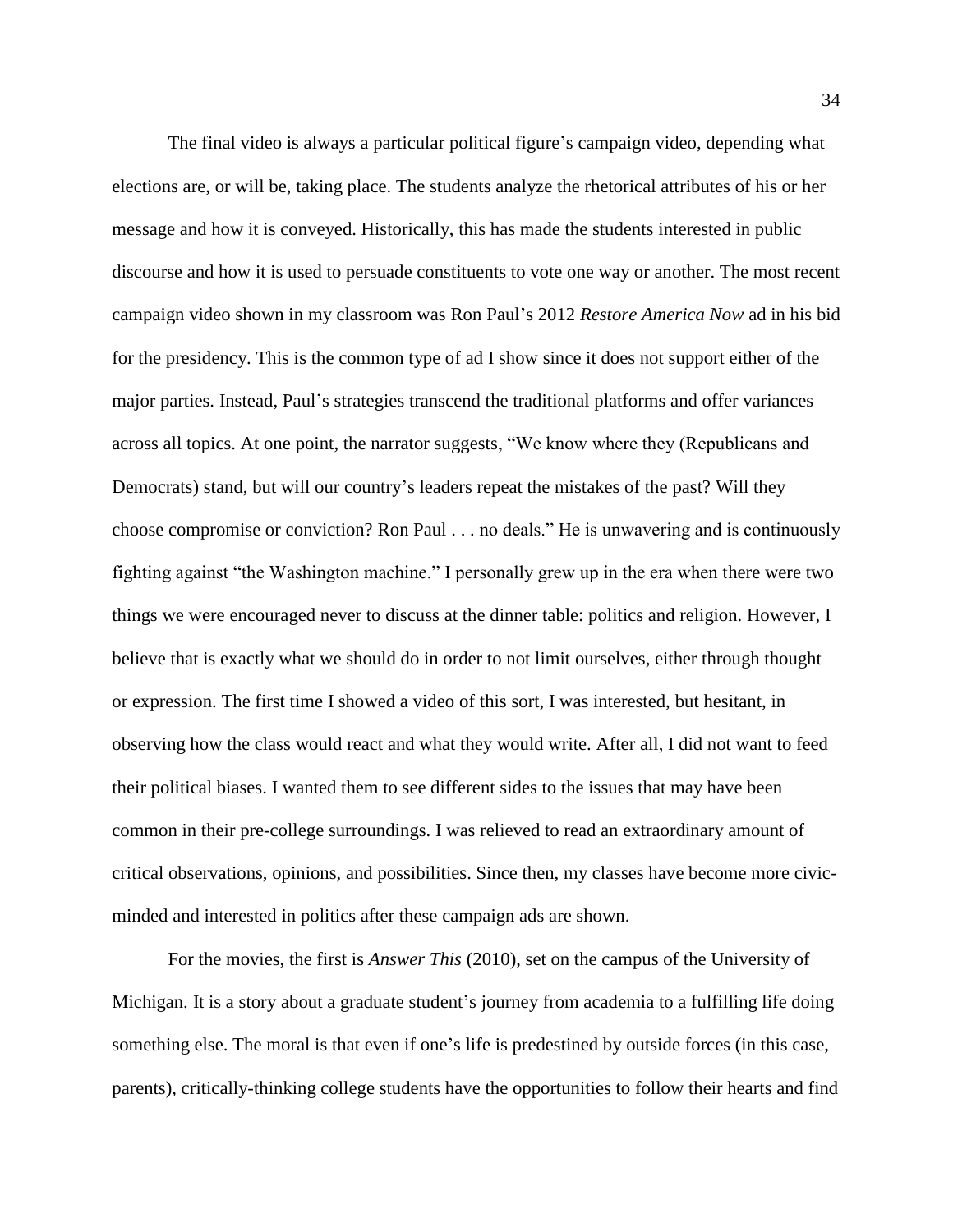The final video is always a particular political figure's campaign video, depending what elections are, or will be, taking place. The students analyze the rhetorical attributes of his or her message and how it is conveyed. Historically, this has made the students interested in public discourse and how it is used to persuade constituents to vote one way or another. The most recent campaign video shown in my classroom was Ron Paul's 2012 *Restore America Now* ad in his bid for the presidency. This is the common type of ad I show since it does not support either of the major parties. Instead, Paul's strategies transcend the traditional platforms and offer variances across all topics. At one point, the narrator suggests, "We know where they (Republicans and Democrats) stand, but will our country's leaders repeat the mistakes of the past? Will they choose compromise or conviction? Ron Paul . . . no deals." He is unwavering and is continuously fighting against "the Washington machine." I personally grew up in the era when there were two things we were encouraged never to discuss at the dinner table: politics and religion. However, I believe that is exactly what we should do in order to not limit ourselves, either through thought or expression. The first time I showed a video of this sort, I was interested, but hesitant, in observing how the class would react and what they would write. After all, I did not want to feed their political biases. I wanted them to see different sides to the issues that may have been common in their pre-college surroundings. I was relieved to read an extraordinary amount of critical observations, opinions, and possibilities. Since then, my classes have become more civicminded and interested in politics after these campaign ads are shown.

For the movies, the first is *Answer This* (2010), set on the campus of the University of Michigan. It is a story about a graduate student's journey from academia to a fulfilling life doing something else. The moral is that even if one's life is predestined by outside forces (in this case, parents), critically-thinking college students have the opportunities to follow their hearts and find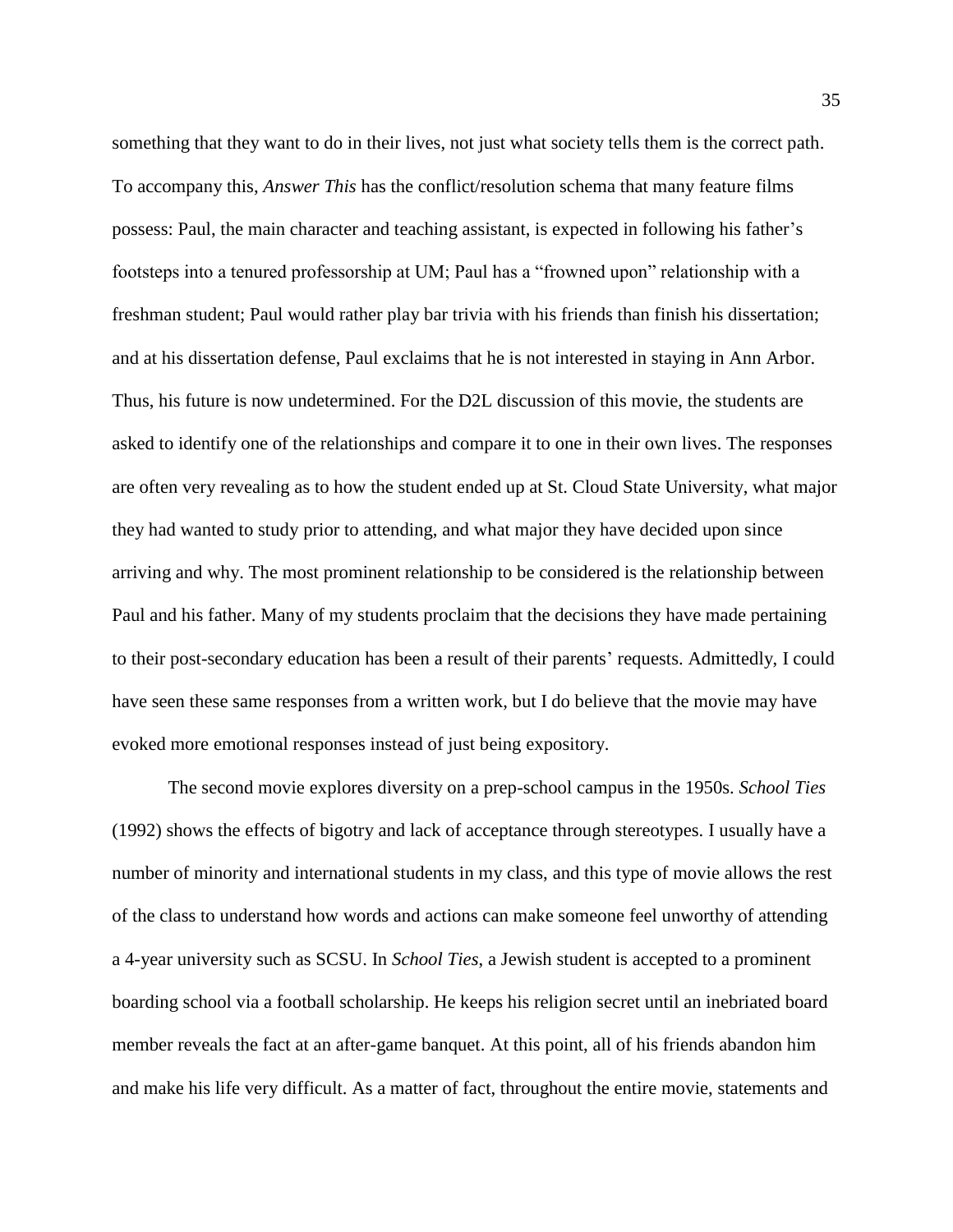something that they want to do in their lives, not just what society tells them is the correct path. To accompany this, *Answer This* has the conflict/resolution schema that many feature films possess: Paul, the main character and teaching assistant, is expected in following his father's footsteps into a tenured professorship at UM; Paul has a "frowned upon" relationship with a freshman student; Paul would rather play bar trivia with his friends than finish his dissertation; and at his dissertation defense, Paul exclaims that he is not interested in staying in Ann Arbor. Thus, his future is now undetermined. For the D2L discussion of this movie, the students are asked to identify one of the relationships and compare it to one in their own lives. The responses are often very revealing as to how the student ended up at St. Cloud State University, what major they had wanted to study prior to attending, and what major they have decided upon since arriving and why. The most prominent relationship to be considered is the relationship between Paul and his father. Many of my students proclaim that the decisions they have made pertaining to their post-secondary education has been a result of their parents' requests. Admittedly, I could have seen these same responses from a written work, but I do believe that the movie may have evoked more emotional responses instead of just being expository.

The second movie explores diversity on a prep-school campus in the 1950s. *School Ties* (1992) shows the effects of bigotry and lack of acceptance through stereotypes. I usually have a number of minority and international students in my class, and this type of movie allows the rest of the class to understand how words and actions can make someone feel unworthy of attending a 4-year university such as SCSU. In *School Ties*, a Jewish student is accepted to a prominent boarding school via a football scholarship. He keeps his religion secret until an inebriated board member reveals the fact at an after-game banquet. At this point, all of his friends abandon him and make his life very difficult. As a matter of fact, throughout the entire movie, statements and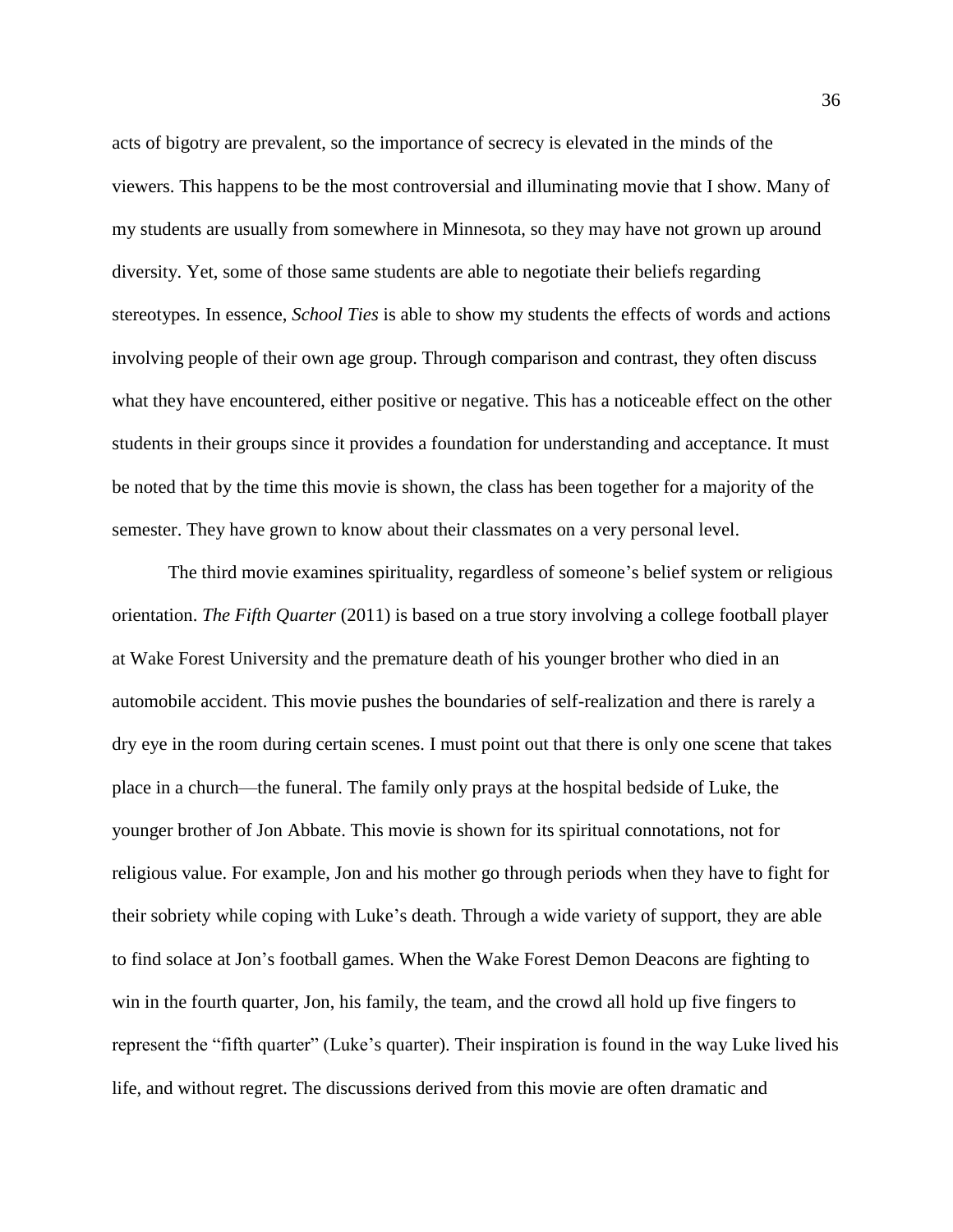acts of bigotry are prevalent, so the importance of secrecy is elevated in the minds of the viewers. This happens to be the most controversial and illuminating movie that I show. Many of my students are usually from somewhere in Minnesota, so they may have not grown up around diversity. Yet, some of those same students are able to negotiate their beliefs regarding stereotypes. In essence, *School Ties* is able to show my students the effects of words and actions involving people of their own age group. Through comparison and contrast, they often discuss what they have encountered, either positive or negative. This has a noticeable effect on the other students in their groups since it provides a foundation for understanding and acceptance. It must be noted that by the time this movie is shown, the class has been together for a majority of the semester. They have grown to know about their classmates on a very personal level.

The third movie examines spirituality, regardless of someone's belief system or religious orientation. *The Fifth Quarter* (2011) is based on a true story involving a college football player at Wake Forest University and the premature death of his younger brother who died in an automobile accident. This movie pushes the boundaries of self-realization and there is rarely a dry eye in the room during certain scenes. I must point out that there is only one scene that takes place in a church—the funeral. The family only prays at the hospital bedside of Luke, the younger brother of Jon Abbate. This movie is shown for its spiritual connotations, not for religious value. For example, Jon and his mother go through periods when they have to fight for their sobriety while coping with Luke's death. Through a wide variety of support, they are able to find solace at Jon's football games. When the Wake Forest Demon Deacons are fighting to win in the fourth quarter, Jon, his family, the team, and the crowd all hold up five fingers to represent the "fifth quarter" (Luke's quarter). Their inspiration is found in the way Luke lived his life, and without regret. The discussions derived from this movie are often dramatic and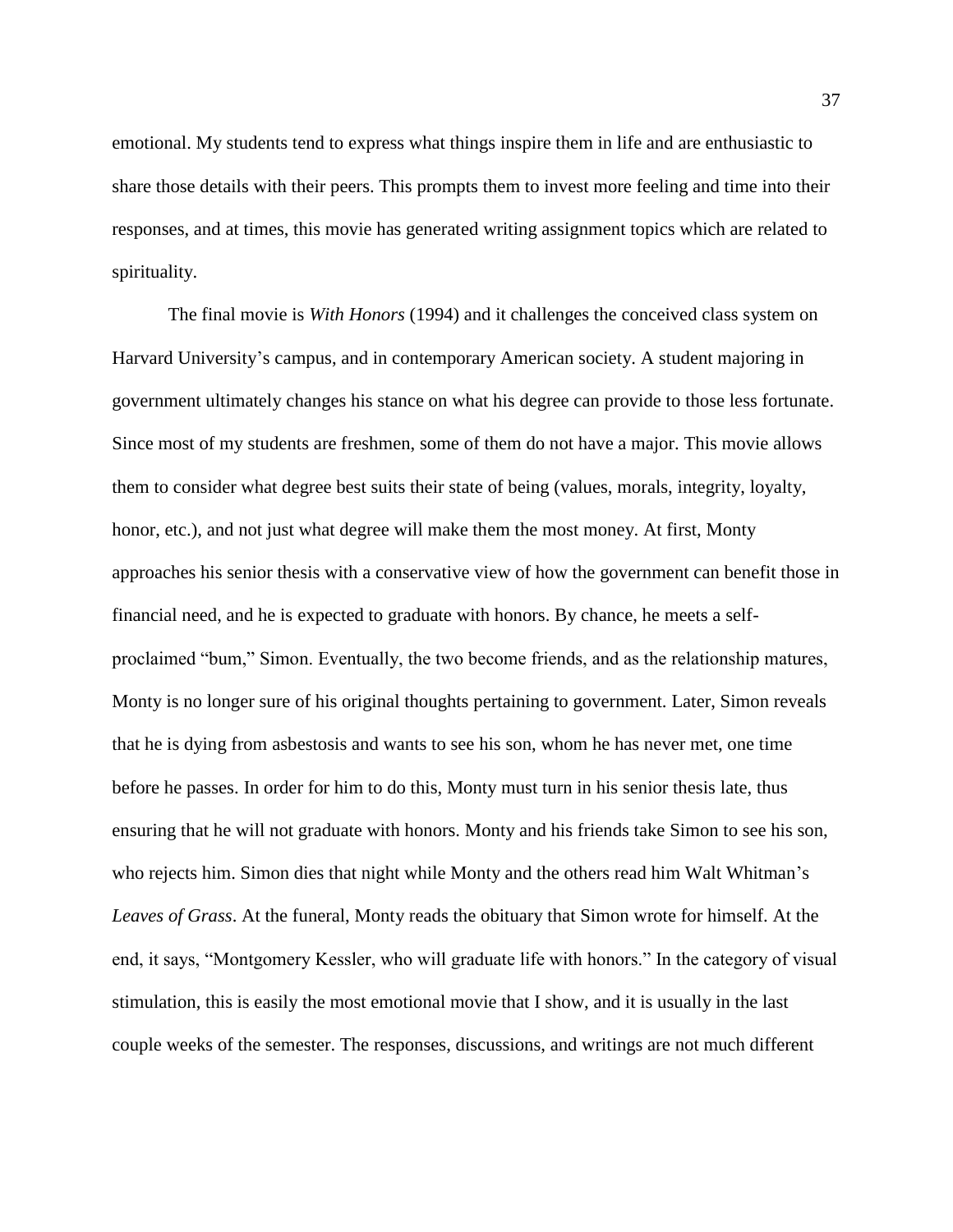emotional. My students tend to express what things inspire them in life and are enthusiastic to share those details with their peers. This prompts them to invest more feeling and time into their responses, and at times, this movie has generated writing assignment topics which are related to spirituality.

The final movie is *With Honors* (1994) and it challenges the conceived class system on Harvard University's campus, and in contemporary American society. A student majoring in government ultimately changes his stance on what his degree can provide to those less fortunate. Since most of my students are freshmen, some of them do not have a major. This movie allows them to consider what degree best suits their state of being (values, morals, integrity, loyalty, honor, etc.), and not just what degree will make them the most money. At first, Monty approaches his senior thesis with a conservative view of how the government can benefit those in financial need, and he is expected to graduate with honors. By chance, he meets a selfproclaimed "bum," Simon. Eventually, the two become friends, and as the relationship matures, Monty is no longer sure of his original thoughts pertaining to government. Later, Simon reveals that he is dying from asbestosis and wants to see his son, whom he has never met, one time before he passes. In order for him to do this, Monty must turn in his senior thesis late, thus ensuring that he will not graduate with honors. Monty and his friends take Simon to see his son, who rejects him. Simon dies that night while Monty and the others read him Walt Whitman's *Leaves of Grass*. At the funeral, Monty reads the obituary that Simon wrote for himself. At the end, it says, "Montgomery Kessler, who will graduate life with honors." In the category of visual stimulation, this is easily the most emotional movie that I show, and it is usually in the last couple weeks of the semester. The responses, discussions, and writings are not much different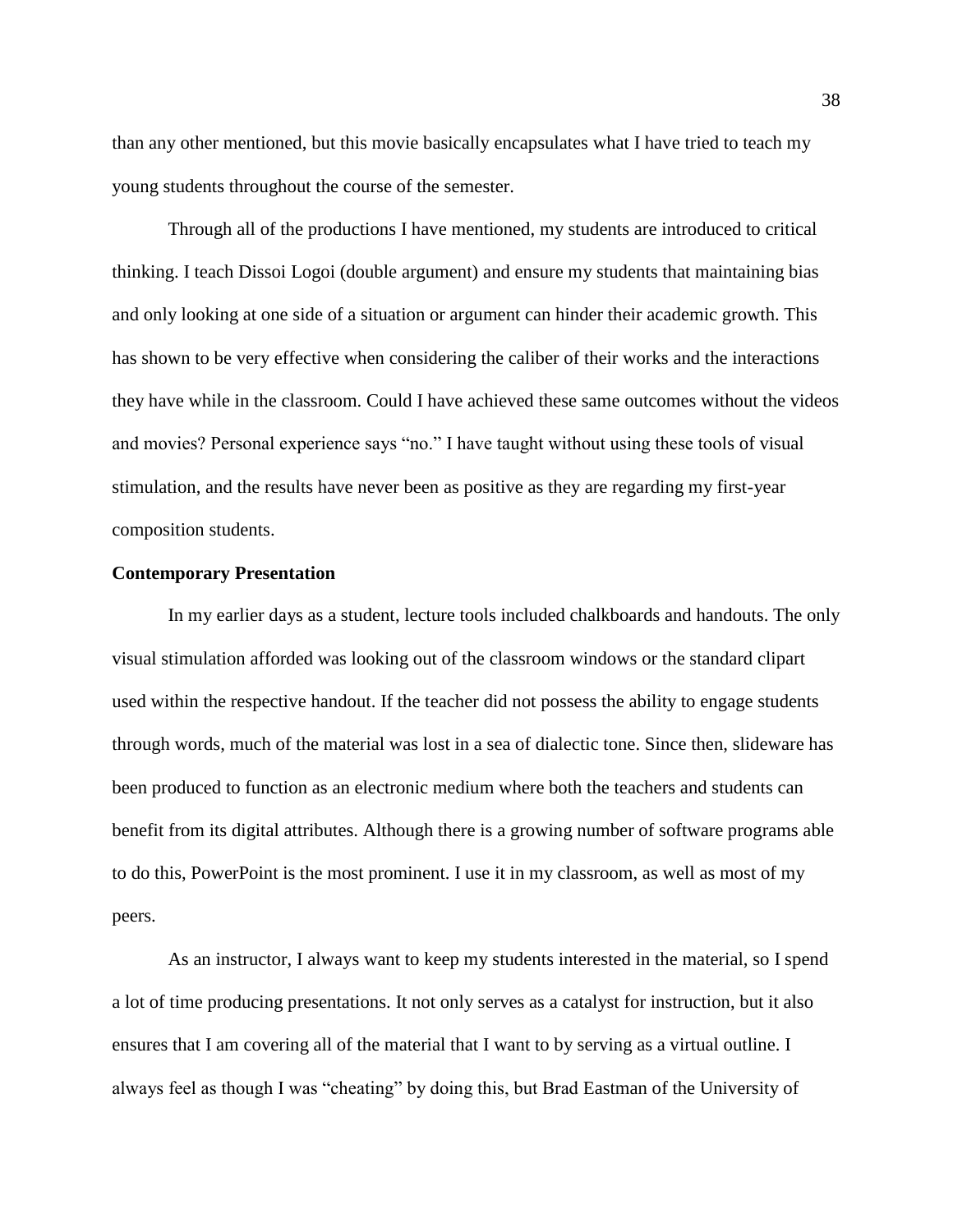than any other mentioned, but this movie basically encapsulates what I have tried to teach my young students throughout the course of the semester.

Through all of the productions I have mentioned, my students are introduced to critical thinking. I teach Dissoi Logoi (double argument) and ensure my students that maintaining bias and only looking at one side of a situation or argument can hinder their academic growth. This has shown to be very effective when considering the caliber of their works and the interactions they have while in the classroom. Could I have achieved these same outcomes without the videos and movies? Personal experience says "no." I have taught without using these tools of visual stimulation, and the results have never been as positive as they are regarding my first-year composition students.

#### **Contemporary Presentation**

In my earlier days as a student, lecture tools included chalkboards and handouts. The only visual stimulation afforded was looking out of the classroom windows or the standard clipart used within the respective handout. If the teacher did not possess the ability to engage students through words, much of the material was lost in a sea of dialectic tone. Since then, slideware has been produced to function as an electronic medium where both the teachers and students can benefit from its digital attributes. Although there is a growing number of software programs able to do this, PowerPoint is the most prominent. I use it in my classroom, as well as most of my peers.

As an instructor, I always want to keep my students interested in the material, so I spend a lot of time producing presentations. It not only serves as a catalyst for instruction, but it also ensures that I am covering all of the material that I want to by serving as a virtual outline. I always feel as though I was "cheating" by doing this, but Brad Eastman of the University of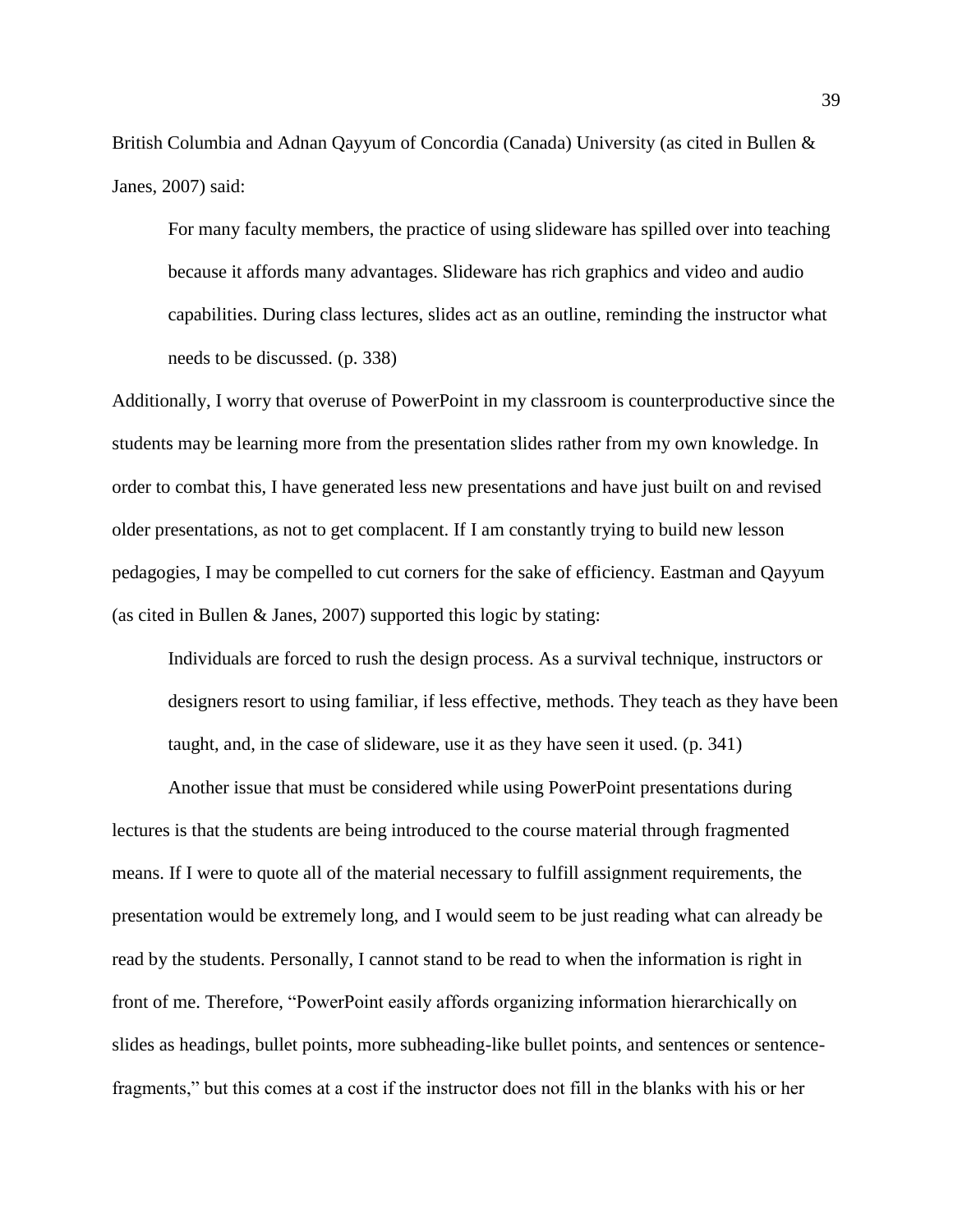British Columbia and Adnan Qayyum of Concordia (Canada) University (as cited in Bullen & Janes, 2007) said:

For many faculty members, the practice of using slideware has spilled over into teaching because it affords many advantages. Slideware has rich graphics and video and audio capabilities. During class lectures, slides act as an outline, reminding the instructor what needs to be discussed. (p. 338)

Additionally, I worry that overuse of PowerPoint in my classroom is counterproductive since the students may be learning more from the presentation slides rather from my own knowledge. In order to combat this, I have generated less new presentations and have just built on and revised older presentations, as not to get complacent. If I am constantly trying to build new lesson pedagogies, I may be compelled to cut corners for the sake of efficiency. Eastman and Qayyum (as cited in Bullen & Janes, 2007) supported this logic by stating:

Individuals are forced to rush the design process. As a survival technique, instructors or designers resort to using familiar, if less effective, methods. They teach as they have been taught, and, in the case of slideware, use it as they have seen it used. (p. 341)

Another issue that must be considered while using PowerPoint presentations during lectures is that the students are being introduced to the course material through fragmented means. If I were to quote all of the material necessary to fulfill assignment requirements, the presentation would be extremely long, and I would seem to be just reading what can already be read by the students. Personally, I cannot stand to be read to when the information is right in front of me. Therefore, "PowerPoint easily affords organizing information hierarchically on slides as headings, bullet points, more subheading-like bullet points, and sentences or sentencefragments," but this comes at a cost if the instructor does not fill in the blanks with his or her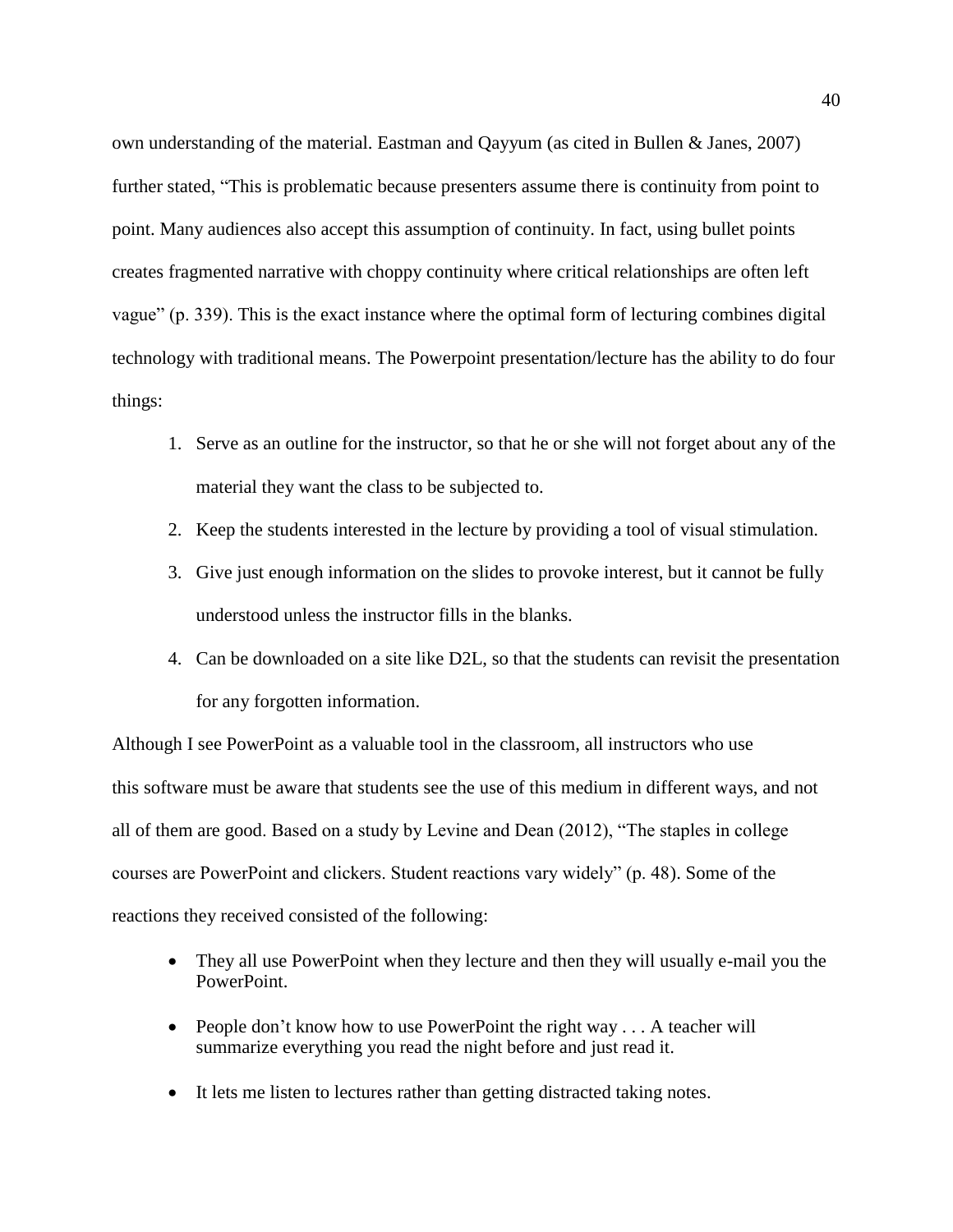own understanding of the material. Eastman and Qayyum (as cited in Bullen & Janes, 2007) further stated, "This is problematic because presenters assume there is continuity from point to point. Many audiences also accept this assumption of continuity. In fact, using bullet points creates fragmented narrative with choppy continuity where critical relationships are often left vague" (p. 339). This is the exact instance where the optimal form of lecturing combines digital technology with traditional means. The Powerpoint presentation/lecture has the ability to do four things:

- 1. Serve as an outline for the instructor, so that he or she will not forget about any of the material they want the class to be subjected to.
- 2. Keep the students interested in the lecture by providing a tool of visual stimulation.
- 3. Give just enough information on the slides to provoke interest, but it cannot be fully understood unless the instructor fills in the blanks.
- 4. Can be downloaded on a site like D2L, so that the students can revisit the presentation for any forgotten information.

Although I see PowerPoint as a valuable tool in the classroom, all instructors who use this software must be aware that students see the use of this medium in different ways, and not all of them are good. Based on a study by Levine and Dean (2012), "The staples in college courses are PowerPoint and clickers. Student reactions vary widely" (p. 48). Some of the reactions they received consisted of the following:

- They all use PowerPoint when they lecture and then they will usually e-mail you the PowerPoint.
- People don't know how to use PowerPoint the right way . . . A teacher will summarize everything you read the night before and just read it.
- It lets me listen to lectures rather than getting distracted taking notes.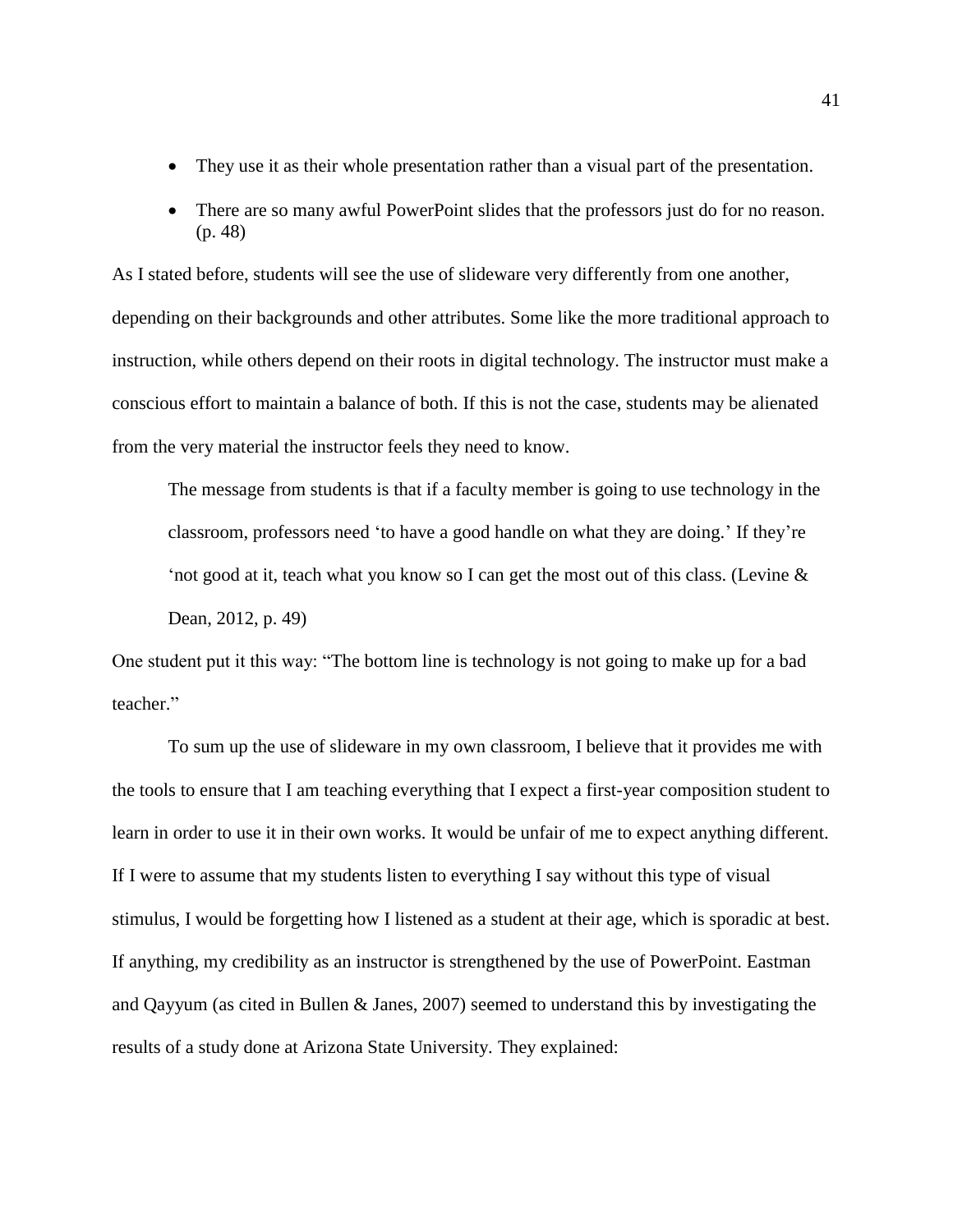- They use it as their whole presentation rather than a visual part of the presentation.
- There are so many awful PowerPoint slides that the professors just do for no reason. (p. 48)

As I stated before, students will see the use of slideware very differently from one another, depending on their backgrounds and other attributes. Some like the more traditional approach to instruction, while others depend on their roots in digital technology. The instructor must make a conscious effort to maintain a balance of both. If this is not the case, students may be alienated from the very material the instructor feels they need to know.

The message from students is that if a faculty member is going to use technology in the classroom, professors need 'to have a good handle on what they are doing.' If they're 'not good at it, teach what you know so I can get the most out of this class. (Levine & Dean, 2012, p. 49)

One student put it this way: "The bottom line is technology is not going to make up for a bad teacher."

To sum up the use of slideware in my own classroom, I believe that it provides me with the tools to ensure that I am teaching everything that I expect a first-year composition student to learn in order to use it in their own works. It would be unfair of me to expect anything different. If I were to assume that my students listen to everything I say without this type of visual stimulus, I would be forgetting how I listened as a student at their age, which is sporadic at best. If anything, my credibility as an instructor is strengthened by the use of PowerPoint. Eastman and Qayyum (as cited in Bullen & Janes, 2007) seemed to understand this by investigating the results of a study done at Arizona State University. They explained: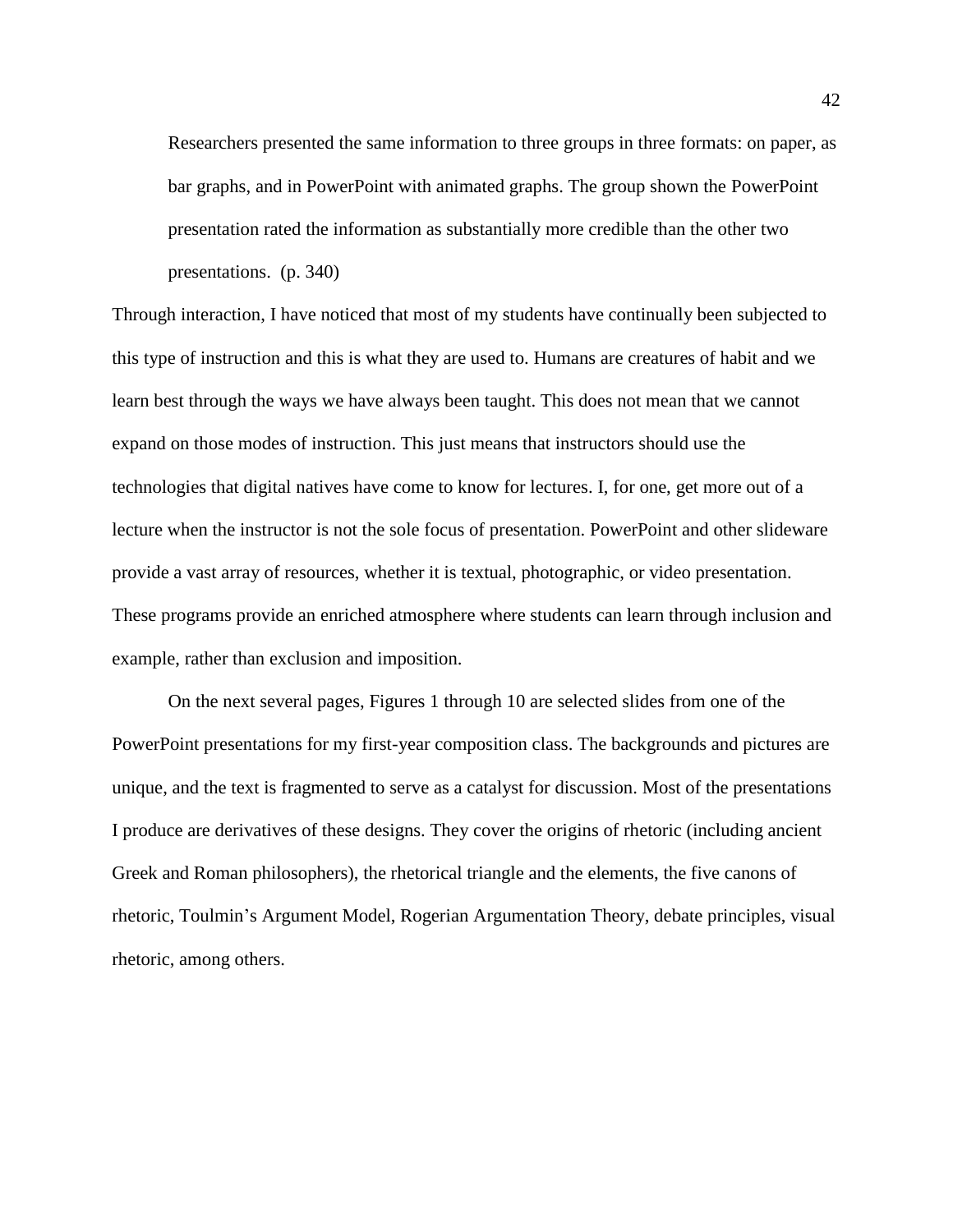Researchers presented the same information to three groups in three formats: on paper, as bar graphs, and in PowerPoint with animated graphs. The group shown the PowerPoint presentation rated the information as substantially more credible than the other two presentations. (p. 340)

Through interaction, I have noticed that most of my students have continually been subjected to this type of instruction and this is what they are used to. Humans are creatures of habit and we learn best through the ways we have always been taught. This does not mean that we cannot expand on those modes of instruction. This just means that instructors should use the technologies that digital natives have come to know for lectures. I, for one, get more out of a lecture when the instructor is not the sole focus of presentation. PowerPoint and other slideware provide a vast array of resources, whether it is textual, photographic, or video presentation. These programs provide an enriched atmosphere where students can learn through inclusion and example, rather than exclusion and imposition.

On the next several pages, Figures 1 through 10 are selected slides from one of the PowerPoint presentations for my first-year composition class. The backgrounds and pictures are unique, and the text is fragmented to serve as a catalyst for discussion. Most of the presentations I produce are derivatives of these designs. They cover the origins of rhetoric (including ancient Greek and Roman philosophers), the rhetorical triangle and the elements, the five canons of rhetoric, Toulmin's Argument Model, Rogerian Argumentation Theory, debate principles, visual rhetoric, among others.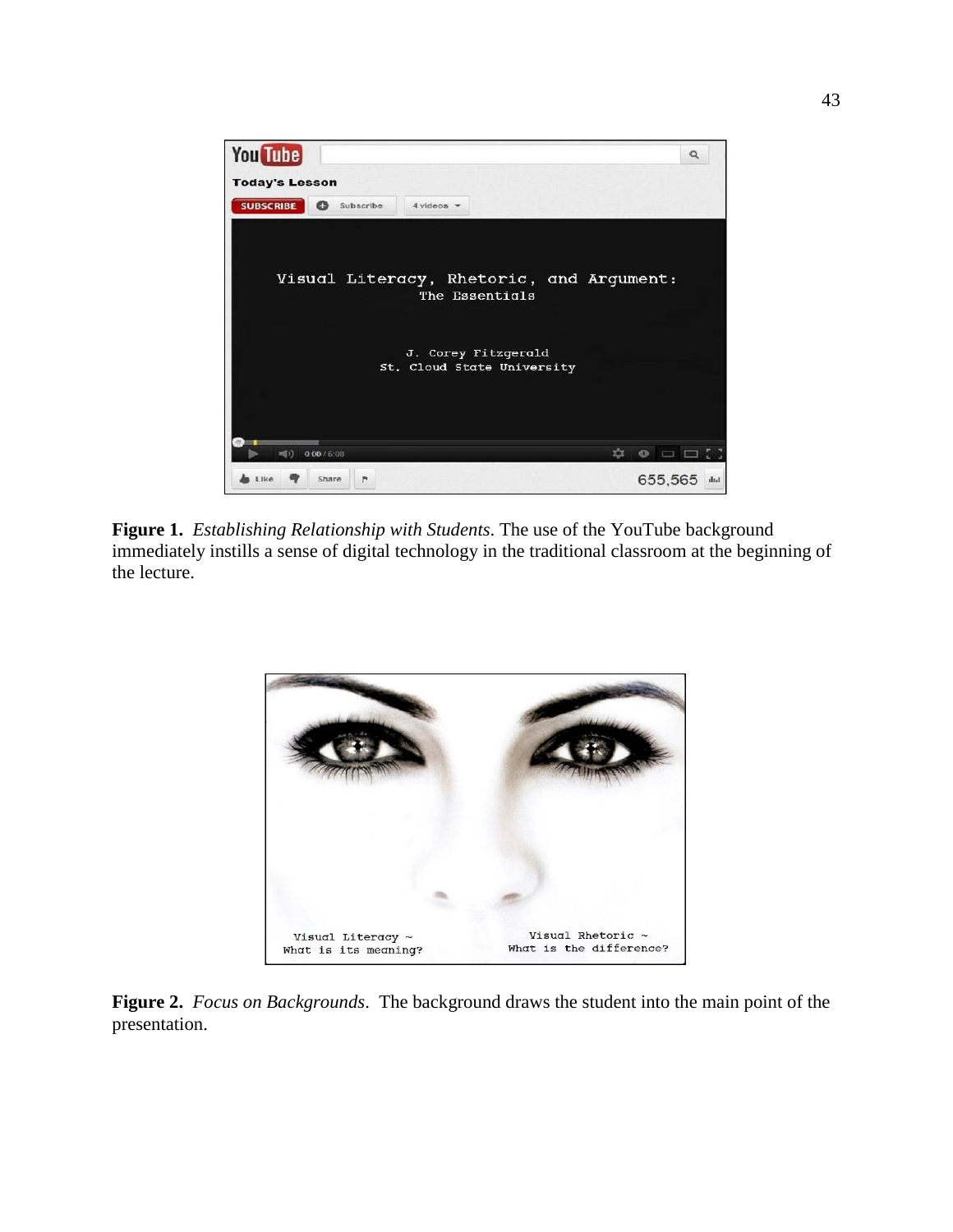

**Figure 1.** *Establishing Relationship with Students*. The use of the YouTube background immediately instills a sense of digital technology in the traditional classroom at the beginning of the lecture.



**Figure 2.** *Focus on Backgrounds*. The background draws the student into the main point of the presentation.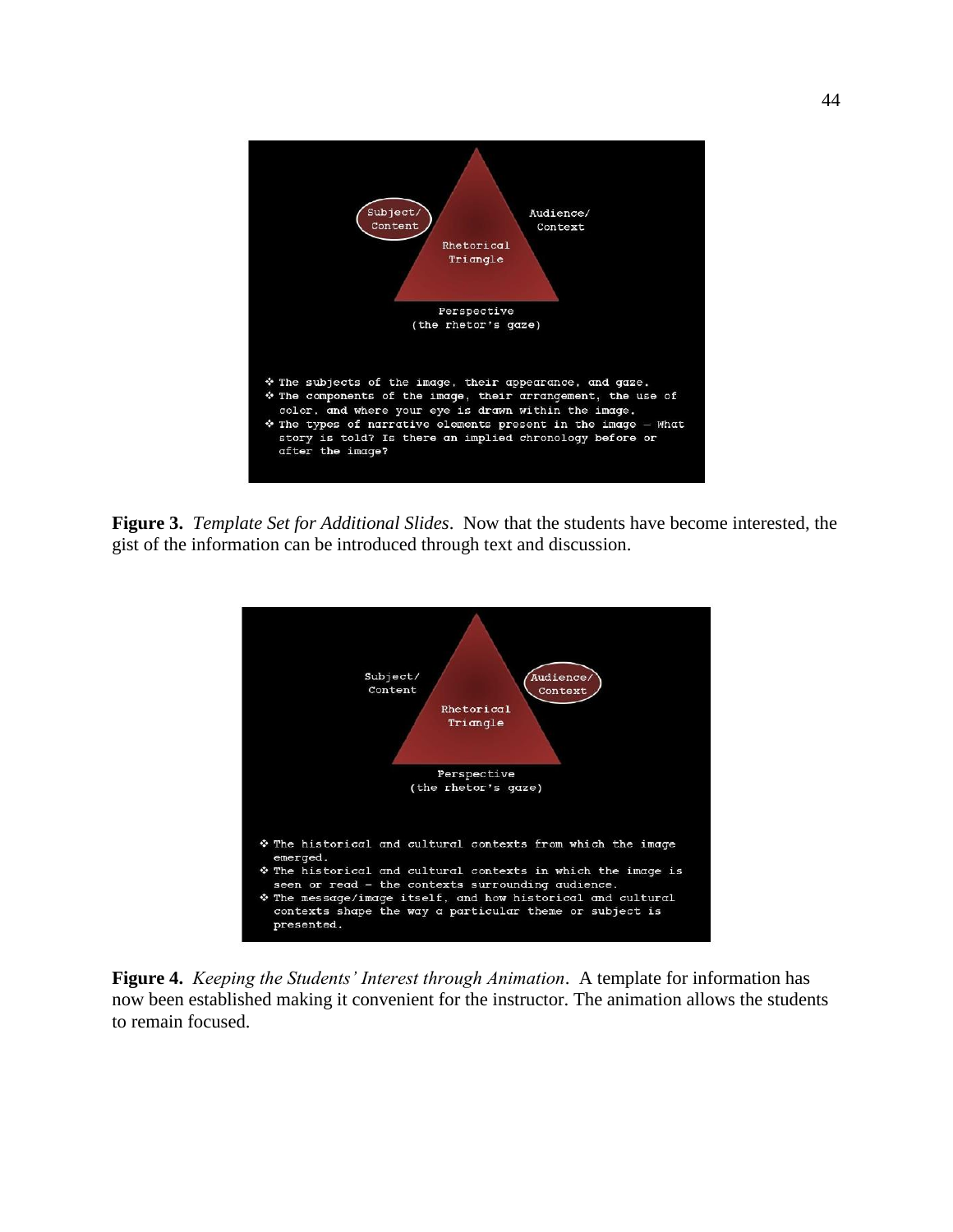

**Figure 3.** *Template Set for Additional Slides*. Now that the students have become interested, the gist of the information can be introduced through text and discussion.



**Figure 4.** *Keeping the Students' Interest through Animation*. A template for information has now been established making it convenient for the instructor. The animation allows the students to remain focused.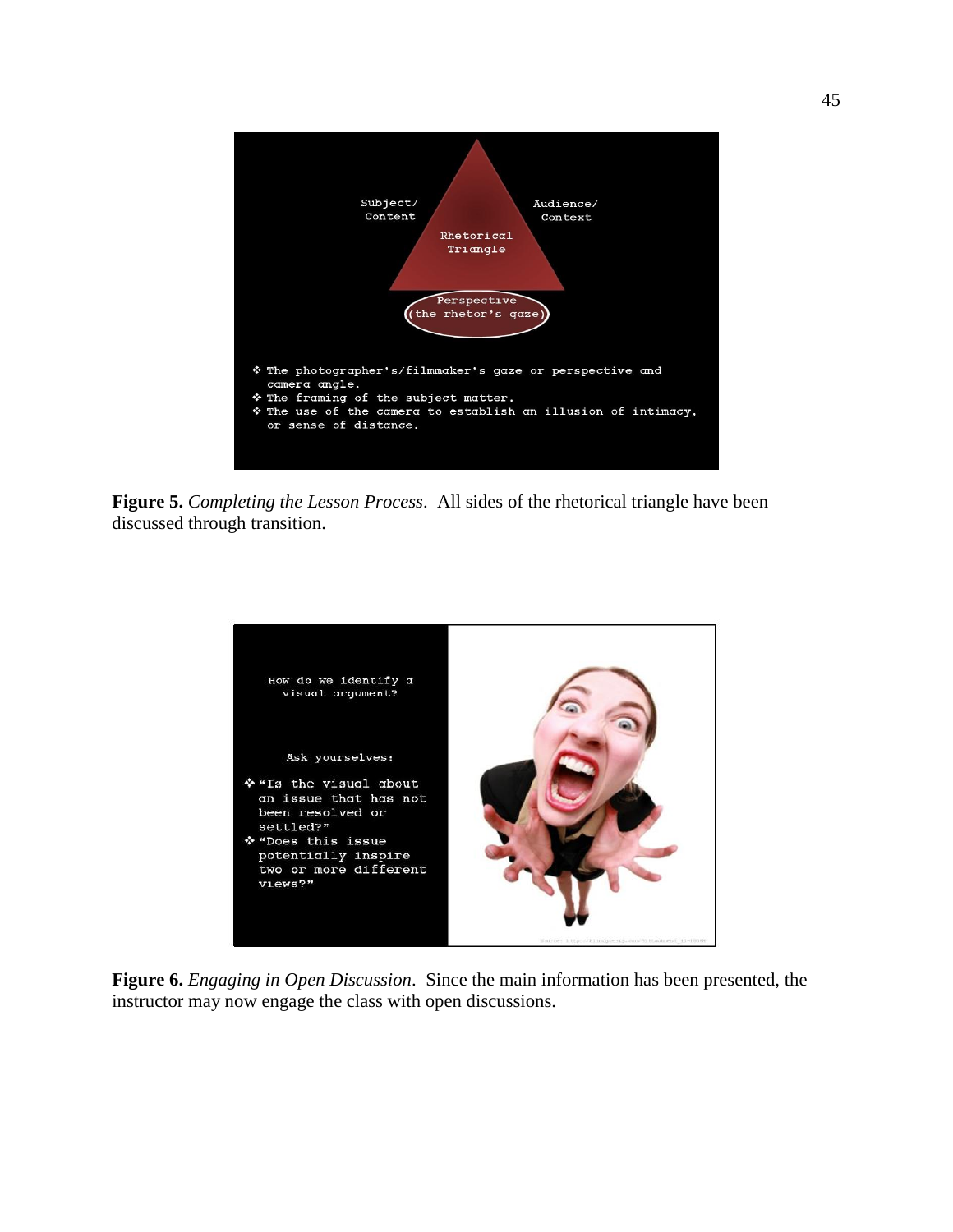

**Figure 5.** *Completing the Lesson Process*. All sides of the rhetorical triangle have been discussed through transition.



**Figure 6.** *Engaging in Open Discussion*. Since the main information has been presented, the instructor may now engage the class with open discussions.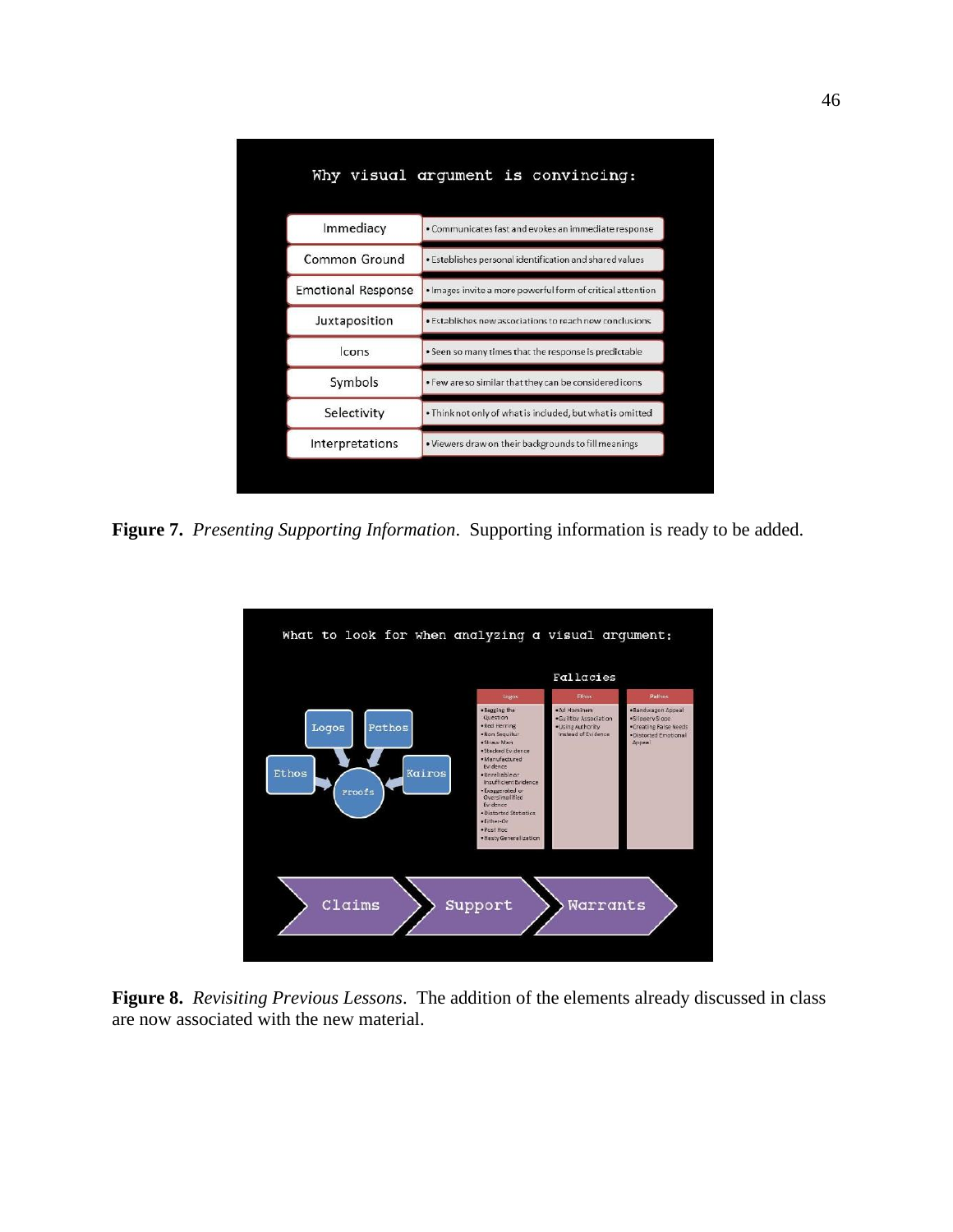|                           | Why visual argument is convincing:                         |
|---------------------------|------------------------------------------------------------|
| Immediacy                 | · Communicates fast and evokes an immediate response       |
| Common Ground             | . Establishes personal identification and shared values    |
| <b>Emotional Response</b> | · Images invite a more powerful form of critical attention |
| Juxtaposition             | · Establishes new associations to reach new conclusions    |
| <b>Icons</b>              | . Seen so many times that the response is predictable      |
| Symbols                   | . Few are so similar that they can be considered icons     |
| Selectivity               | . Think not only of what is included, but what is omitted  |
| Interpretations           | . Viewers draw on their backgrounds to fill meanings       |
|                           |                                                            |

**Figure 7.** *Presenting Supporting Information*. Supporting information is ready to be added.



**Figure 8.** *Revisiting Previous Lessons*. The addition of the elements already discussed in class are now associated with the new material.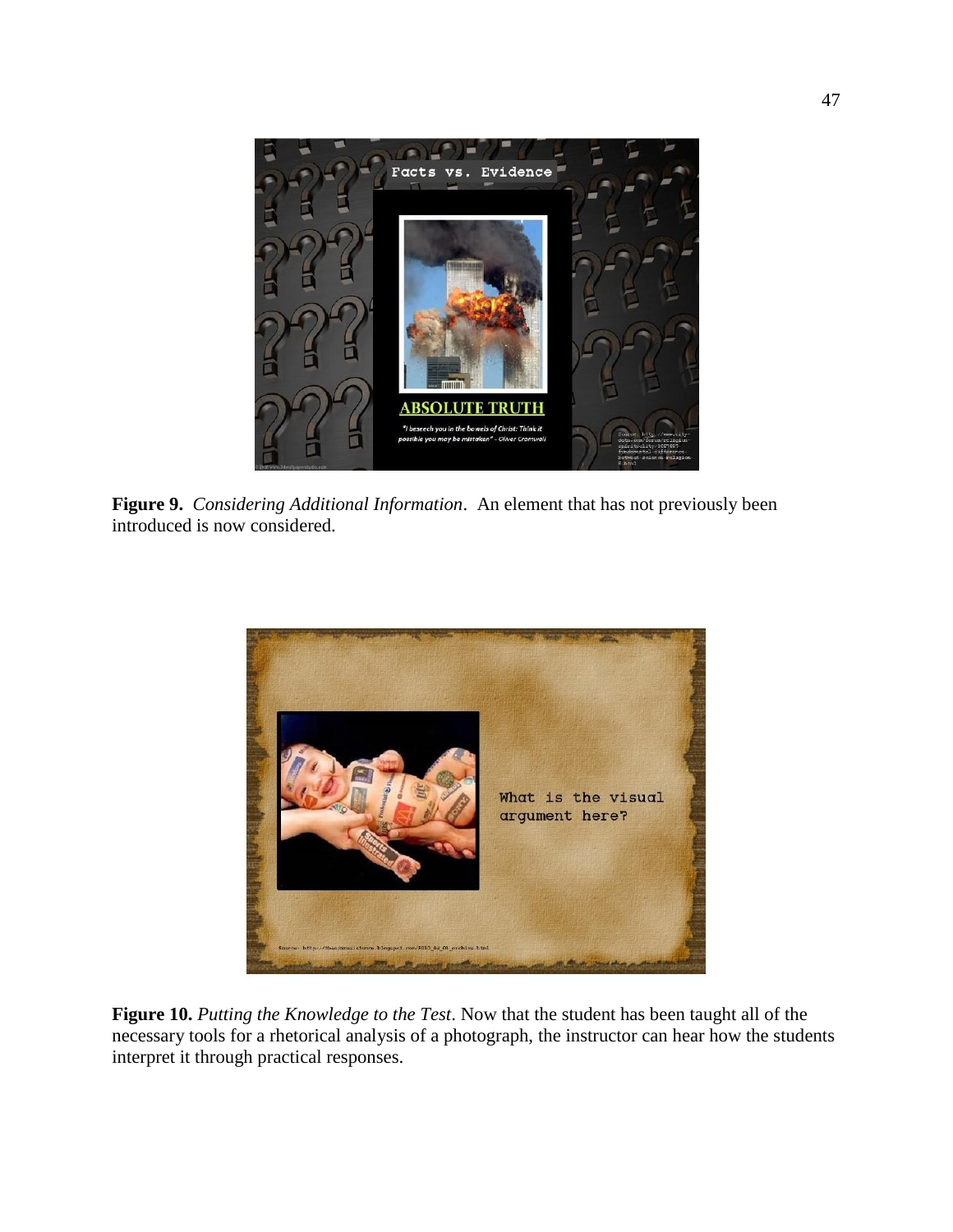

**Figure 9.** *Considering Additional Information*. An element that has not previously been introduced is now considered.



**Figure 10.** *Putting the Knowledge to the Test*. Now that the student has been taught all of the necessary tools for a rhetorical analysis of a photograph, the instructor can hear how the students interpret it through practical responses.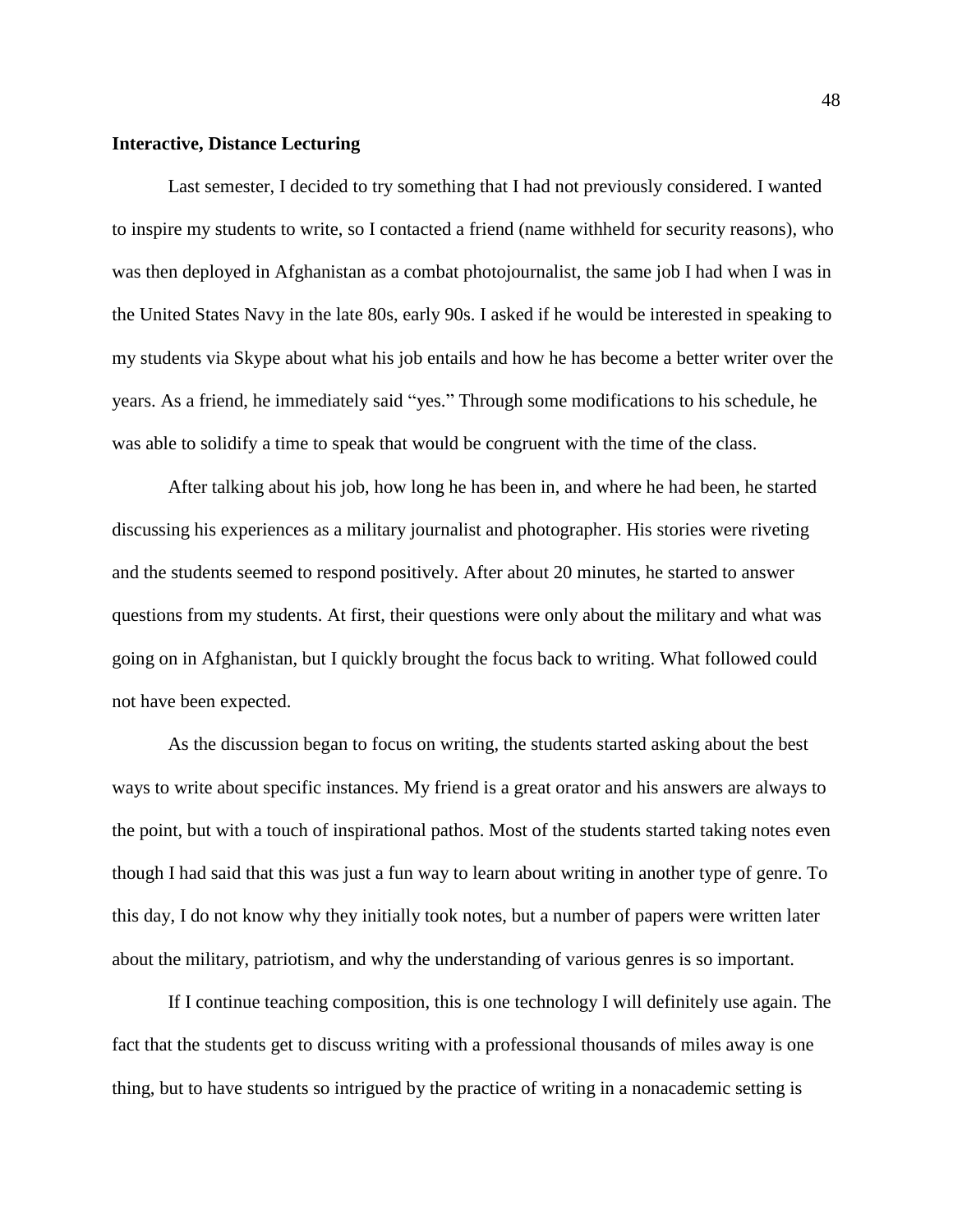#### **Interactive, Distance Lecturing**

Last semester, I decided to try something that I had not previously considered. I wanted to inspire my students to write, so I contacted a friend (name withheld for security reasons), who was then deployed in Afghanistan as a combat photojournalist, the same job I had when I was in the United States Navy in the late 80s, early 90s. I asked if he would be interested in speaking to my students via Skype about what his job entails and how he has become a better writer over the years. As a friend, he immediately said "yes." Through some modifications to his schedule, he was able to solidify a time to speak that would be congruent with the time of the class.

After talking about his job, how long he has been in, and where he had been, he started discussing his experiences as a military journalist and photographer. His stories were riveting and the students seemed to respond positively. After about 20 minutes, he started to answer questions from my students. At first, their questions were only about the military and what was going on in Afghanistan, but I quickly brought the focus back to writing. What followed could not have been expected.

As the discussion began to focus on writing, the students started asking about the best ways to write about specific instances. My friend is a great orator and his answers are always to the point, but with a touch of inspirational pathos. Most of the students started taking notes even though I had said that this was just a fun way to learn about writing in another type of genre. To this day, I do not know why they initially took notes, but a number of papers were written later about the military, patriotism, and why the understanding of various genres is so important.

If I continue teaching composition, this is one technology I will definitely use again. The fact that the students get to discuss writing with a professional thousands of miles away is one thing, but to have students so intrigued by the practice of writing in a nonacademic setting is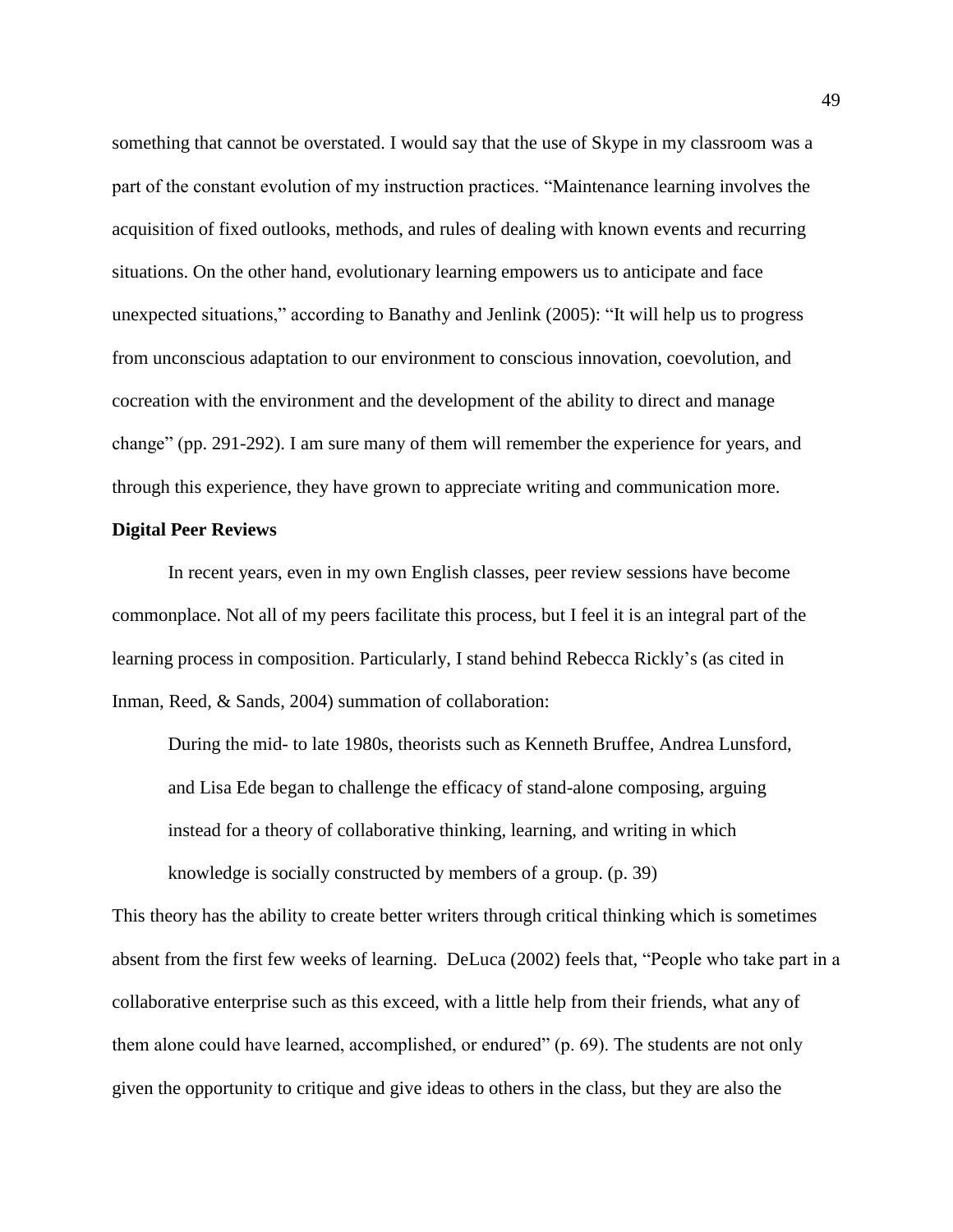something that cannot be overstated. I would say that the use of Skype in my classroom was a part of the constant evolution of my instruction practices. "Maintenance learning involves the acquisition of fixed outlooks, methods, and rules of dealing with known events and recurring situations. On the other hand, evolutionary learning empowers us to anticipate and face unexpected situations," according to Banathy and Jenlink (2005): "It will help us to progress from unconscious adaptation to our environment to conscious innovation, coevolution, and cocreation with the environment and the development of the ability to direct and manage change" (pp. 291-292). I am sure many of them will remember the experience for years, and through this experience, they have grown to appreciate writing and communication more.

#### **Digital Peer Reviews**

In recent years, even in my own English classes, peer review sessions have become commonplace. Not all of my peers facilitate this process, but I feel it is an integral part of the learning process in composition. Particularly, I stand behind Rebecca Rickly's (as cited in Inman, Reed, & Sands, 2004) summation of collaboration:

During the mid- to late 1980s, theorists such as Kenneth Bruffee, Andrea Lunsford, and Lisa Ede began to challenge the efficacy of stand-alone composing, arguing instead for a theory of collaborative thinking, learning, and writing in which knowledge is socially constructed by members of a group. (p. 39)

This theory has the ability to create better writers through critical thinking which is sometimes absent from the first few weeks of learning. DeLuca (2002) feels that, "People who take part in a collaborative enterprise such as this exceed, with a little help from their friends, what any of them alone could have learned, accomplished, or endured" (p. 69). The students are not only given the opportunity to critique and give ideas to others in the class, but they are also the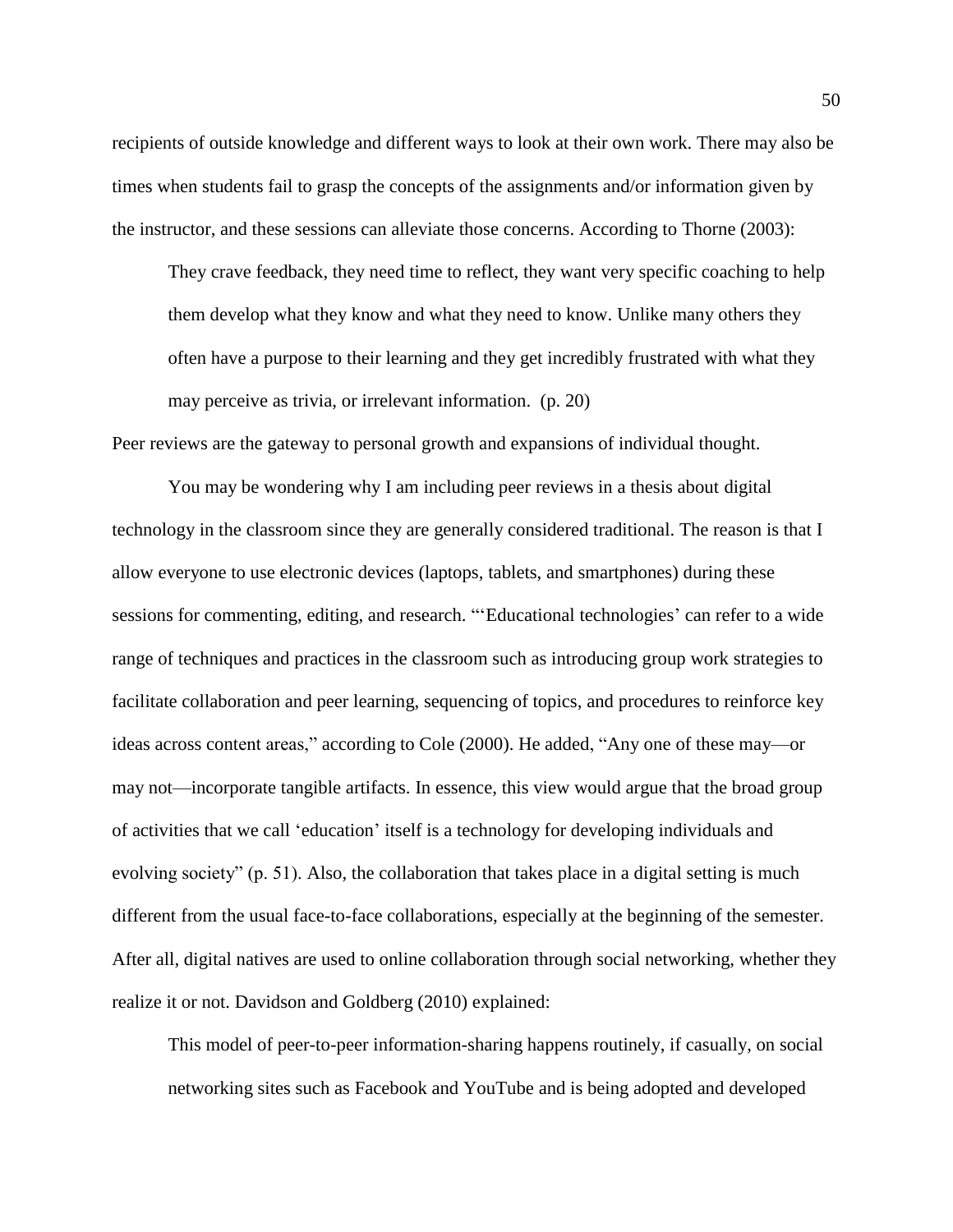recipients of outside knowledge and different ways to look at their own work. There may also be times when students fail to grasp the concepts of the assignments and/or information given by the instructor, and these sessions can alleviate those concerns. According to Thorne (2003):

They crave feedback, they need time to reflect, they want very specific coaching to help them develop what they know and what they need to know. Unlike many others they often have a purpose to their learning and they get incredibly frustrated with what they may perceive as trivia, or irrelevant information. (p. 20)

Peer reviews are the gateway to personal growth and expansions of individual thought.

You may be wondering why I am including peer reviews in a thesis about digital technology in the classroom since they are generally considered traditional. The reason is that I allow everyone to use electronic devices (laptops, tablets, and smartphones) during these sessions for commenting, editing, and research. "'Educational technologies' can refer to a wide range of techniques and practices in the classroom such as introducing group work strategies to facilitate collaboration and peer learning, sequencing of topics, and procedures to reinforce key ideas across content areas," according to Cole (2000). He added, "Any one of these may—or may not—incorporate tangible artifacts. In essence, this view would argue that the broad group of activities that we call 'education' itself is a technology for developing individuals and evolving society" (p. 51). Also, the collaboration that takes place in a digital setting is much different from the usual face-to-face collaborations, especially at the beginning of the semester. After all, digital natives are used to online collaboration through social networking, whether they realize it or not. Davidson and Goldberg (2010) explained:

This model of peer-to-peer information-sharing happens routinely, if casually, on social networking sites such as Facebook and YouTube and is being adopted and developed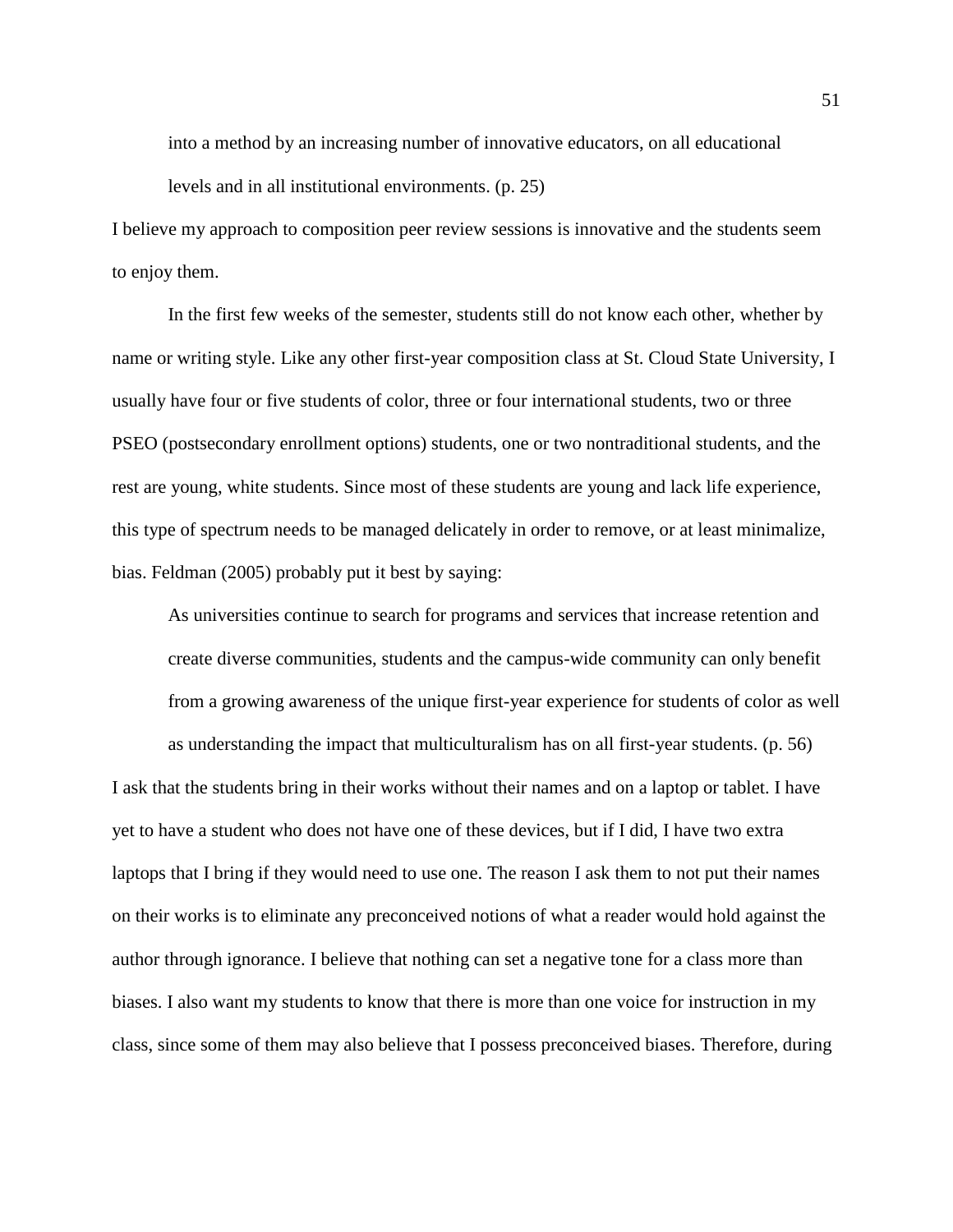into a method by an increasing number of innovative educators, on all educational levels and in all institutional environments. (p. 25)

I believe my approach to composition peer review sessions is innovative and the students seem to enjoy them.

In the first few weeks of the semester, students still do not know each other, whether by name or writing style. Like any other first-year composition class at St. Cloud State University, I usually have four or five students of color, three or four international students, two or three PSEO (postsecondary enrollment options) students, one or two nontraditional students, and the rest are young, white students. Since most of these students are young and lack life experience, this type of spectrum needs to be managed delicately in order to remove, or at least minimalize, bias. Feldman (2005) probably put it best by saying:

As universities continue to search for programs and services that increase retention and create diverse communities, students and the campus-wide community can only benefit from a growing awareness of the unique first-year experience for students of color as well as understanding the impact that multiculturalism has on all first-year students. (p. 56)

I ask that the students bring in their works without their names and on a laptop or tablet. I have yet to have a student who does not have one of these devices, but if I did, I have two extra laptops that I bring if they would need to use one. The reason I ask them to not put their names on their works is to eliminate any preconceived notions of what a reader would hold against the author through ignorance. I believe that nothing can set a negative tone for a class more than biases. I also want my students to know that there is more than one voice for instruction in my class, since some of them may also believe that I possess preconceived biases. Therefore, during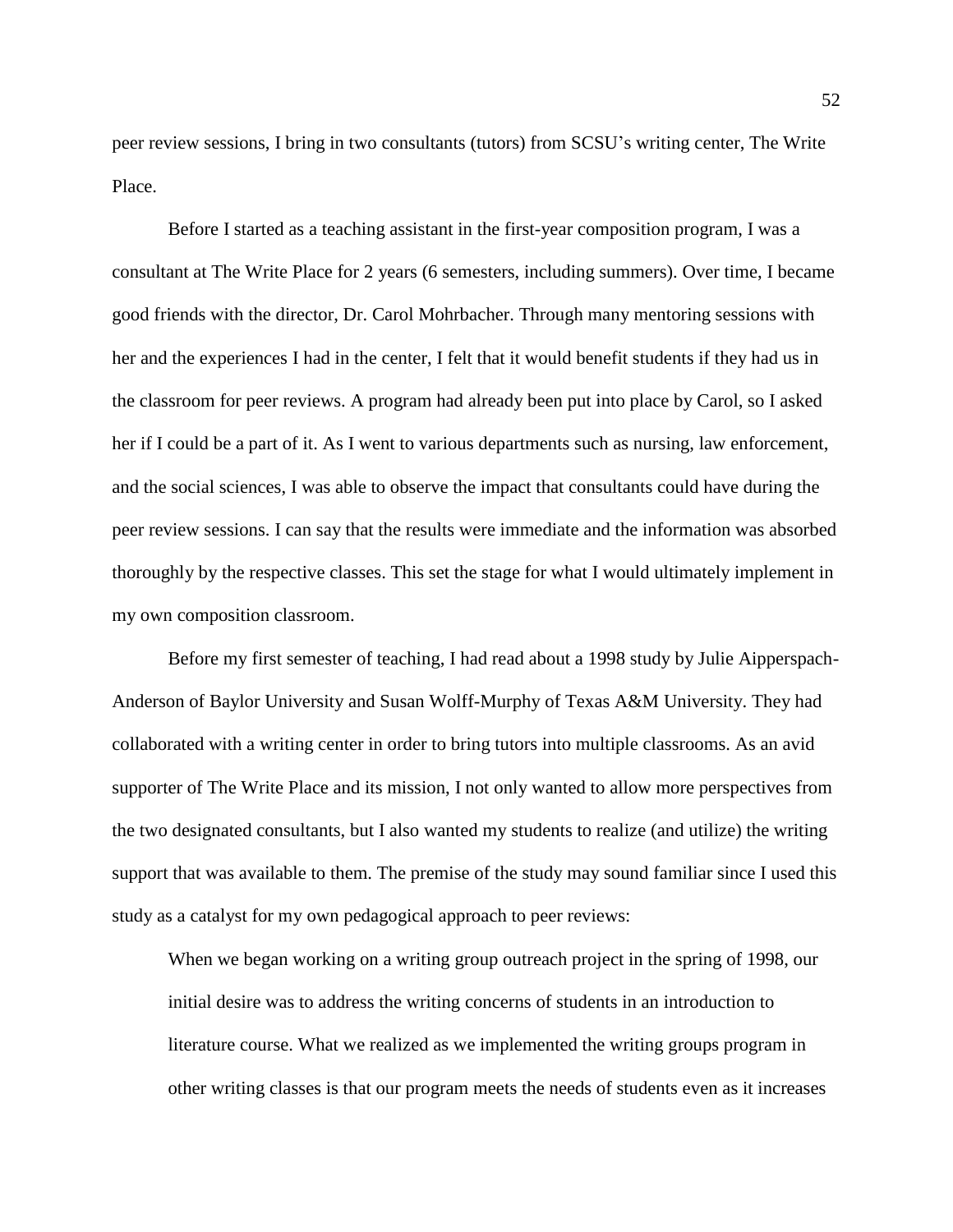peer review sessions, I bring in two consultants (tutors) from SCSU's writing center, The Write Place.

Before I started as a teaching assistant in the first-year composition program, I was a consultant at The Write Place for 2 years (6 semesters, including summers). Over time, I became good friends with the director, Dr. Carol Mohrbacher. Through many mentoring sessions with her and the experiences I had in the center, I felt that it would benefit students if they had us in the classroom for peer reviews. A program had already been put into place by Carol, so I asked her if I could be a part of it. As I went to various departments such as nursing, law enforcement, and the social sciences, I was able to observe the impact that consultants could have during the peer review sessions. I can say that the results were immediate and the information was absorbed thoroughly by the respective classes. This set the stage for what I would ultimately implement in my own composition classroom.

Before my first semester of teaching, I had read about a 1998 study by Julie Aipperspach-Anderson of Baylor University and Susan Wolff-Murphy of Texas A&M University. They had collaborated with a writing center in order to bring tutors into multiple classrooms. As an avid supporter of The Write Place and its mission, I not only wanted to allow more perspectives from the two designated consultants, but I also wanted my students to realize (and utilize) the writing support that was available to them. The premise of the study may sound familiar since I used this study as a catalyst for my own pedagogical approach to peer reviews:

When we began working on a writing group outreach project in the spring of 1998, our initial desire was to address the writing concerns of students in an introduction to literature course. What we realized as we implemented the writing groups program in other writing classes is that our program meets the needs of students even as it increases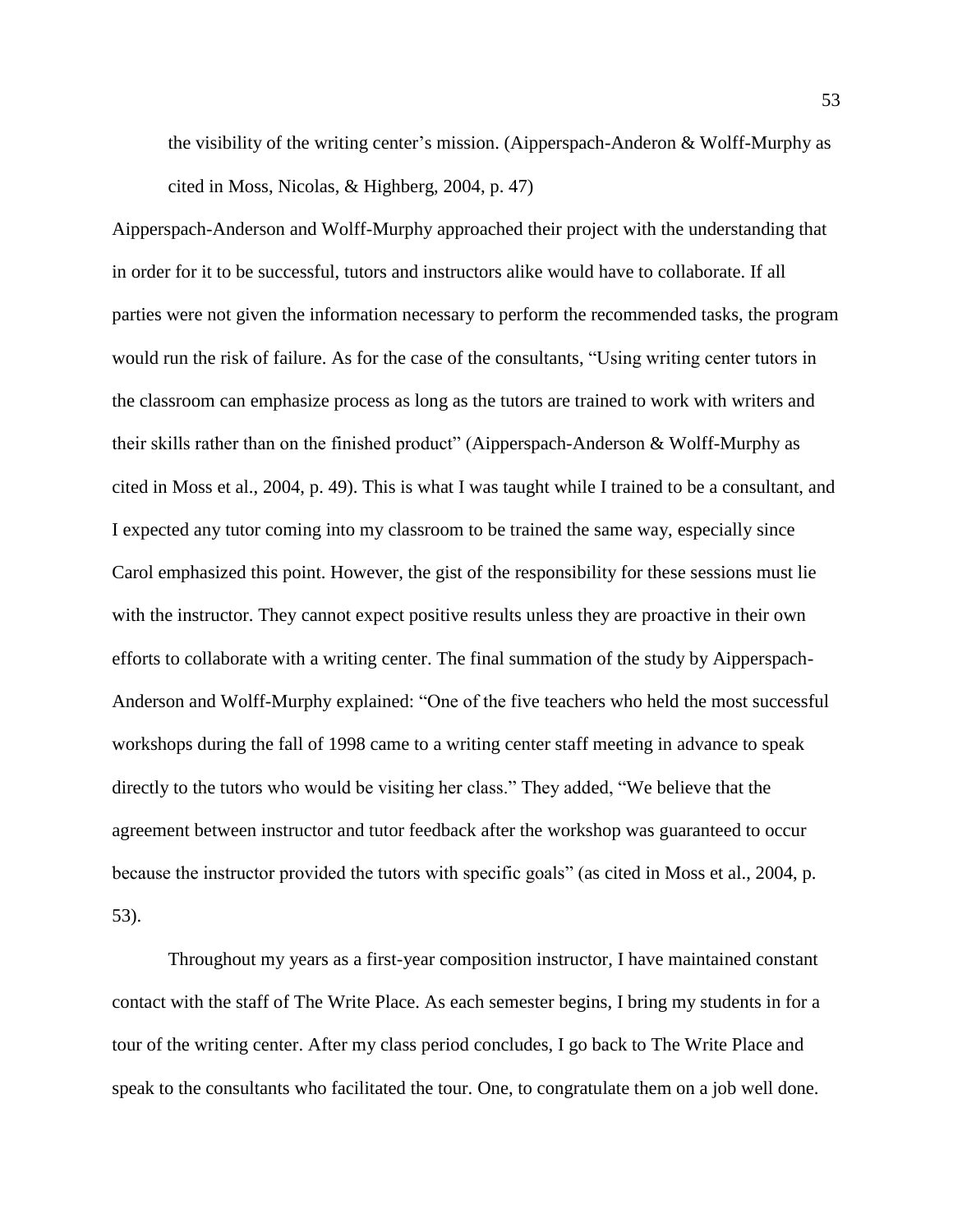the visibility of the writing center's mission. (Aipperspach-Anderon & Wolff-Murphy as cited in Moss, Nicolas, & Highberg, 2004, p. 47)

Aipperspach-Anderson and Wolff-Murphy approached their project with the understanding that in order for it to be successful, tutors and instructors alike would have to collaborate. If all parties were not given the information necessary to perform the recommended tasks, the program would run the risk of failure. As for the case of the consultants, "Using writing center tutors in the classroom can emphasize process as long as the tutors are trained to work with writers and their skills rather than on the finished product" (Aipperspach-Anderson & Wolff-Murphy as cited in Moss et al., 2004, p. 49). This is what I was taught while I trained to be a consultant, and I expected any tutor coming into my classroom to be trained the same way, especially since Carol emphasized this point. However, the gist of the responsibility for these sessions must lie with the instructor. They cannot expect positive results unless they are proactive in their own efforts to collaborate with a writing center. The final summation of the study by Aipperspach-Anderson and Wolff-Murphy explained: "One of the five teachers who held the most successful workshops during the fall of 1998 came to a writing center staff meeting in advance to speak directly to the tutors who would be visiting her class." They added, "We believe that the agreement between instructor and tutor feedback after the workshop was guaranteed to occur because the instructor provided the tutors with specific goals" (as cited in Moss et al., 2004, p. 53).

Throughout my years as a first-year composition instructor, I have maintained constant contact with the staff of The Write Place. As each semester begins, I bring my students in for a tour of the writing center. After my class period concludes, I go back to The Write Place and speak to the consultants who facilitated the tour. One, to congratulate them on a job well done.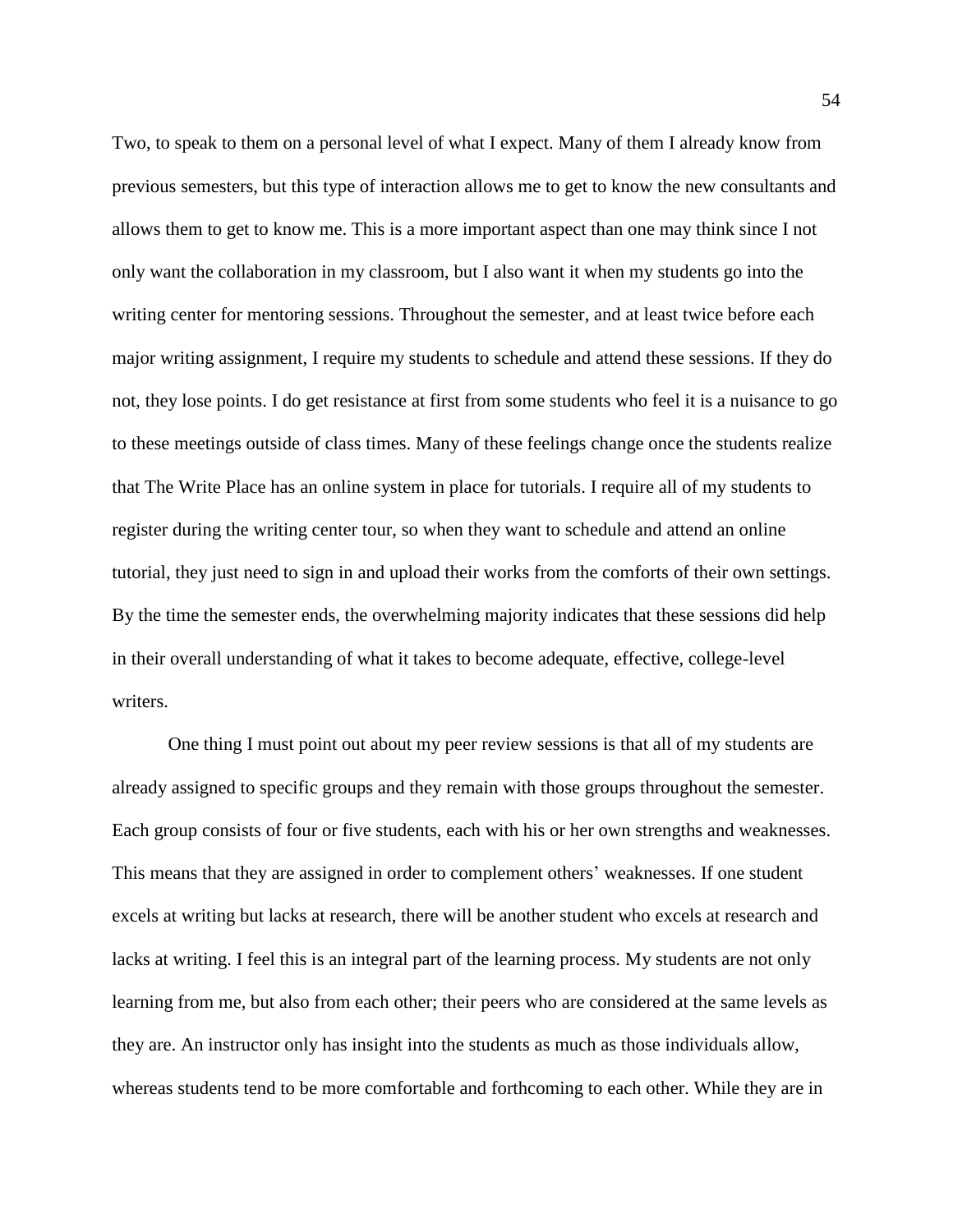Two, to speak to them on a personal level of what I expect. Many of them I already know from previous semesters, but this type of interaction allows me to get to know the new consultants and allows them to get to know me. This is a more important aspect than one may think since I not only want the collaboration in my classroom, but I also want it when my students go into the writing center for mentoring sessions. Throughout the semester, and at least twice before each major writing assignment, I require my students to schedule and attend these sessions. If they do not, they lose points. I do get resistance at first from some students who feel it is a nuisance to go to these meetings outside of class times. Many of these feelings change once the students realize that The Write Place has an online system in place for tutorials. I require all of my students to register during the writing center tour, so when they want to schedule and attend an online tutorial, they just need to sign in and upload their works from the comforts of their own settings. By the time the semester ends, the overwhelming majority indicates that these sessions did help in their overall understanding of what it takes to become adequate, effective, college-level writers.

One thing I must point out about my peer review sessions is that all of my students are already assigned to specific groups and they remain with those groups throughout the semester. Each group consists of four or five students, each with his or her own strengths and weaknesses. This means that they are assigned in order to complement others' weaknesses. If one student excels at writing but lacks at research, there will be another student who excels at research and lacks at writing. I feel this is an integral part of the learning process. My students are not only learning from me, but also from each other; their peers who are considered at the same levels as they are. An instructor only has insight into the students as much as those individuals allow, whereas students tend to be more comfortable and forthcoming to each other. While they are in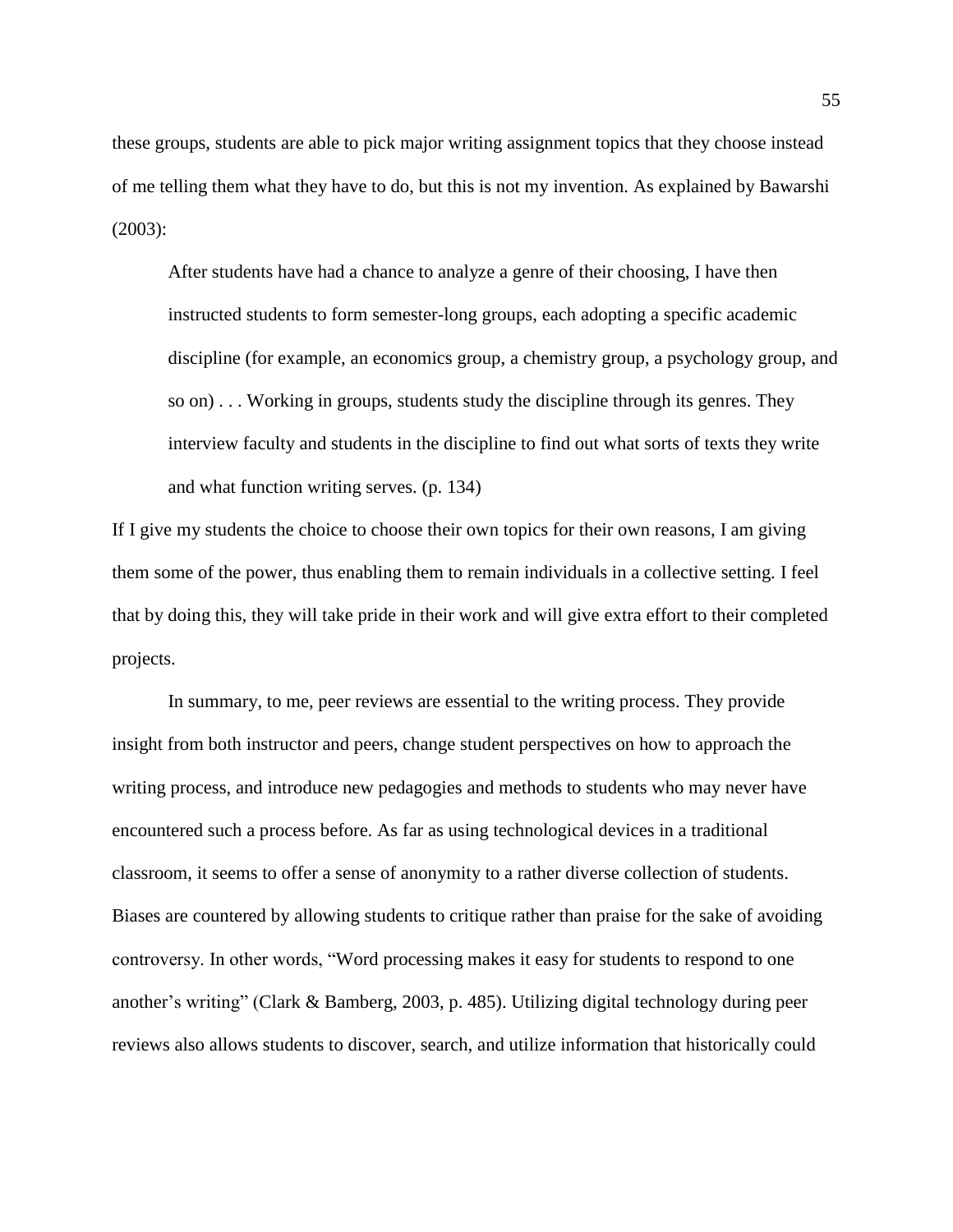these groups, students are able to pick major writing assignment topics that they choose instead of me telling them what they have to do, but this is not my invention. As explained by Bawarshi (2003):

After students have had a chance to analyze a genre of their choosing, I have then instructed students to form semester-long groups, each adopting a specific academic discipline (for example, an economics group, a chemistry group, a psychology group, and so on) . . . Working in groups, students study the discipline through its genres. They interview faculty and students in the discipline to find out what sorts of texts they write and what function writing serves. (p. 134)

If I give my students the choice to choose their own topics for their own reasons, I am giving them some of the power, thus enabling them to remain individuals in a collective setting. I feel that by doing this, they will take pride in their work and will give extra effort to their completed projects.

In summary, to me, peer reviews are essential to the writing process. They provide insight from both instructor and peers, change student perspectives on how to approach the writing process, and introduce new pedagogies and methods to students who may never have encountered such a process before. As far as using technological devices in a traditional classroom, it seems to offer a sense of anonymity to a rather diverse collection of students. Biases are countered by allowing students to critique rather than praise for the sake of avoiding controversy. In other words, "Word processing makes it easy for students to respond to one another's writing" (Clark & Bamberg, 2003, p. 485). Utilizing digital technology during peer reviews also allows students to discover, search, and utilize information that historically could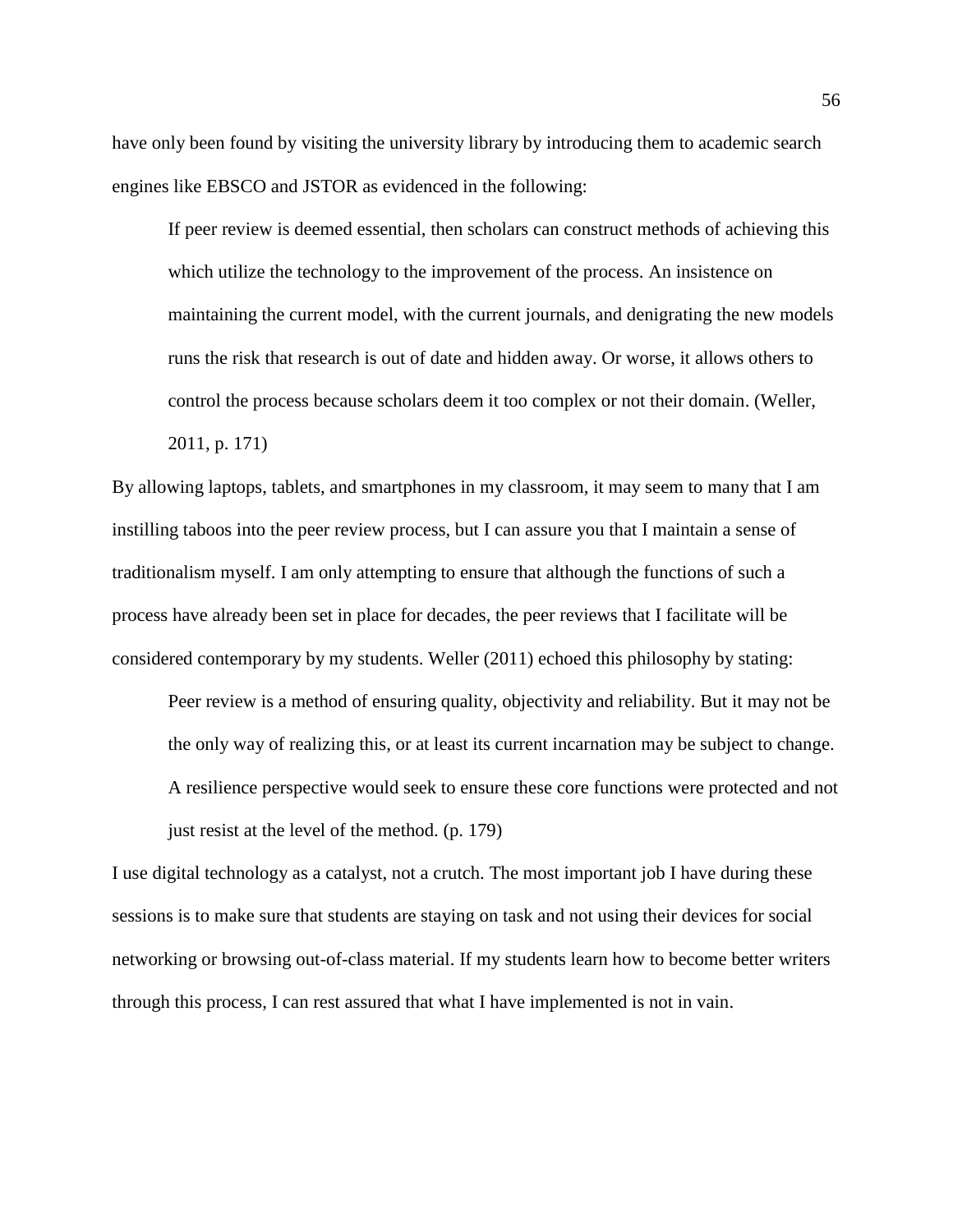have only been found by visiting the university library by introducing them to academic search engines like EBSCO and JSTOR as evidenced in the following:

If peer review is deemed essential, then scholars can construct methods of achieving this which utilize the technology to the improvement of the process. An insistence on maintaining the current model, with the current journals, and denigrating the new models runs the risk that research is out of date and hidden away. Or worse, it allows others to control the process because scholars deem it too complex or not their domain. (Weller, 2011, p. 171)

By allowing laptops, tablets, and smartphones in my classroom, it may seem to many that I am instilling taboos into the peer review process, but I can assure you that I maintain a sense of traditionalism myself. I am only attempting to ensure that although the functions of such a process have already been set in place for decades, the peer reviews that I facilitate will be considered contemporary by my students. Weller (2011) echoed this philosophy by stating:

Peer review is a method of ensuring quality, objectivity and reliability. But it may not be the only way of realizing this, or at least its current incarnation may be subject to change. A resilience perspective would seek to ensure these core functions were protected and not just resist at the level of the method. (p. 179)

I use digital technology as a catalyst, not a crutch. The most important job I have during these sessions is to make sure that students are staying on task and not using their devices for social networking or browsing out-of-class material. If my students learn how to become better writers through this process, I can rest assured that what I have implemented is not in vain.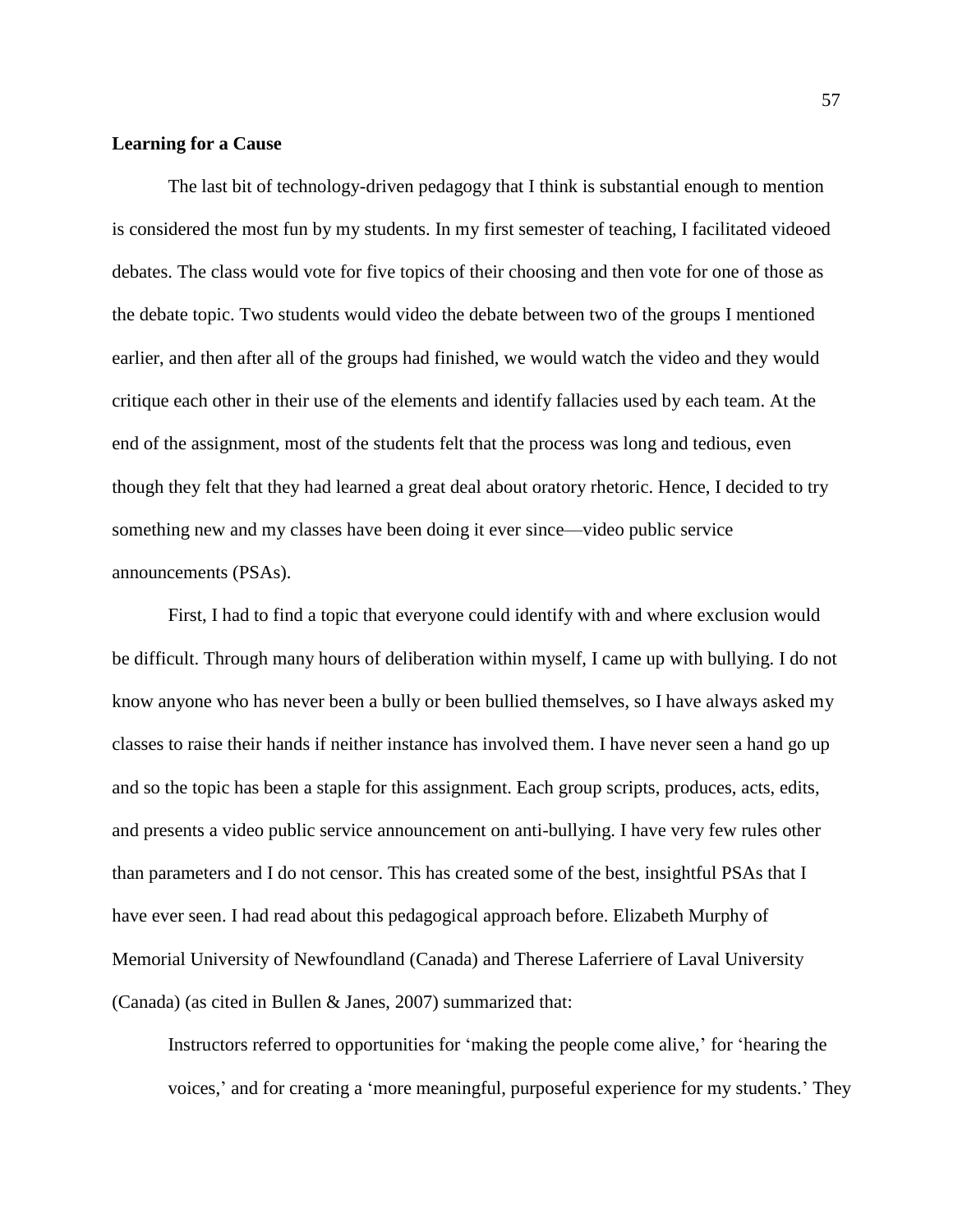#### **Learning for a Cause**

The last bit of technology-driven pedagogy that I think is substantial enough to mention is considered the most fun by my students. In my first semester of teaching, I facilitated videoed debates. The class would vote for five topics of their choosing and then vote for one of those as the debate topic. Two students would video the debate between two of the groups I mentioned earlier, and then after all of the groups had finished, we would watch the video and they would critique each other in their use of the elements and identify fallacies used by each team. At the end of the assignment, most of the students felt that the process was long and tedious, even though they felt that they had learned a great deal about oratory rhetoric. Hence, I decided to try something new and my classes have been doing it ever since—video public service announcements (PSAs).

First, I had to find a topic that everyone could identify with and where exclusion would be difficult. Through many hours of deliberation within myself, I came up with bullying. I do not know anyone who has never been a bully or been bullied themselves, so I have always asked my classes to raise their hands if neither instance has involved them. I have never seen a hand go up and so the topic has been a staple for this assignment. Each group scripts, produces, acts, edits, and presents a video public service announcement on anti-bullying. I have very few rules other than parameters and I do not censor. This has created some of the best, insightful PSAs that I have ever seen. I had read about this pedagogical approach before. Elizabeth Murphy of Memorial University of Newfoundland (Canada) and Therese Laferriere of Laval University (Canada) (as cited in Bullen & Janes, 2007) summarized that:

Instructors referred to opportunities for 'making the people come alive,' for 'hearing the voices,' and for creating a 'more meaningful, purposeful experience for my students.' They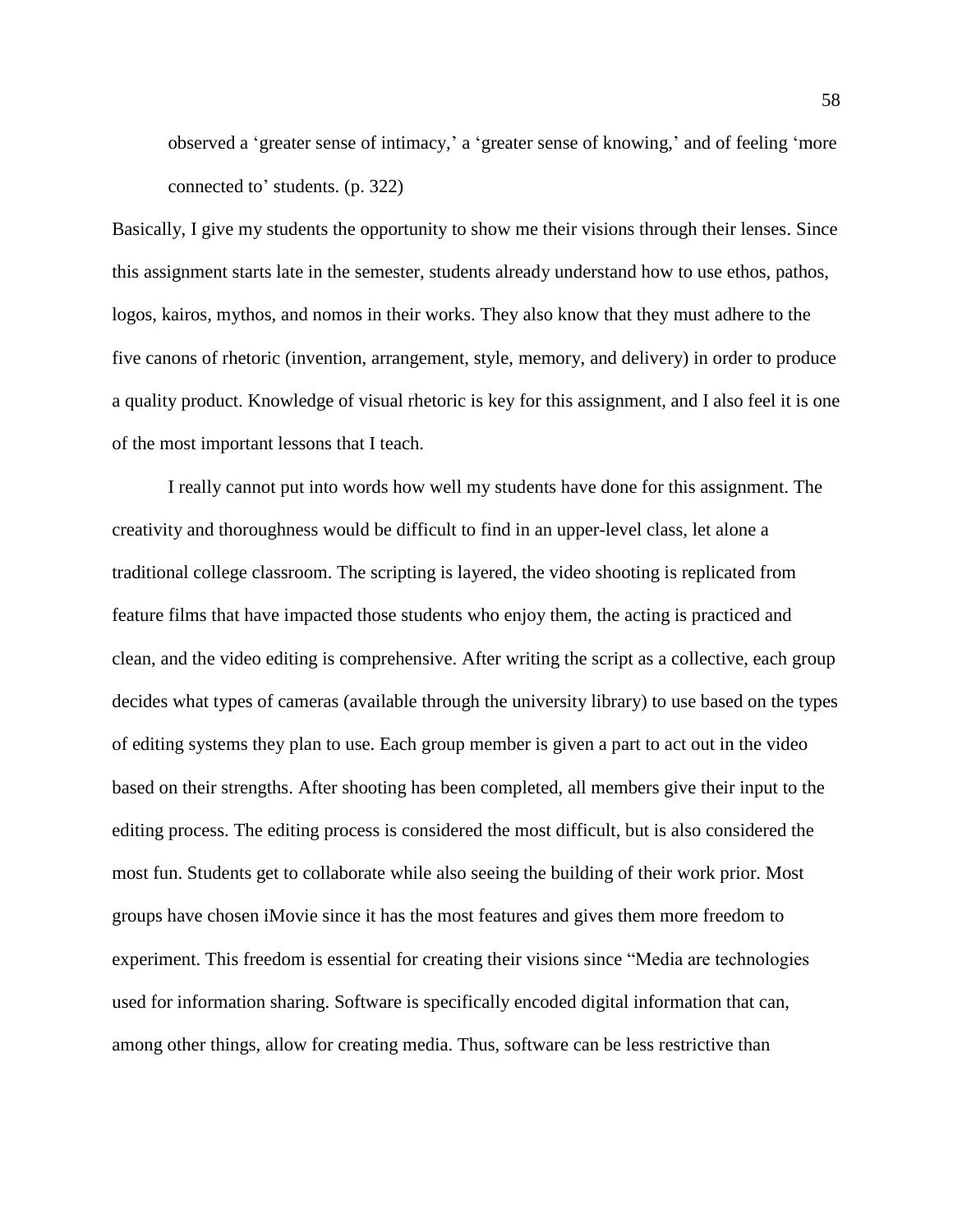observed a 'greater sense of intimacy,' a 'greater sense of knowing,' and of feeling 'more connected to' students. (p. 322)

Basically, I give my students the opportunity to show me their visions through their lenses. Since this assignment starts late in the semester, students already understand how to use ethos, pathos, logos, kairos, mythos, and nomos in their works. They also know that they must adhere to the five canons of rhetoric (invention, arrangement, style, memory, and delivery) in order to produce a quality product. Knowledge of visual rhetoric is key for this assignment, and I also feel it is one of the most important lessons that I teach.

I really cannot put into words how well my students have done for this assignment. The creativity and thoroughness would be difficult to find in an upper-level class, let alone a traditional college classroom. The scripting is layered, the video shooting is replicated from feature films that have impacted those students who enjoy them, the acting is practiced and clean, and the video editing is comprehensive. After writing the script as a collective, each group decides what types of cameras (available through the university library) to use based on the types of editing systems they plan to use. Each group member is given a part to act out in the video based on their strengths. After shooting has been completed, all members give their input to the editing process. The editing process is considered the most difficult, but is also considered the most fun. Students get to collaborate while also seeing the building of their work prior. Most groups have chosen iMovie since it has the most features and gives them more freedom to experiment. This freedom is essential for creating their visions since "Media are technologies used for information sharing. Software is specifically encoded digital information that can, among other things, allow for creating media. Thus, software can be less restrictive than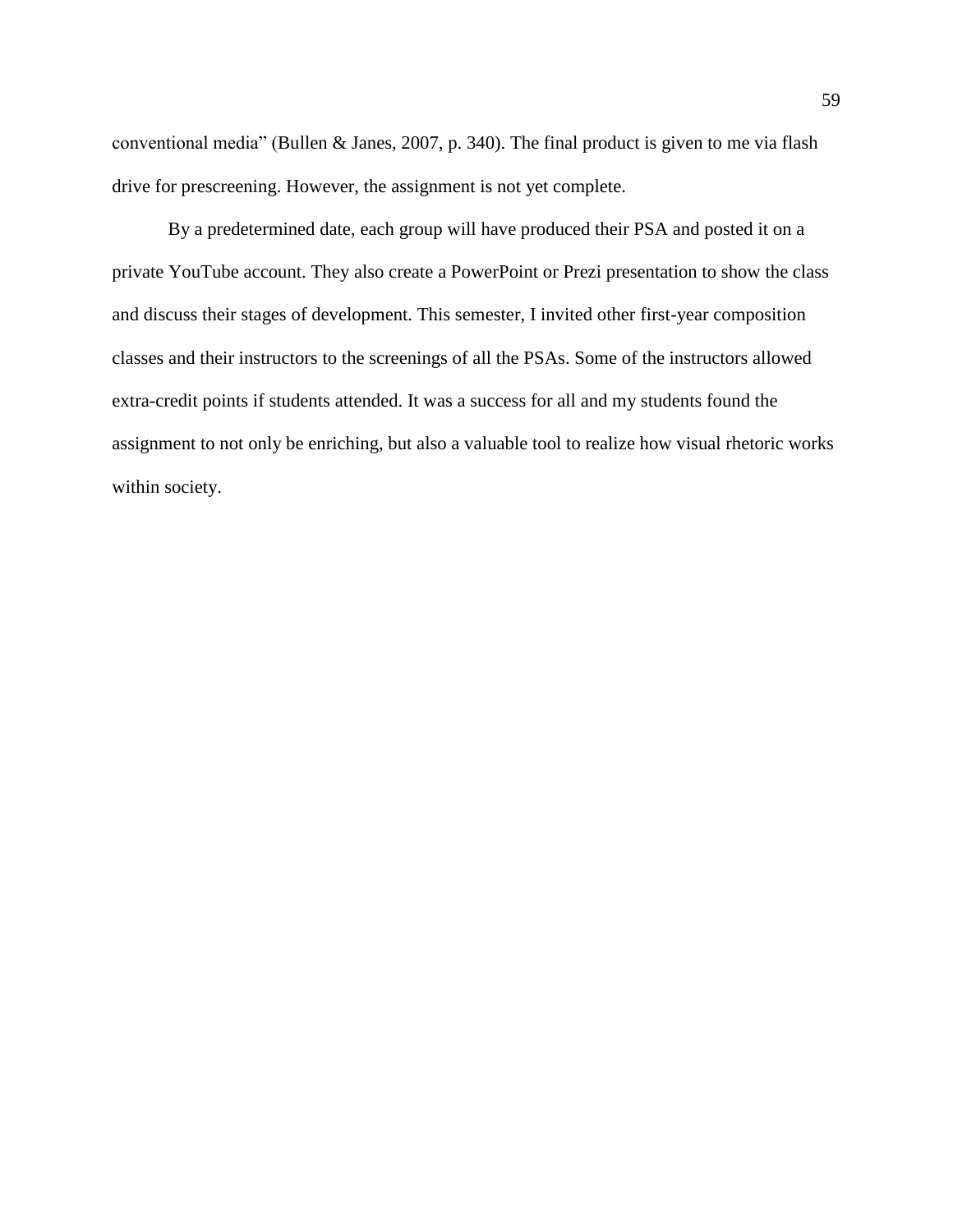conventional media" (Bullen & Janes, 2007, p. 340). The final product is given to me via flash drive for prescreening. However, the assignment is not yet complete.

By a predetermined date, each group will have produced their PSA and posted it on a private YouTube account. They also create a PowerPoint or Prezi presentation to show the class and discuss their stages of development. This semester, I invited other first-year composition classes and their instructors to the screenings of all the PSAs. Some of the instructors allowed extra-credit points if students attended. It was a success for all and my students found the assignment to not only be enriching, but also a valuable tool to realize how visual rhetoric works within society.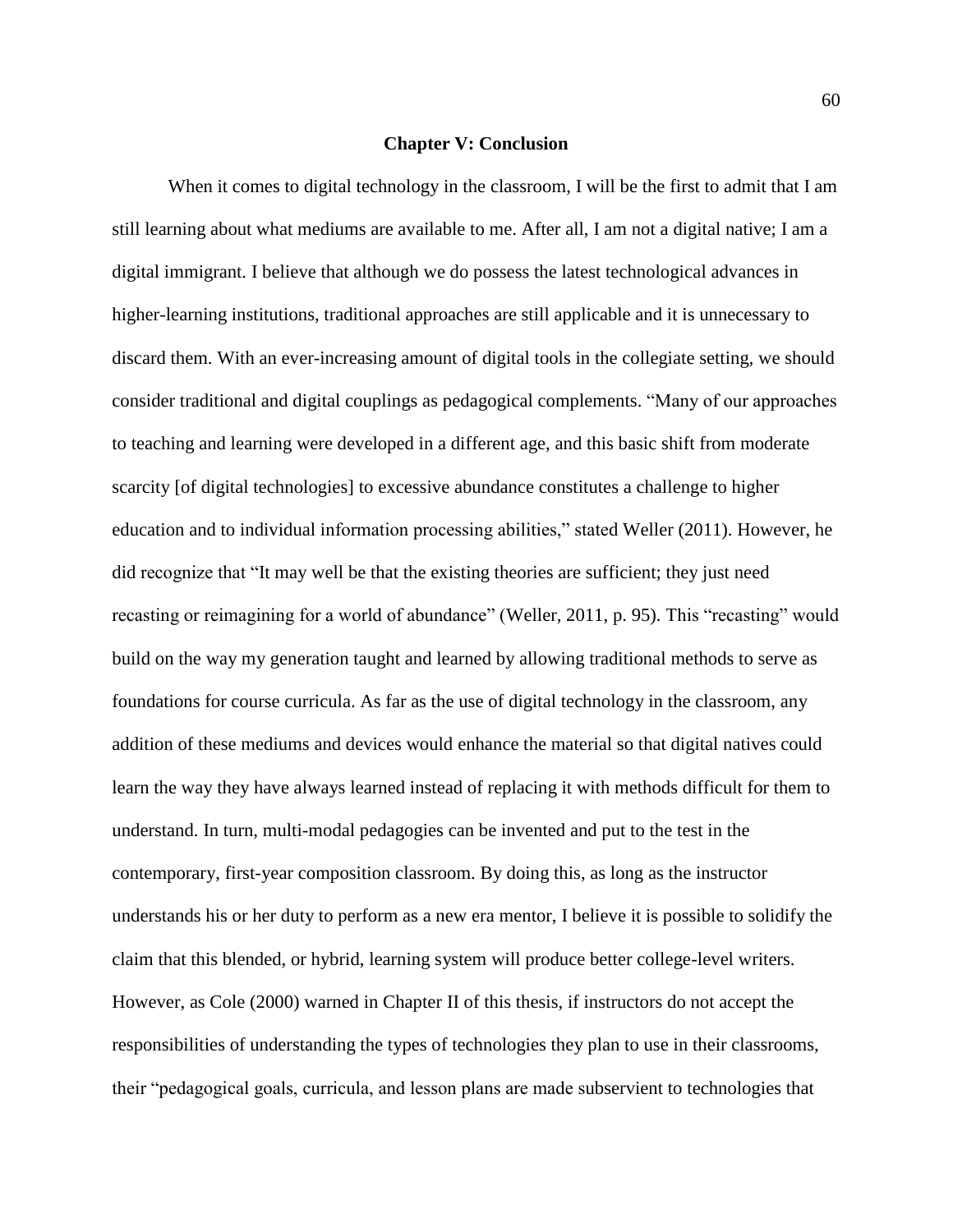#### **Chapter V: Conclusion**

When it comes to digital technology in the classroom, I will be the first to admit that I am still learning about what mediums are available to me. After all, I am not a digital native; I am a digital immigrant. I believe that although we do possess the latest technological advances in higher-learning institutions, traditional approaches are still applicable and it is unnecessary to discard them. With an ever-increasing amount of digital tools in the collegiate setting, we should consider traditional and digital couplings as pedagogical complements. "Many of our approaches to teaching and learning were developed in a different age, and this basic shift from moderate scarcity [of digital technologies] to excessive abundance constitutes a challenge to higher education and to individual information processing abilities," stated Weller (2011). However, he did recognize that "It may well be that the existing theories are sufficient; they just need recasting or reimagining for a world of abundance" (Weller, 2011, p. 95). This "recasting" would build on the way my generation taught and learned by allowing traditional methods to serve as foundations for course curricula. As far as the use of digital technology in the classroom, any addition of these mediums and devices would enhance the material so that digital natives could learn the way they have always learned instead of replacing it with methods difficult for them to understand. In turn, multi-modal pedagogies can be invented and put to the test in the contemporary, first-year composition classroom. By doing this, as long as the instructor understands his or her duty to perform as a new era mentor, I believe it is possible to solidify the claim that this blended, or hybrid, learning system will produce better college-level writers. However, as Cole (2000) warned in Chapter II of this thesis, if instructors do not accept the responsibilities of understanding the types of technologies they plan to use in their classrooms, their "pedagogical goals, curricula, and lesson plans are made subservient to technologies that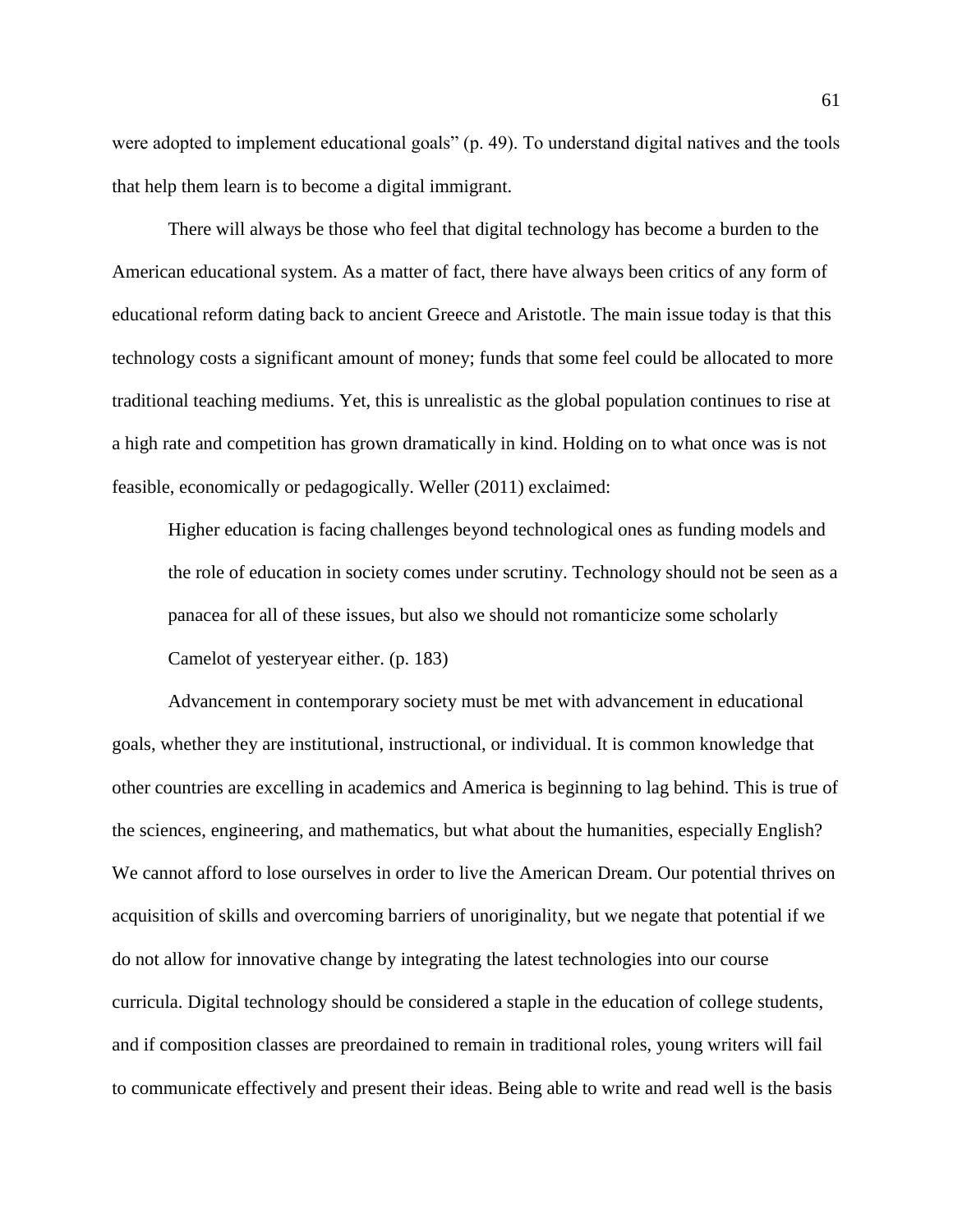were adopted to implement educational goals" (p. 49). To understand digital natives and the tools that help them learn is to become a digital immigrant.

There will always be those who feel that digital technology has become a burden to the American educational system. As a matter of fact, there have always been critics of any form of educational reform dating back to ancient Greece and Aristotle. The main issue today is that this technology costs a significant amount of money; funds that some feel could be allocated to more traditional teaching mediums. Yet, this is unrealistic as the global population continues to rise at a high rate and competition has grown dramatically in kind. Holding on to what once was is not feasible, economically or pedagogically. Weller (2011) exclaimed:

Higher education is facing challenges beyond technological ones as funding models and the role of education in society comes under scrutiny. Technology should not be seen as a panacea for all of these issues, but also we should not romanticize some scholarly Camelot of yesteryear either. (p. 183)

Advancement in contemporary society must be met with advancement in educational goals, whether they are institutional, instructional, or individual. It is common knowledge that other countries are excelling in academics and America is beginning to lag behind. This is true of the sciences, engineering, and mathematics, but what about the humanities, especially English? We cannot afford to lose ourselves in order to live the American Dream. Our potential thrives on acquisition of skills and overcoming barriers of unoriginality, but we negate that potential if we do not allow for innovative change by integrating the latest technologies into our course curricula. Digital technology should be considered a staple in the education of college students, and if composition classes are preordained to remain in traditional roles, young writers will fail to communicate effectively and present their ideas. Being able to write and read well is the basis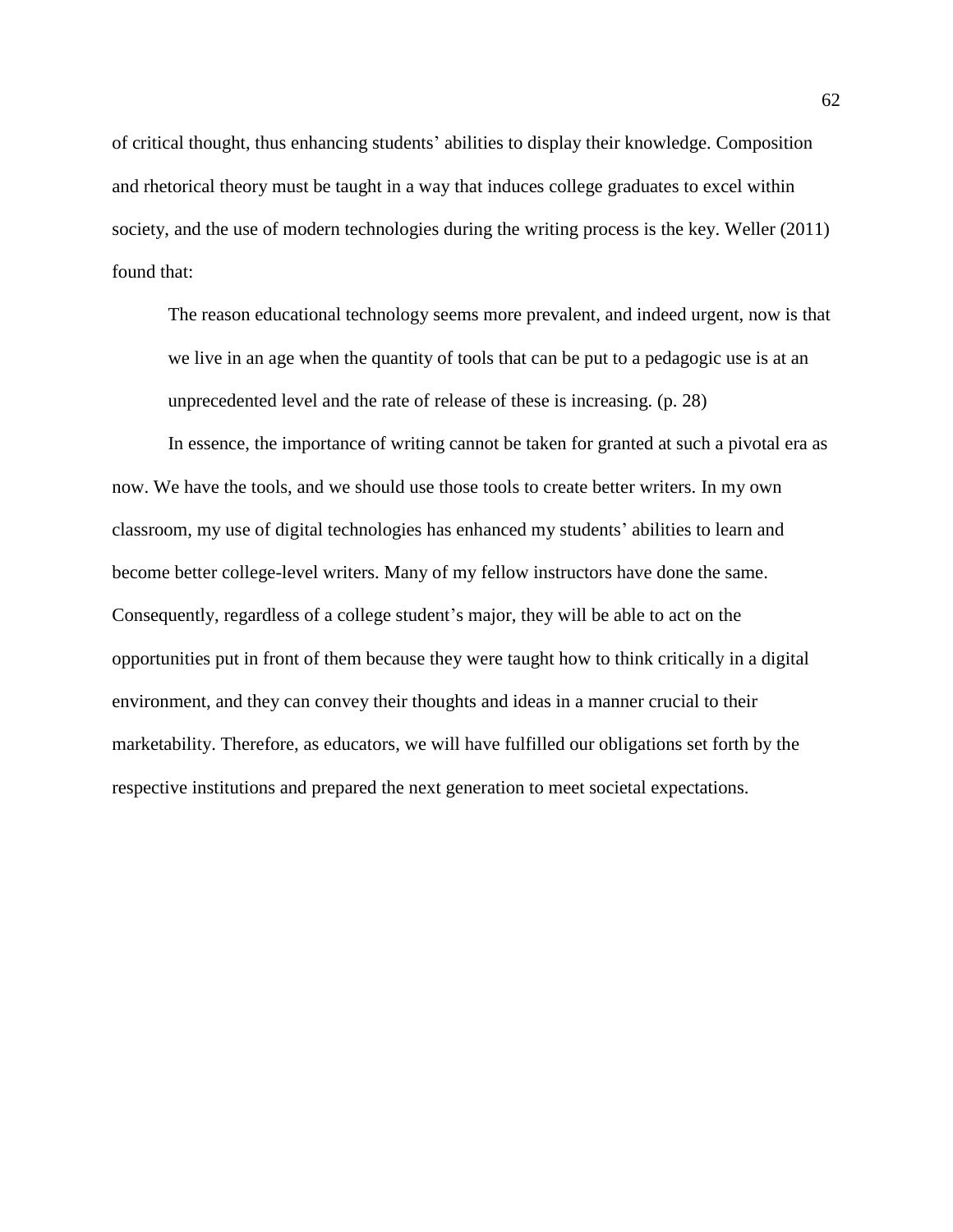of critical thought, thus enhancing students' abilities to display their knowledge. Composition and rhetorical theory must be taught in a way that induces college graduates to excel within society, and the use of modern technologies during the writing process is the key. Weller (2011) found that:

The reason educational technology seems more prevalent, and indeed urgent, now is that we live in an age when the quantity of tools that can be put to a pedagogic use is at an unprecedented level and the rate of release of these is increasing. (p. 28)

In essence, the importance of writing cannot be taken for granted at such a pivotal era as now. We have the tools, and we should use those tools to create better writers. In my own classroom, my use of digital technologies has enhanced my students' abilities to learn and become better college-level writers. Many of my fellow instructors have done the same. Consequently, regardless of a college student's major, they will be able to act on the opportunities put in front of them because they were taught how to think critically in a digital environment, and they can convey their thoughts and ideas in a manner crucial to their marketability. Therefore, as educators, we will have fulfilled our obligations set forth by the respective institutions and prepared the next generation to meet societal expectations.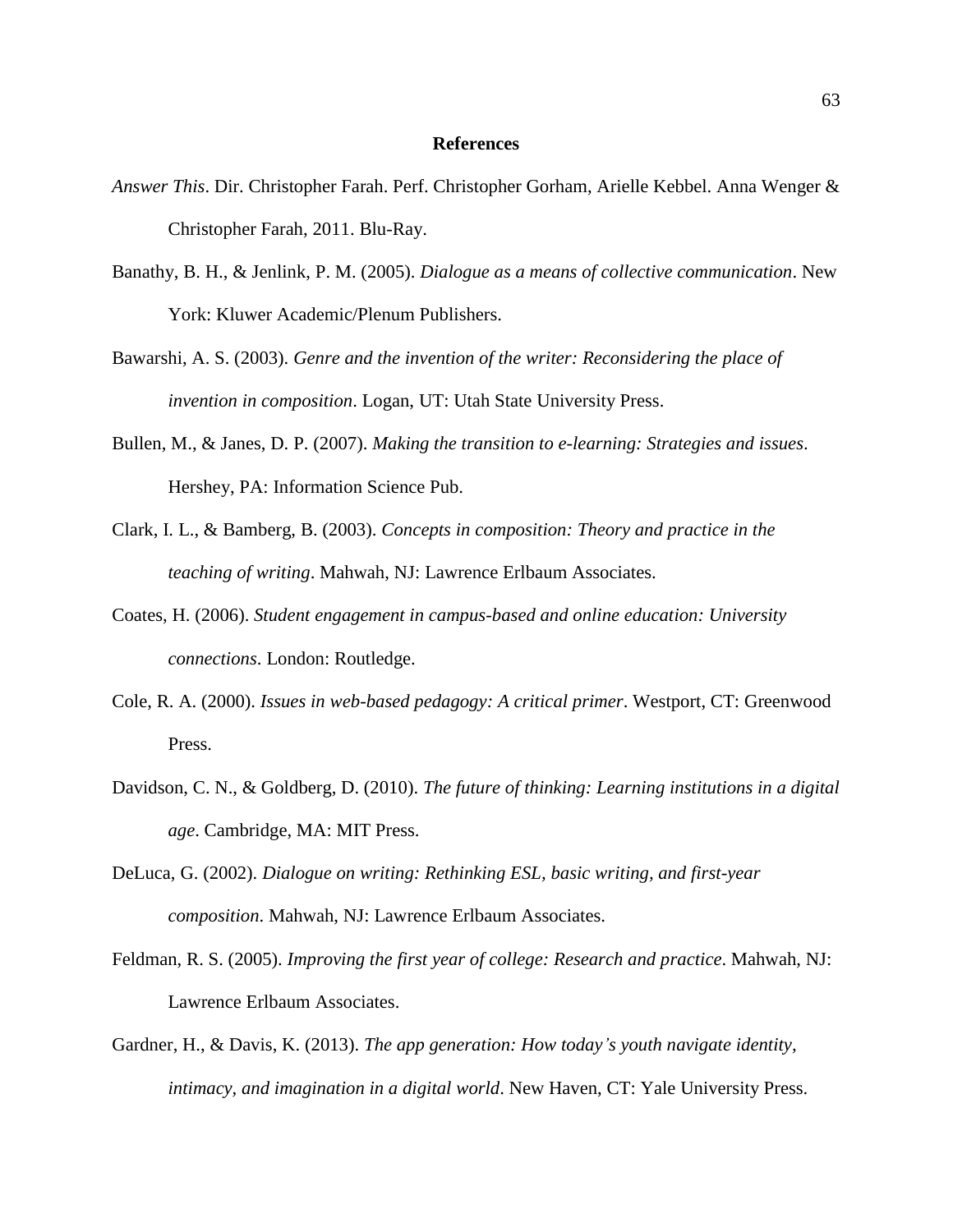#### **References**

- *Answer This*. Dir. Christopher Farah. Perf. Christopher Gorham, Arielle Kebbel. Anna Wenger & Christopher Farah, 2011. Blu-Ray.
- Banathy, B. H., & Jenlink, P. M. (2005). *Dialogue as a means of collective communication*. New York: Kluwer Academic/Plenum Publishers.
- Bawarshi, A. S. (2003). *Genre and the invention of the writer: Reconsidering the place of invention in composition*. Logan, UT: Utah State University Press.
- Bullen, M., & Janes, D. P. (2007). *Making the transition to e-learning: Strategies and issues*. Hershey, PA: Information Science Pub.
- Clark, I. L., & Bamberg, B. (2003). *Concepts in composition: Theory and practice in the teaching of writing*. Mahwah, NJ: Lawrence Erlbaum Associates.
- Coates, H. (2006). *Student engagement in campus-based and online education: University connections*. London: Routledge.
- Cole, R. A. (2000). *Issues in web-based pedagogy: A critical primer*. Westport, CT: Greenwood Press.
- Davidson, C. N., & Goldberg, D. (2010). *The future of thinking: Learning institutions in a digital age*. Cambridge, MA: MIT Press.
- DeLuca, G. (2002). *Dialogue on writing: Rethinking ESL, basic writing, and first-year composition*. Mahwah, NJ: Lawrence Erlbaum Associates.
- Feldman, R. S. (2005). *Improving the first year of college: Research and practice*. Mahwah, NJ: Lawrence Erlbaum Associates.
- Gardner, H., & Davis, K. (2013). *The app generation: How today's youth navigate identity, intimacy, and imagination in a digital world*. New Haven, CT: Yale University Press.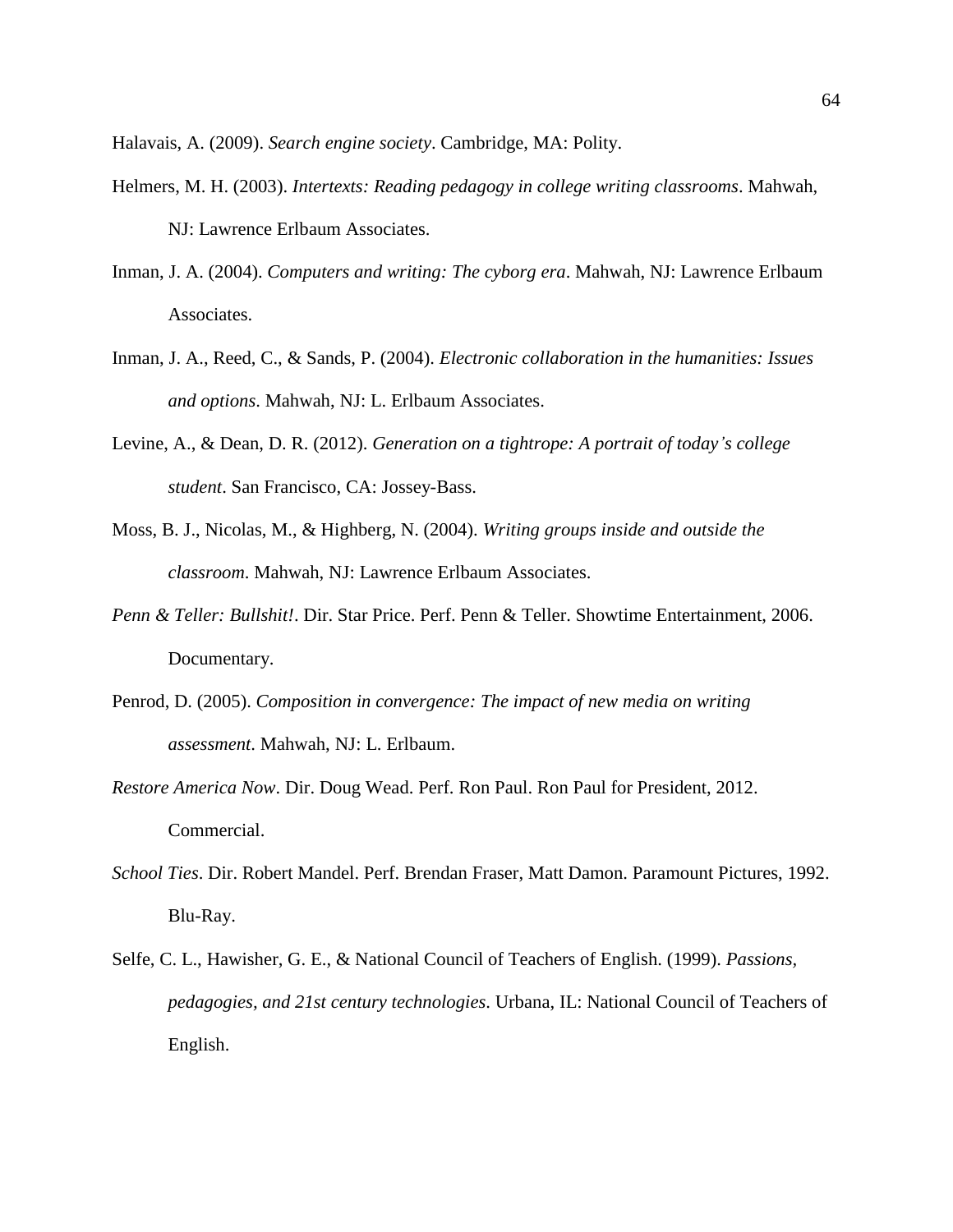Halavais, A. (2009). *Search engine society*. Cambridge, MA: Polity.

- Helmers, M. H. (2003). *Intertexts: Reading pedagogy in college writing classrooms*. Mahwah, NJ: Lawrence Erlbaum Associates.
- Inman, J. A. (2004). *Computers and writing: The cyborg era*. Mahwah, NJ: Lawrence Erlbaum Associates.
- Inman, J. A., Reed, C., & Sands, P. (2004). *Electronic collaboration in the humanities: Issues and options*. Mahwah, NJ: L. Erlbaum Associates.
- Levine, A., & Dean, D. R. (2012). *Generation on a tightrope: A portrait of today's college student*. San Francisco, CA: Jossey-Bass.
- Moss, B. J., Nicolas, M., & Highberg, N. (2004). *Writing groups inside and outside the classroom*. Mahwah, NJ: Lawrence Erlbaum Associates.
- *Penn & Teller: Bullshit!*. Dir. Star Price. Perf. Penn & Teller. Showtime Entertainment, 2006. Documentary.
- Penrod, D. (2005). *Composition in convergence: The impact of new media on writing assessment*. Mahwah, NJ: L. Erlbaum.
- *Restore America Now*. Dir. Doug Wead. Perf. Ron Paul. Ron Paul for President, 2012. Commercial.
- *School Ties*. Dir. Robert Mandel. Perf. Brendan Fraser, Matt Damon. Paramount Pictures, 1992. Blu-Ray.
- Selfe, C. L., Hawisher, G. E., & National Council of Teachers of English. (1999). *Passions, pedagogies, and 21st century technologies*. Urbana, IL: National Council of Teachers of English.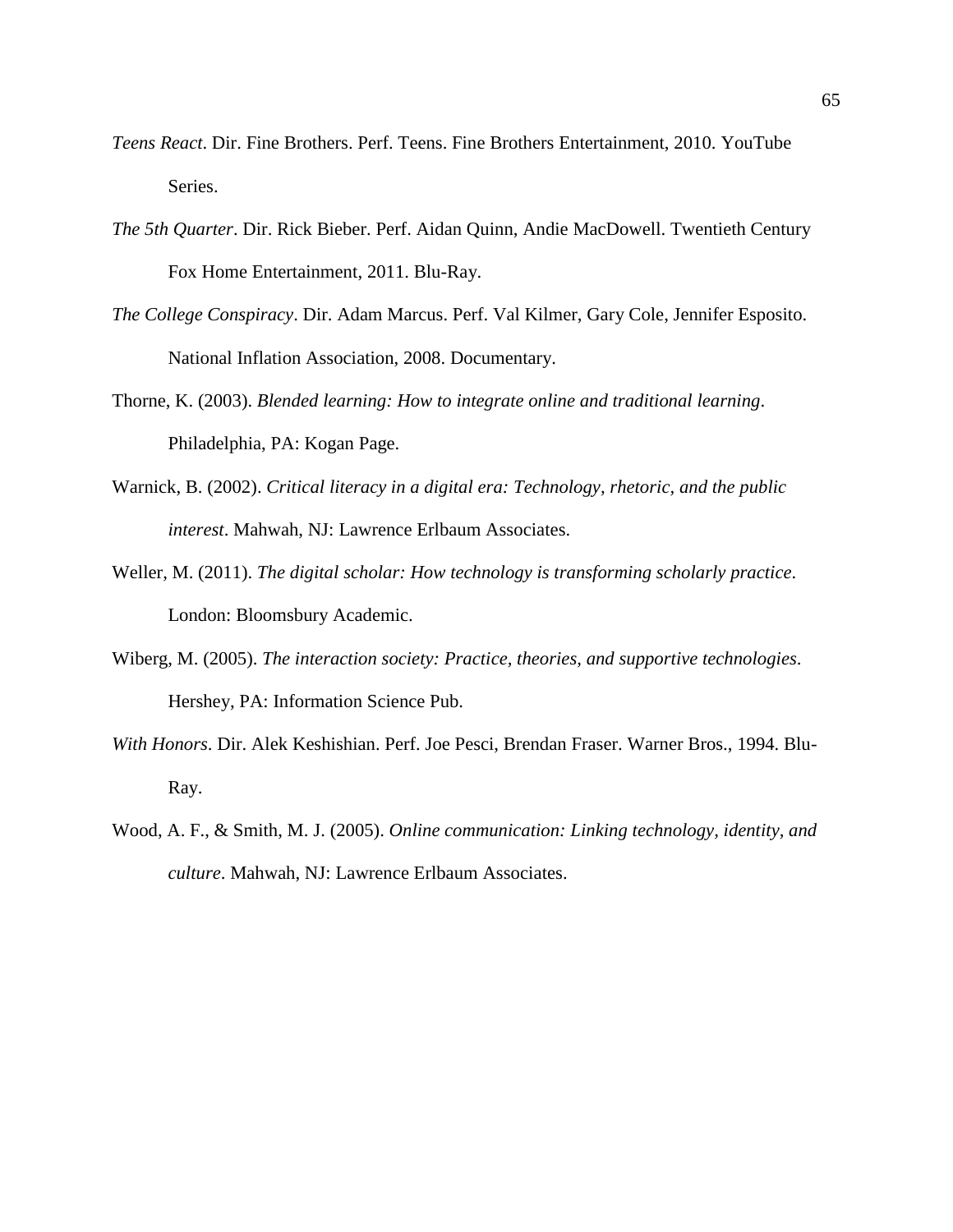- *Teens React*. Dir. Fine Brothers. Perf. Teens. Fine Brothers Entertainment, 2010. YouTube Series.
- *The 5th Quarter*. Dir. Rick Bieber. Perf. Aidan Quinn, Andie MacDowell. Twentieth Century Fox Home Entertainment, 2011. Blu-Ray.
- *The College Conspiracy*. Dir. Adam Marcus. Perf. Val Kilmer, Gary Cole, Jennifer Esposito. National Inflation Association, 2008. Documentary.
- Thorne, K. (2003). *Blended learning: How to integrate online and traditional learning*. Philadelphia, PA: Kogan Page.
- Warnick, B. (2002). *Critical literacy in a digital era: Technology, rhetoric, and the public interest*. Mahwah, NJ: Lawrence Erlbaum Associates.
- Weller, M. (2011). *The digital scholar: How technology is transforming scholarly practice*. London: Bloomsbury Academic.
- Wiberg, M. (2005). *The interaction society: Practice, theories, and supportive technologies*. Hershey, PA: Information Science Pub.
- *With Honors*. Dir. Alek Keshishian. Perf. Joe Pesci, Brendan Fraser. Warner Bros., 1994. Blu-Ray.
- Wood, A. F., & Smith, M. J. (2005). *Online communication: Linking technology, identity, and culture*. Mahwah, NJ: Lawrence Erlbaum Associates.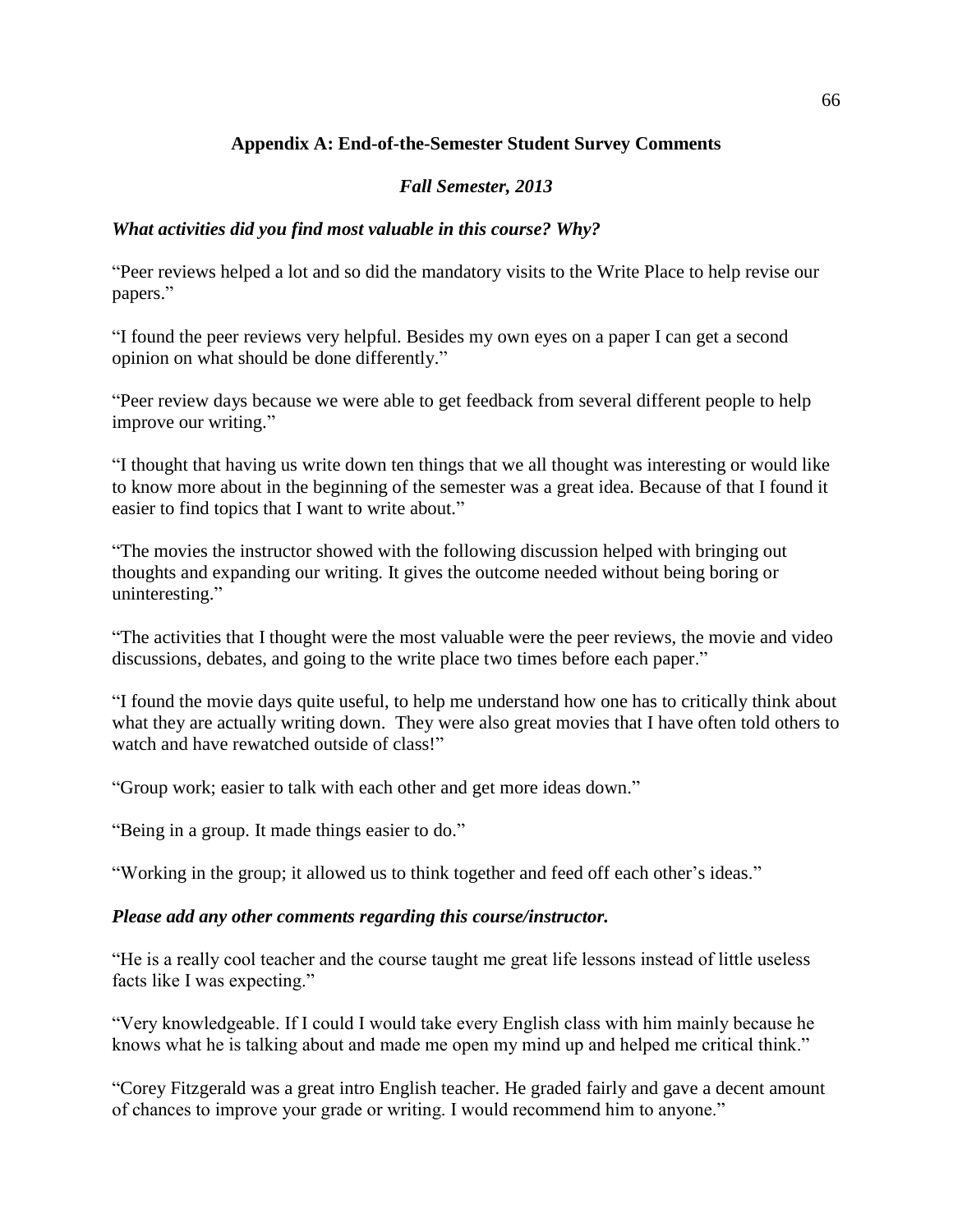# **Appendix A: End-of-the-Semester Student Survey Comments**

# *Fall Semester, 2013*

# *What activities did you find most valuable in this course? Why?*

"Peer reviews helped a lot and so did the mandatory visits to the Write Place to help revise our papers."

"I found the peer reviews very helpful. Besides my own eyes on a paper I can get a second opinion on what should be done differently."

"Peer review days because we were able to get feedback from several different people to help improve our writing."

"I thought that having us write down ten things that we all thought was interesting or would like to know more about in the beginning of the semester was a great idea. Because of that I found it easier to find topics that I want to write about."

"The movies the instructor showed with the following discussion helped with bringing out thoughts and expanding our writing. It gives the outcome needed without being boring or uninteresting."

"The activities that I thought were the most valuable were the peer reviews, the movie and video discussions, debates, and going to the write place two times before each paper."

"I found the movie days quite useful, to help me understand how one has to critically think about what they are actually writing down. They were also great movies that I have often told others to watch and have rewatched outside of class!"

"Group work; easier to talk with each other and get more ideas down."

"Being in a group. It made things easier to do."

"Working in the group; it allowed us to think together and feed off each other's ideas."

### *Please add any other comments regarding this course/instructor.*

"He is a really cool teacher and the course taught me great life lessons instead of little useless facts like I was expecting."

"Very knowledgeable. If I could I would take every English class with him mainly because he knows what he is talking about and made me open my mind up and helped me critical think."

"Corey Fitzgerald was a great intro English teacher. He graded fairly and gave a decent amount of chances to improve your grade or writing. I would recommend him to anyone."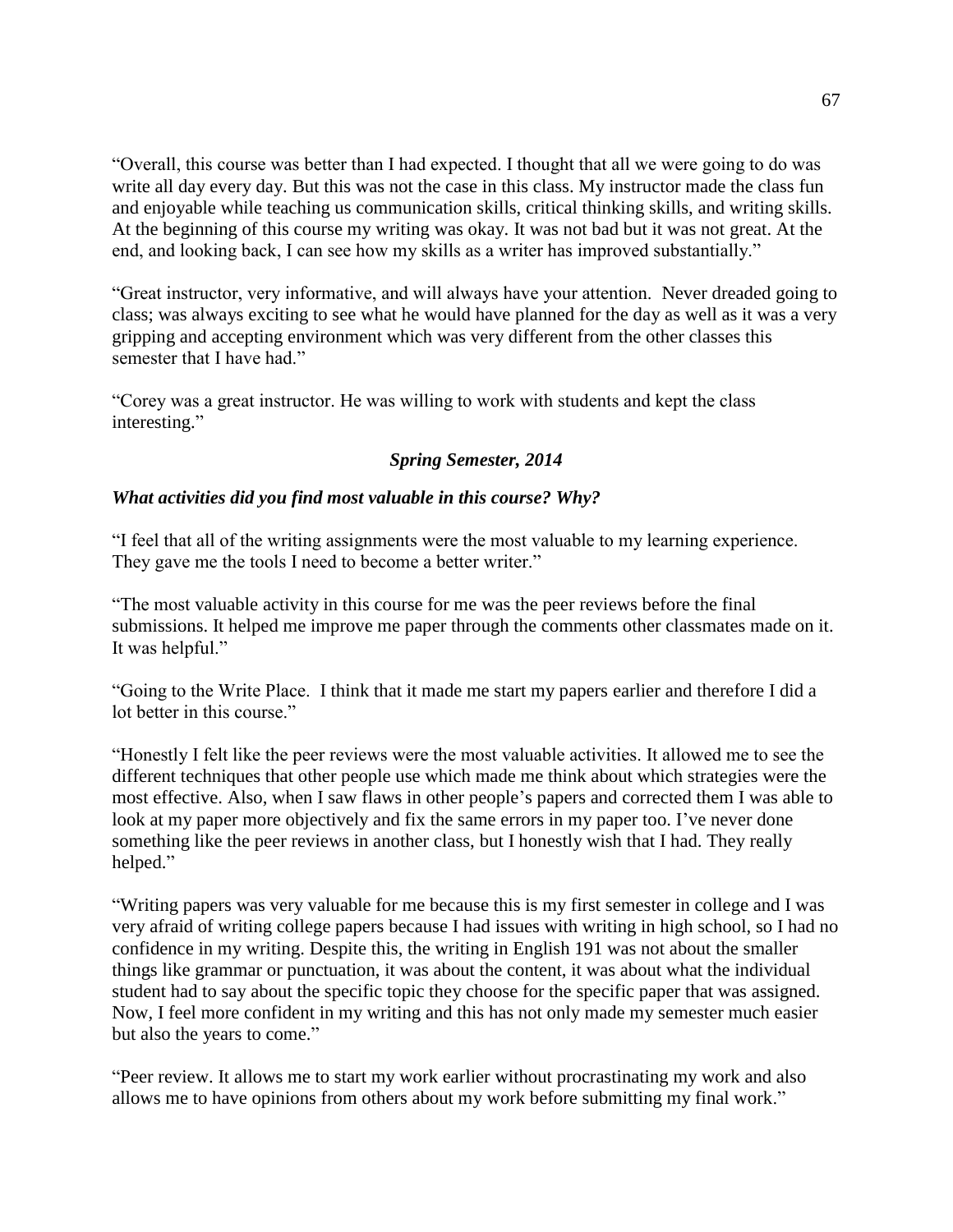"Overall, this course was better than I had expected. I thought that all we were going to do was write all day every day. But this was not the case in this class. My instructor made the class fun and enjoyable while teaching us communication skills, critical thinking skills, and writing skills. At the beginning of this course my writing was okay. It was not bad but it was not great. At the end, and looking back, I can see how my skills as a writer has improved substantially."

"Great instructor, very informative, and will always have your attention. Never dreaded going to class; was always exciting to see what he would have planned for the day as well as it was a very gripping and accepting environment which was very different from the other classes this semester that I have had."

"Corey was a great instructor. He was willing to work with students and kept the class interesting."

# *Spring Semester, 2014*

### *What activities did you find most valuable in this course? Why?*

"I feel that all of the writing assignments were the most valuable to my learning experience. They gave me the tools I need to become a better writer."

"The most valuable activity in this course for me was the peer reviews before the final submissions. It helped me improve me paper through the comments other classmates made on it. It was helpful."

"Going to the Write Place. I think that it made me start my papers earlier and therefore I did a lot better in this course."

"Honestly I felt like the peer reviews were the most valuable activities. It allowed me to see the different techniques that other people use which made me think about which strategies were the most effective. Also, when I saw flaws in other people's papers and corrected them I was able to look at my paper more objectively and fix the same errors in my paper too. I've never done something like the peer reviews in another class, but I honestly wish that I had. They really helped."

"Writing papers was very valuable for me because this is my first semester in college and I was very afraid of writing college papers because I had issues with writing in high school, so I had no confidence in my writing. Despite this, the writing in English 191 was not about the smaller things like grammar or punctuation, it was about the content, it was about what the individual student had to say about the specific topic they choose for the specific paper that was assigned. Now, I feel more confident in my writing and this has not only made my semester much easier but also the years to come."

"Peer review. It allows me to start my work earlier without procrastinating my work and also allows me to have opinions from others about my work before submitting my final work."